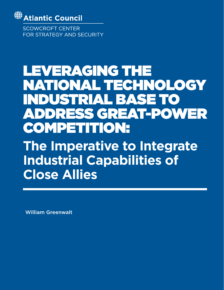

**SCOWCROFT CENTER** FOR STRATEGY AND SECURITY

# LEVERAGING THE NATIONAL TECHNOLOGY INDUSTRIAL BASE TO ADDRESS GREAT-POWER COMPETITION:

**The Imperative to Integrate Industrial Capabilities of Close Allies**

William Greenwalt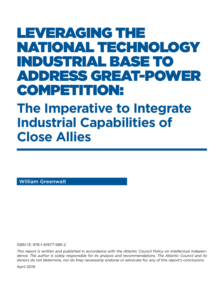## LEVERAGING THE NATIONAL TECHNOLOGY INDUSTRIAL BASE TO ADDRESS GREAT-POWER COMPETITION:

## **The Imperative to Integrate Industrial Capabilities of Close Allies**

William Greenwalt

ISBN-13: 978-1-61977-586-2

*This report is written and published in accordance with the Atlantic Council Policy on Intellectual Independence. The author is solely responsible for its analysis and recommendations. The Atlantic Council and its donors do not determine, nor do they necessarily endorse or advocate for, any of this report's conclusions.*

April 2019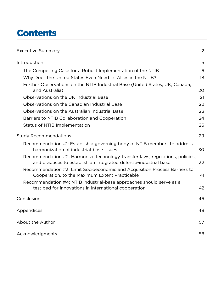### **Contents**

| <b>Executive Summary</b>                                                                                                                          | 2  |
|---------------------------------------------------------------------------------------------------------------------------------------------------|----|
| Introduction                                                                                                                                      | 5  |
| The Compelling Case for a Robust Implementation of the NTIB                                                                                       | 6  |
| Why Does the United States Even Need its Allies in the NTIB?                                                                                      | 18 |
| Further Observations on the NTIB Industrial Base (United States, UK, Canada,<br>and Australia)                                                    | 20 |
| Observations on the UK Industrial Base                                                                                                            | 21 |
| Observations on the Canadian Industrial Base                                                                                                      | 22 |
| Observations on the Australian Industrial Base                                                                                                    | 23 |
| Barriers to NTIB Collaboration and Cooperation                                                                                                    | 24 |
| <b>Status of NTIB Implementation</b>                                                                                                              | 26 |
| <b>Study Recommendations</b>                                                                                                                      | 29 |
| Recommendation #1: Establish a governing body of NTIB members to address<br>harmonization of industrial-base issues.                              | 30 |
| Recommendation #2: Harmonize technology-transfer laws, regulations, policies,<br>and practices to establish an integrated defense-industrial base | 32 |
| Recommendation #3: Limit Socioeconomic and Acquisition Process Barriers to<br>Cooperation, to the Maximum Extent Practicable                      | 41 |
| Recommendation #4: NTIB industrial-base approaches should serve as a<br>test bed for innovations in international cooperation                     | 42 |
| Conclusion                                                                                                                                        | 46 |
| Appendices                                                                                                                                        | 48 |
| About the Author                                                                                                                                  | 57 |
| Acknowledgments                                                                                                                                   | 58 |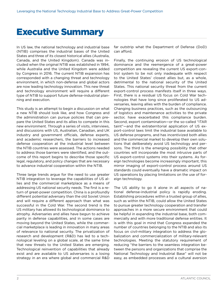### <span id="page-5-0"></span>Executive Summary

In US law, the national technology and industrial base (NTIB) comprises the industrial bases of the United States and three of its closest historical allies (Australia, Canada, and the United Kingdom). Canada was included when the original NTIB was established in 1994, while Australia and the United Kingdom were added by Congress in 2016. The current NTIB expansion has corresponded with a changing threat and technology environment, in which non-defense and global actors are now leading technology innovation. This new threat and technology environment will require a different type of NTIB to support future defense-industrial planning and execution.

This study is an attempt to begin a discussion on what a new NTIB should look like, and how Congress and the administration can pursue policies that can prepare the United States and its allies to compete in this new environment. Through a series of visits, interviews, and discussions with US, Australian, Canadian, and UK industry and government officials, defense experts, and academic researchers, the barriers to increased defense cooperation at the industrial level between the NTIB countries were assessed. The actions needed to address those barriers were identified, and the outcome of this report begins to describe those specific legal, regulatory, and policy changes that are necessary to advance industrial cooperation within the NTIB.

Three large trends argue for the need to use greater NTIB integration to leverage the capabilities of US allies and the commercial marketplace as a means of addressing US national security needs. The first is a return of great-power competition. China is a profoundly different potential adversary than the old Soviet Union and will require a different approach than what was successful in the Cold War. The second trend is the US military has allowed its technological dominance to atrophy. Adversaries and allies have begun to achieve parity in defense capabilities, and in some cases are moving beyond the United States, while the commercial marketplace is leading in innovation in many areas of relevance to national security. The privatization of research and development (R&D) has led to a technological leveling on a global scale, at the same time that new threats to the United States are emerging. Technological reinvention of capabilities that already exist and are available to US adversaries is a losing strategy in an era where global and commercial R&D

far outstrip what the Department of Defense (DoD) can afford.

Finally, the continuing erosion of US technological dominance and the reemergence of a great-power competition are revealing the current US export-control system to be not only inadequate with respect to the United States' closest allies but, as a whole, detrimental to the national security of the United States. This national security threat from the current export-control process manifests itself in three ways. First, there is a residual US focus on Cold War technologies that have long since proliferated to US adversaries, leaving allies with the burden of compliance. Changing business practices, such as the outsourcing of logistics and maintenance activities to the private sector, have exacerbated this compliance burden. Second, export contamination—or the so-called "ITAR taint"—and the extraterritorial application of US export-control laws limit the industrial base available to US defense programs, and has incentivized both allies and the commercial market to develop their own solutions that deliberately avoid US technology and persons. The third is the emerging possibility that other countries will incorporate the most intrusive parts of US export-control systems into their systems. As foreign technologies become increasingly important, this mirror imaging of export-control process around US standards could eventually have a dramatic impact on US operations by placing limitations on the use of foreign technology.

The US ability to go it alone in all aspects of national defense-industrial policy is rapidly eroding. Establishing procedures within a trusted group of allies, such as within the NTIB, could allow the United States to pursue greater technology cooperation and transfer approaches in a more secure environment that could be helpful in expanding the industrial base, both commercially and with more traditional defense entities. It is with this goal in mind that Congress expanded the number of countries belonging to the NTIB and also its focus on civil-military integration to address the globalization and commercialization of military-relevant technologies. Meeting the statutory requirement of reducing "the barriers to the seamless integration between the persons and organizations that comprise the National Technology and Industrial Base" will not be easy, as embedded processes and a cultural aversion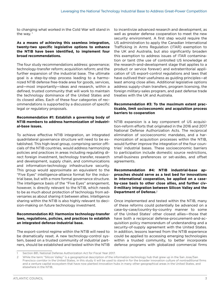to changing what worked in the Cold War will stand in the way. $1$ 

#### **As a means of achieving this seamless integration, twenty-two specific legislative options to enhance the NTIB have been identified, to implement four broad recommendations.**

The four study recommendations address: governance; technology-transfer reform; acquisition reform; and the further expansion of the industrial base. The ultimate goal is a step-by-step process leading to a harmonized NTIB defense free-trade area for goods, services, and—most importantly—ideas and research, within a defined, trusted community that will work to maintain the technology dominance of the United States and its closest allies. Each of these four categories of recommendations is supported by a discussion of specific legal or regulatory proposals.

#### **Recommendation #1: Establish a governing body of NTIB members to address harmonization of industrial-base issues.**

To achieve effective NTIB integration, an integrated quadrilateral governance structure will need to be established. This high-level group, comprising senior officials of the NTIB countries, would address harmonizing policies and practices in areas including regulating direct foreign investment, technology transfer, research and development, supply chain, and communications and information-technology infrastructure security. This group would approximate an equivalent to the "Five Eyes" intelligence-alliance format for the industrial base, but with a more formal governance structure. The intelligence basis of the "Five Eyes" arrangement, however, is directly relevant to the NTIB, which needs to be as much about protection of technology from adversaries as about sharing it between allies. Intelligence sharing within the NTIB is also highly relevant to decision-making on future technology investment.

#### **Recommendation #2: Harmonize technology-transfer laws, regulations, policies, and practices to establish an integrated defense-industrial base.**

The export-control regime within the NTIB will need to be dramatically reset. A new technology-control system, based on a trusted community of industrial partners, should be established and tested within the NTIB to incentivize advanced research and development, as well as greater defense cooperation to meet the new security environment. A first step would require the US administration to apply the Canadian International Trafficking in Arms Regulation (ITAR) exemption to the UK and Australia, but also significantly broaden this exemption to address issues of ITAR contamination or taint (the use of controlled US knowledge at the research-and-development stage that applies to a product or service forever) and extraterritorial application of US export-control regulations and laws that have outlived their usefulness as guiding principles—at least among close allies. Additional legislative options address supply-chain transfers, program licensing, the foreign military-sales program, and past defense trade treaties with the UK and Australia.

#### **Recommendation #3: To the maximum extent practicable, limit socioeconomic and acquisition process barriers to cooperation**

NTIB expansion is a key component of US acquisition-reform efforts that originated in the 2016 and 2017 National Defense Authorization Acts. The reciprocal elimination of socioeconomic mandates, and a harmonization of acquisition processes within the NTIB, would further improve the integration of the four countries' industrial bases. These socioeconomic barriers to participation include domestic source restrictions, small-business preferences or set-asides, and offset agreements.

**Recommendation #4: NTIB industrial-base approaches should serve as a test bed for innovations in international cooperation, be applied on a caseby-case basis to other close allies, and further civil-military integration between Silicon Valley and the Department of Defense.**2

Once implemented and tested within the NTIB, many of these reforms could potentially be advanced on a case-by-case/country-by-country manner to some of the United States' other closest allies—those that have both a reciprocal defense-procurement-and-acquisition policy memorandum of understanding and a security-of-supply agreement with the United States. In addition, lessons learned from the NTIB experience could be applied to accessing emerging technologies within a trusted community, to better incorporate defense programs with globalized commercial firms

<sup>1</sup> Section 881, National Defense Authorization Act for Fiscal Year 2017.

<sup>2</sup> While the term "Silicon Valley" is a geographical description of the information-technology hub that grew up in the San Jose/San Francisco corridor in the United States, in this study it will be used to stand-in for the broader innovation culture of nontraditional firms and a venture capital ecosystem that have now planted innovation hubs in many other geographical areas in the United States, and elsewhere in the NTIB.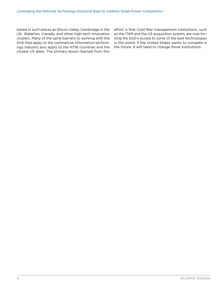based in such places as Silicon Valley, Cambridge in the UK, Waterloo, Canada, and other high-tech innovation clusters. Many of the same barriers to working with the DoD that apply to the commercial information-technology industry also apply to the NTIB countries and the closest US allies. The primary lesson learned from this

effort is that Cold War management institutions, such as the ITAR and the US acquisition system, are now limiting the DoD's access to some of the best technologies in the world. If the United States wants to compete in the future, it will need to change those institutions.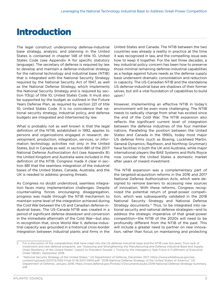### <span id="page-8-0"></span>Introduction

The legal construct underpinning defense-industrial base strategy, analysis, and planning in the United States is contained in chapter 148 of title 10, United States Code (see Appendix A for specific statutory language). The secretary of defense is required by law to develop and maintain a defense-industrial strategy for the national technology and industrial base (NTIB) that is integrated with the National Security Strategy required by the National Security Act of 1947, as well as the National Defense Strategy, which implements the National Security Strategy and is required by section 113(g) of title 10, United States Code. It must also be supported by the budget as outlined in the Future Years Defense Plan, as required by section 221 of title 10, United States Code. It is no coincidence that national security strategy, industrial policy, and defense budgets are integrated and intertwined by law.

What is probably not as well known is that the legal definition of the NTIB, established in 1992, applies to persons and organizations engaged in research, development, production, integration, services, or information technology activities not only in the United States, but in Canada as well. In section 881 of the 2017 National Defense Authorization Act (see Appendix B) the United Kingdom and Australia were included in the definition of the NTIB. Congress made it clear in section 881 that the seamless integration of the industrial bases of the United States, Canada, Australia, and the UK is needed to address growing threats.

As Congress no doubt understood, seamless integration faces many implementation challenges. Despite countervailing forces encouraging disaggregation, progress was made through the NTIB mechanism to maintain some level of the integration achieved during the Cold War between the US and Canadian defense-industrial bases. The US-Canada NTIB was created in a period of significant defense drawdown and conversion in the immediate aftermath of the Cold War—but also in recognition that, since World War II, defense-industrial capacity was grounded in a historical cross-border integration between industrial plants and firms in the

United States and Canada. The NTIB between the two countries was already a reality in practice at the time it was recognized in law, and the compelling issue was how to keep it together. For the last three decades, a key industrial policy concern has been how to preserve those minimal remaining defense-industrial capabilities as a hedge against future needs as the defense supply base underwent dramatic consolidation and reduction in capacity. The US-Canadian NTIB and the standalone US defense-industrial base are shadows of their former selves, but still a vital foundation of capabilities to build upon. $3$ 

However, implementing an effective NTIB in today's environment will be even more challenging. The NTIB needs to radically change from what has existed since the end of the Cold War. The NTIB expansion also reflects the significant current level of integration between the defense industries of the four member nations. Paralleling the position between the United States and Canada in the 1990s, today most major US defense firms (such as Boeing, Lockheed Martin, General Dynamics, Raytheon, and Northrop Grumman) have facilities in both the UK and Australia, while major international players like BAE Systems and Rolls Royce now consider the United States a domestic market after years of inward investment.

The NTIB expansion was a complementary part of the targeted-acquisition reforms in the 2016 and 2017 National Defense Authorization Acts, which were designed to remove barriers to accessing new sources of innovation. With these reforms, Congress recognized the potential return of great-power competition, which was subsequently validated in the 2018 National Security Strategy and National Defense Strategy documents.4 Thus, to be integrated into national security and national defense strategies—and to address the strategic imperative of that great-power competition—the NTIB of the 2020s will need to be profoundly different from the NTIB of the past. This will include a greater need to partner on new innovation, rather than focus on maintaining and protecting

<sup>3</sup> For a discussion of the vulnerabilities that have crept into the US defense-industrial base and the NTIB over the years, from lack of investment and new defense programs, see "Assessing and Strengthening the Manufacturing and Defense Industrial Base and Supply Chain Resiliency of the United States" (report to President Donald J. Trump by the Interagency Task Force in Fulfillment of Executive Order 13806), September 2018.

<sup>4</sup> "National Security Strategy of the United States," US Department of Defense, December 2017, https://www.whitehouse.gov/wpcontent/uploads/2017/12/NSS-Final-12-18-2017-0905.pdf; "2018 National Defense Strategy of the United States of America," US Department of Defense, January 2018, https://www.defense.gov/Portals/1/Documents/pubs/2018-National-Defense-Strategy-Summary. pdf.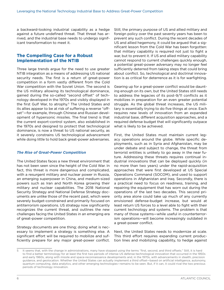<span id="page-9-0"></span>a backward-looking industrial capability as a hedge against a future undefined threat. That threat has arrived, and the industrial base needs to undergo significant transformation to meet it.

#### **The Compelling Case for a Robust Implementation of the NTIB**

Three large trends argue for the need to use greater NTIB integration as a means of addressing US national security needs. The first is a return of great-power competition in a form vastly different from the Cold War competition with the Soviet Union. The second is the US military allowing its technological dominance, gained during the so-called "second offset" of technology developed in the 1970s and visibly displayed in the first Gulf War, to atrophy.<sup>5</sup> The United States and its allies appear to be at risk of suffering a reverse "offset"—for example, through Chinese and Russian development of hypersonic missiles. The final trend is that the current export-control system, also established in the 1970s and designed to protect that technological dominance, is now a threat to US national security, as it severely constrains US technological advancement while doing little to hold back great-power adversaries.

#### *The Rise of Great-Power Competition*

The United States faces a new threat environment that has not been seen since the height of the Cold War. In fact, this threat is more dangerous and complicated, with a resurgent military and nuclear power in Russia, an emerging superpower in China, and medium-sized powers such as Iran and North Korea growing their military and nuclear capabilities. The 2018 National Security Strategy and National Defense Strategy documents are unlike those of the recent past, which were severely budget-constrained and primarily focused on antiterrorism operations. US strategy now significantly recognizes the current threat, and outlines the new challenges facing the United States in an emerging era of great-power competition.

Strategy documents are one thing; doing what is necessary to implement a strategy is something else. A significant effort will be required to mobilize and sufficiently prepare for any major great-power conflict. Still, the primary purpose of US and allied military and foreign policy over the past seventy years has been to prevent any such conflict. During the recent decades of US and allied hegemony, it could be argued that a significant lesson from the Cold War has been forgotten: that military capability is required not just to fight a war, but to prevent it. If US and allied military capability cannot respond to current challenges quickly enough, a potential great-power adversary may no longer feel sufficiently deterred from taking steps that could bring about conflict. So, technological and doctrinal innovation is as critical for deterrence as it is for warfighting.

Gearing up for a great-power conflict would be daunting enough on its own, but the United States still needs to address the legacies of its post-9/11 conflicts as it mobilizes in preparation for an even greater potential struggle. As the global threat increases, the US military is essentially trying to do five things at once. Each requires new levels of innovation from an expanded industrial base, different acquisition approaches, and a required defense budget that will significantly outpace what is likely to be achieved.

First, the United States must maintain current legacy operations around the globe. While specific deployments, such as in Syria and Afghanistan, may be under debate and subject to change, the threat from terrorist entities is unlikely to go away in the near future. Addressing these threats requires continual industrial innovations that can be deployed quickly (in no more than two years) under the rapid-acquisition approaches that were first developed at US Special Operations Command (SOCOM), and used to support operations in Afghanistan and Iraq. Secondly, there is a practical need to focus on readiness, training, and repairing the equipment that has worn out during the operations of the last two decades. This second priority area alone could take up much of any currently envisioned defense-budget increase, but would at least return US forces to a level able to fight with their current technology and systems. The problem is that many of those systems—while useful in counterterrorism operations—will become increasingly outdated in a great-power conflict.

Next, the United States needs to modernize at scale. This third effort requires expanding current production lines and mobilizing capability, to hedge against

<sup>5</sup> It seems that, with the change in administrations, many have stopped using the terms "first, second, and third offsets." Still, it is hard to find a better terminology for at least the first two periods of intense US defense-technological innovation that occurred in the 1950s and early 1960s, along with missile and space-reconnaissance developments and, in the 1970s, with advancements in stealth, precision guidance, and geolocation. Whether the United States can actually implement a third offset—based on artificial intelligence, autonomy, quantum computing, data analytics, and other emerging technologies—remains to be seen. But, if it can, it could rival the two previous periods of technology innovation.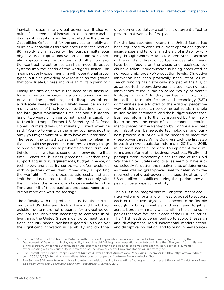inevitable losses in any great-power war. It also requires fast incremental innovation to enhance capability of existing systems, as demonstrated by the Special Capabilities Office, and for the services to rapidly acquire new capabilities as envisioned under the Section 804 rapid-fielding authority. The fourth, simultaneous objective is disruptive innovation. Section 804 operational-prototyping authorities and other transaction-contracting authorities can help move disruptive systems into the hands of the warfighter faster. This means not only experimenting with operational prototypes, but also providing new realities on the ground that complicate Chinese and Russian military planning.6

Finally, the fifth objective is the need for business reform to free up resources to support operations, improve readiness, mobilize, and disrupt, as—absent a full-scale ware—there will likely never be enough money to do all of this. However, by that time it will be too late, given mobilization timelines and a historical lag of two years or longer to get industrial capability to frontline troops. Former US Secretary of Defense Donald Rumsfeld was unfortunately correct when he said, "You go to war with the army you have, not the army you might want or wish to have at a later time."7 The lesson the United States continues to relearn is that it should use peacetime to address as many things as possible that will cause problems on the future battlefield, meaning it has to spend real money during that time. Peacetime business processes—whether they support acquisition, requirements, budget, finance, or technology and security control—are often designed with objectives other than immediately supporting the warfighter. These processes add costs, and also limit the industrial base to those able to comply with them, limiting the technology choices available to the Pentagon. All of these business processes need to be put on more of a wartime footing.<sup>8</sup>

The difficulty with this problem set is that the current, dedicated US defense-industrial base and the US acquisition system are not prepared for a great-power war, nor the innovation necessary to compete in all five things the United States must do to meet its national security needs. Nor has it geared up to deliver the significant innovation in capability and doctrinal development to deliver a sufficient deterrent effect to prevent that war in the first place.

For the last seventeen years, the United States has been equipped to conduct current operations against insurgencies and terrorism in the arc of instability running through Central Asia to Northern Africa. Because of the constant threat of budget sequestration, wars have been fought on the cheap and readiness levels have fallen. Modernization is being conducted at non-economic order-of-production levels. Disruptive innovation has been practically nonexistent, as research funding has historically stopped at the 6.3, or advanced-technology, development level, leaving most innovations stuck in the so-called "valley of death." Prototyping, or 6.4, funding has been difficult, if not impossible, to obtain. Science and technology (S&T) communities are addicted to the existing peacetime way of doing research by doling out funds in single million-dollar increments, and the budget reflects that. Business reform is further constrained by the inability to address the costs of socioeconomic requirements placed on the Pentagon by Congress and past administrations. Large-scale technological and business-process disruption will be needed to meet the great-power threat. While Congress took the first step in passing new-acquisition reforms in 2015 and 2016, much more needs to be done to implement these reforms and reform other business practices. Finally, and perhaps most importantly, since the end of the Cold War the United States and its allies seem to have subconsciously forgotten the requirements of deterrence, as there was no great-power rival to deter. With the resurrection of great-power challenges, the atrophy of US and allied capabilities during that period now appears to be a huge vulnerability.

The NTIB is an integral part of Congress' recent acquisition-reform efforts, and will need to adapt to support each of these five objectives. It needs to be flexible enough to bring scientists and engineers together across borders—in many cases, within the same companies that have facilities in each of the NTIB countries. The NTIB needs to be ramped up to support research and development, rapid incremental modernization, and disruptive innovation, and to bring in new sources

<sup>6</sup> Section 804 of the 2016 National Defense Authorization Act provides new acquisition flexibilities in exchange for forcing the Department of Defense to deploy capability through rapid fielding, or an operational prototype in less than five years from initiation of the program. While this authority has huge potential to change the balance of power, and each military service is currently experimenting with this authority, it remains to be seen how successful implementation will ultimately be.

<sup>7</sup> Eric Schmitt, "Iraq-Bound Troops Confront Rumsfeld Over Lack of Armor," *New York Times*, December 8, 2004, https://www.nytimes. com/2004/12/08/international/middleeast/iraqbound-troops-confront-rumsfeld-over-lack-of.html.

<sup>8</sup> The Section 809 panel took up this call to return acquisition policy to a wartime footing in its most recent *Report of the Advisory Panel on Streamlining and Codifying Acquisition Regulations* 3, January 2019.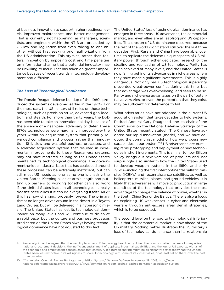of business innovation to support higher readiness levels, improved maintenance, and better management. That is currently not happening, as managers, scientists, and engineers within the NTIB are precluded by US law and regulation from even talking to one another without first seeking prior authorization from the US administration. This stymies, rather than fosters, innovation by imposing cost and time penalties on information sharing that a potential innovator may be unwilling to incur. That has taken on greater importance because of recent trends in technology development and diffusion.

#### *The Loss of Technological Dominance*

The Ronald Reagan defense buildup of the 1980s produced the systems developed earlier in the 1970s. For the most part, the US military still relies on these technologies, such as precision strike, advanced geo-location, and stealth. For more than thirty years, the DoD has been able to take an innovation holiday, because of the absence of a near-peer adversary to deter. These 1970s technologies were marginally improved over the years within an acquisition system that primarily rewarded compliance and process, rather than innovation. Still, slow and wasteful business processes, and a sclerotic acquisition system that resulted in incremental improvements to these Reagan-era systems, may not have mattered as long as the United States maintained its technological dominance. The government-unique industrial base that has coalesced around these processes can be extremely inefficient, but can still meet US needs as long as no one is chasing the United States. Keeping allies at arm's length and putting up barriers to working together can also work if the United States leads in all technologies; it really doesn't need allies if it can do everything itself.9 All of this has now changed, probably forever. The primary threat no longer drives around in the desert in a Toyota Land Cruiser, but will be delivered in a hypersonic missile. The United States has lost its technological dominance on many levels and will continue to do so at a rapid pace, but the culture and business processes predicated on the United States always having technological dominance have not adjusted to this fact.

The United States' loss of technological dominance has emerged in three areas. US adversaries, the commercial market, and even allies are all leapfrogging US capabilities. This erosion of US dominance occurred because the rest of the world didn't stand still over the last three decades. First, Russia and China have been able, over time, to replicate the defense-unique aspects of US military power, through either dedicated research or the stealing and replicating of US technology. Parity has been achieved at many levels, and the United States is now falling behind its adversaries in niche areas where they have made significant investments. This is highly dangerous. Not only has US technological superiority prevented great-power conflict during this time, but that advantage was overwhelming, and seen to be so. Parity and niche-area advantages on the part of potential adversaries, or even the perception that they exist, may be sufficient for deterrence to fail.

What adversaries have not adopted is the current US acquisition system that takes decades to field systems. Retired Admiral Gary Roughead, the co-chair of the Commission on the National Defense Strategy of the United States, recently stated: "The Chinese have adopted our rapid innovation [model] and we have adopted the communist model of how we process new capabilities in our system."10 US adversaries are pursuing rapid prototyping and deployment of new technologies in short increments. This is similar to how Silicon Valley brings out new versions of products and, not surprisingly, also similar to how the United States used to develop weapon systems in the 1950s and early 1960s—including the first intercontinental ballistic missiles (ICBMs) and reconnaissance satellites, as well as helicopters, missiles, planes, and ground vehicles. It is likely that adversaries will move to production in large quantities of the technology that provides the most advantage to change the balance of power, whether in the South China Sea or the Baltics. There is also a focus on exploiting US weaknesses in cyber and electronic warfare through anti-access areal denial strategies, which is to be expected.

The second level on the road to technological inferiority is that the commercial market is now ahead of the US military. Nothing better illustrates the US military's loss of technological dominance than its relationship

<sup>9</sup> Perversely, it can be argued that the inability to access US technology has directly driven the poor cost-effectiveness of many allies' national-procurement decisions, the inefficient sustainment of duplicate industrial capabilities, and the loss of US exports, with all of the economic and employment consequences that entails. Allied burden sharing might be significantly better today had the United States been less restrictive in its willingness to share its technology with some of its closest allies, or at least sell to them, over the past three decades.

<sup>10</sup> "Commission Co-chair Bashes Pentagon Acquisition System," *National Defense*, November 28, 2018, http://www. nationaldefensemagazine.org/articles/2018/11/28/commission-report-cochair-bashes-pentagon-acquisition-system.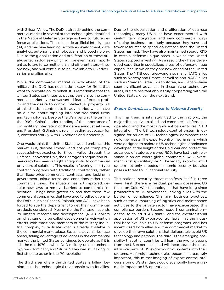with Silicon Valley. The DoD is already behind the commercial market in several of the technologies identified in the National Defense Strategy as keys to future defense applications. These include artificial intelligence (AI) and machine learning, software development, data analytics, autonomy and robotics, and biotechnology. Due to the globalization and proliferation of these dual-use technologies—which will be even more important as future force multipliers and differentiators—they are now, and will continue to be, available to US adversaries and allies alike.

While the commercial market is now ahead of the military, the DoD has not made it easy for firms that want to innovate on its behalf. It is remarkable that the United States continues to put up barriers to the commercial market over unwarranted fears of excess profits and the desire to control intellectual property. All of this stands in contrast to its adversaries, which have no qualms about tapping into non-traditional firms and technologies. Despite the US inventing the term in the 1990s, China's understanding of the importance of civil-military integration of the defense-industrial base, and President Xi Jinping's role in leading advocacy for it, contrasts starkly with US actions and leadership.

One would think the United States would embrace this market. But, despite limited—and not yet completely successful—outreaches to Silicon Valley through the Defense Innovation Unit, the Pentagon's acquisition bureaucracy has been outright antagonistic to commercial providers of solutions. This results in favoring cost-type contract programs with traditional contractors, rather than fixed-price commercial contracts, and locking in government-unique terms and conditions rather than commercial ones. The situation has not improved, despite new laws to remove barriers to commercial innovation. Things have gotten so bad that those few commercial companies that have tried to sell solutions to the DoD—such as SpaceX, Palantir, and AGI—have been forced to sue the department to get their commercial products considered. Meanwhile, the Pentagon spends its limited research-and-development (R&D) dollars on what can only be called developmental-reinvention efforts, with traditional members of the military-industrial complex, to replicate what is already available in the commercial marketplace. So, as its adversaries race ahead, taking advantage of advances in the commercial market, the United States continues to operate as if it is still the mid-1970s—when DoD military-unique technology was dominant, and Silicon Valley was still taking its first steps to usher in the PC revolution.

The third area where the United States is falling behind is in the technological relationship with its allies.

Due to the globalization and proliferation of dual-use technology, many US allies have experimented with civil-military integration and new commercial ways of doing business—precisely because they have had fewer resources to spend on defense than the United States has had. They have also maintained steady R&D in certain defense-unique areas in which the United States stopped investing. As a result, they have developed expertise in specialized areas of defense-unique capabilities, in which they are now ahead of the United States. The NTIB countries—and also many NATO allies such as Norway and France, as well as non-NATO allies such as Sweden, Israel, South Korea, and Japan—have seen significant advances in these niche technology areas, but are hesitant about truly cooperating with the United States, given the next trend.

#### *Export Controls as a Threat to National Security*

This final trend is intimately tied to the first two, the major disincentive to allied and commercial defense cooperation, and the most significant barrier to real NTIB integration. The US technology-control system is designed for an era of US technological dominance that no longer exists. The export-control mechanisms, which were designed to maintain US technological dominance developed at the height of the Cold War and protect the advances of state-sponsored R&D, have lost their relevance in an era where global commercial R&D investment outstrips military R&D. The legacy export-control system not only impedes economic security, but also poses a threat to US national security.

This national security threat manifests itself in three ways. First, there is a residual, perhaps obsessive, US focus on Cold War technologies that have long since proliferated to US adversaries, leaving allies with the burden of compliance. Changing business practices, such as the outsourcing of logistics and maintenance activities to the private sector, have exacerbated this compliance burden. Second, export contamination or the so-called "ITAR taint"—and the extraterritorial application of US export-control laws limit the industrial base available to US defense programs, and has incentivized both allies and the commercial market to develop their own solutions that deliberately avoid US technology and persons. The third is the emerging possibility that other countries will learn the wrong lessons from the US experience, and will incorporate the most intrusive parts of US export-control systems into their systems. As foreign technologies become increasingly important, this mirror imaging of export-control process around US standards could eventually have a dramatic impact on US operations.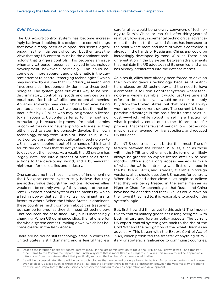#### *Cold War Legacies*

The US export-control system has become increasingly backward looking. It is designed to control things that have already been developed; this seems logical enough as the initial basis of control, but then takes the view that any US content must be the dominant technology that triggers controls. This becomes an issue when any US person becomes involved in technology development, however superficially. This could become even more apparent and problematic in the current attempt to control "emerging technologies," which may incorrectly assume that US industry, research, and investment still independently dominate these technologies. The system goes out of its way to be nondiscriminatory, controlling goods and services on an equal basis for both US allies and potential enemies. An arms embargo may keep China from ever being granted a license to buy US weapons, but the real impact is felt by US allies who may be granted a license to gain access to US content after six to nine months of excruciating, bureaucratic process. Potential enemies or competitors would never apply for a license, so they either need to steal, indigenously develop their own technology, or buy from Russia or China. Thus, US export controls are really about allocating technology to US allies, and keeping it out of the hands of third- and fourth-tier countries that do not yet have the capability to develop it themselves. As a result, the US system has largely defaulted into a process of arms-sales transactions to the developing world, and a bureaucratic nightmare for close allies and industry.

One can assume that those in charge of implementing the US export-control system truly believe that they are adding value through their actions. However, allies would not be entirely wrong if they thought of the current US export-control system as the means by which a fading power that still thinks itself dominant grants favors to others. When the United States is dominant, these countries might complain about this treatment, but can be ignored, as they still need US technology. That has been the case since 1945, but is increasingly changing. When US dominance slips, the rationale for the whole system comes tumbling down, which has become clearer in the last decade.

There are no doubt still technology areas in which the United States is still dominant, and is fearful that less careful allies would be one-way conveyers of technology to Russia, China, or Iran. Still, after thirty years of relatively low-level, incremental technological advancement, the threat to the United States has increased to the point where more and more of what is controlled is already in the hands of Russia and China, and could be increasingly developed by most US allies. There is no differentiation in the US system between advancements that maintain the US edge against its enemies, and what has already proliferated into the defense market.<sup>11</sup>

As a result, allies have already been forced to develop their own indigenous technology, because of restrictions placed on US technology and the need to have a competitive solution. For other systems, where technology is widely available, it would just take time and effort to do so. Ideally, it would be easier to simply buy from the United States, but that does not always work under the current system. The current US comparative advantage is the basis for its arms-sales industry—which, while robust, is selling a fraction of what it probably could, due to the US arms-transfer process. That means fewer American jobs, lost economies of scale, revenue for rival suppliers, and reduced US influence.

Still, NTIB countries have it better than most. The difference between the closest US allies, such as those within the NTIB, and other allies is the former will likely always be granted an export license after six to nine months.12 Why is such a long process needed? As much of what the US is controlling was first developed in the 1960s and 1970s, and is widely available in foreign versions, allies should question US reasons for controls. When the UK and other close allies begin to believe that they are being treated in the same manner as Niger or Chad, for technologies that Russia and China have had for decades and that US allies could make on their own if they had to, it is reasonable to question the system's logic.

But, first, how did things get to this point? The imperative to control military goods has a long pedigree, with both military and foreign policy aspects. The current US export-control system goes back to the rise of the Cold War and the recognition of the Soviet Union as an adversary. This began with the Export Control Act of 1949, which prohibited the transfer of anything of military or strategic significance to communist countries.

<sup>11</sup> Despite the intention of export-control reform (ECR) in the last administration to focus the ITAR on US "crown jewels," and transfer other items to the Commerce Department, under a system that is more flexible as regards US allies, this review found no appreciable differences from this reform effort that practically reduced the burden of cooperation with allies.

<sup>12</sup> As will be discussed later, there will be some technologies that are denied or only allowed to be transferred under certain conditionseven to close US allies, such as those in the NTIB—but the key point here is to make a distinction between the vast majority of routine transfers and, importantly, the discussions necessary for ongoing research cooperation and development.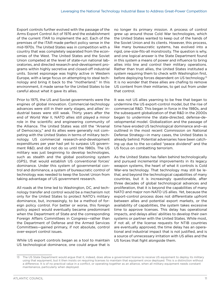Export controls further evolved with the passage of the Arms Export Control Act of 1976 and the establishment of the current ITAR to implement the act. Each of the premises of the ITAR made perfect policy sense in the mid-1970s. The United States was in competition with a country that was completely separated from the economies of the West. The United States and the Soviet Union competed at the level of state-run national laboratories, and directed research-and-development programs within highly secretive and closed-off industrial units. Soviet espionage was highly active in Western Europe, with a large focus on attempting to steal technology and bring it back to the "motherland." In this environment, it made sense for the United States to be careful about what it gave its allies.

Prior to 1975, the US and Soviet governments were the engines of global innovation. Commercial-technology advances were still in their early stages, and allies' industrial bases were still weak. Thirty years after the end of World War II, NATO allies still played a minor role in the scientific and engineering community of the Alliance. The United States was still the "Arsenal of Democracy," and its allies were generally not competing with the United States in terms of military technology. US commercial research-and-development expenditures per year had yet to surpass US government R&D, and did not do so until the 1980s. The US military was just beginning to develop technologies, such as stealth and the global positioning system (GPS), that would establish US conventional forces' dominance. Under this system of governmental control and dominance, a system of bureaucratic control of technology was needed to keep the Soviet Union from taking advantage of US government research.

All roads at the time led to Washington, DC, and technology transfer and control would be a mechanism not only for the United States to protect NATO's military dominance, but, increasingly, to be a method of foreign policy control. For better or worse, this foreign policy aspect would eventually became predominant when the Department of State and the corresponding Foreign Affairs Committees in Congress—rather than the Department of Defense and the Armed Services Committees—gained primary, if not absolute, control over-export control issues.

While US export controls began as a tool to maintain US technological dominance, one could argue that is

no longer its primary mission. A process of control grew up around those Cold War technologies, which the United States wanted to keep out of the hands of the Soviet Union and its clients. However, this process, like many bureaucratic systems, has evolved into a rigid, one-size-fits-all monstrosity. The question is why, and one logical answer is the State Department found in this system a means of power and influence to bring allies into line and control their military operations. Rather than trust allies, the United States instituted a system requiring them to check with Washington first, before deploying forces dependent on US technology.<sup>13</sup> It is no wonder that these allies are chafing to remove US content from their militaries, to get out from under that control.

It was not US allies yearning to be free that began to undermine the US export-control model, but the rise of commercial R&D. This began in force in the 1980s, and the subsequent globalization of that R&D in the 2000s began to undermine the state-directed, defense-developmental model. Globalization and the passage of time have eroded US technological dominance and—as outlined in the most recent Commission on National Defense Strategy—in many cases, the United States is already behind. Potential adversaries have been catching up due to the so-called "peace dividend" and the US focus on combatting terrorism.

As the United States has fallen behind technologically and pursued incremental improvements in its legacy weapon systems, the heart of what it controls is Cold War-era technology. That technology may still be lethal, and beyond the technological capabilities of many countries, but it is increasingly questionable, after three decades of global technological advances and proliferation, that it is beyond the capabilities of many NATO and major non-NATO US allies. Yet, because the export-control process does not differentiate upfront between allies and potential export markets, or the availability of capabilities, the system takes excessive time to approve licenses. This delay has operational impacts, and delays allies' abilities to develop their own systems or partner with the United States. While most, if not all, of the license requests for NTIB countries are eventually approved, the time delay has an operational and industrial impact that is not justified, and is a source of unnecessary irritation with US allies and the US forces that fight alongside them.

<sup>13</sup> The US State Department would argue that it, indeed, does allow a government license to receive US equipment to deploy its military using that equipment, but it then insists on requiring licenses to maintain that equipment once deployed. This is a distinction without a difference. It is of no practical value in a conflict, or operating together as an alliance, when all military equipment needs constant maintenance, particularly when deployed.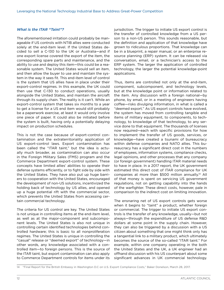#### *What is the ITAR "Taint"?*

The aforementioned irritation could probably be manageable if US controls with NTIB allies were conducted solely at the end-item level. If the United States decided to sell a C-130 to the UK or Australia—and if one export license covered the export of the item, the corresponding spare parts and maintenance, and the ability to use and deploy this item—this could be a reasonable system. The United States would sell an item, and then allow the buyer to use and maintain the system in the way it sees fit. This end-item level of control is the system that US allies have in place under their export-control regimes. In this example, the UK could then use that C-130 to conduct operations, usually alongside the United States, and maintain the aircraft through its supply chain. The reality is it can't. While an export-control system that takes six months to a year to get a license for a US end item would still probably be a paperwork exercise, at least it would only involve one piece of paper. It could also be initiated before the system is built, having only a potentially delaying impact on production schedules.

This is not the case because of export-control contamination and the extraterritoriality application of US export-control laws. Export contamination has been called the "ITAR taint," but the idea is actually much broader, as contamination can also occur in the Foreign Military Sales (FMS) program and the Commerce Department export-control system. These concepts have limited allies' abilities to operate their defense systems efficiently, or to fight side by side with the United States. They have also put up huge barriers to cooperation with the United States, encouraged the development of non-US solutions, incentivized the holding back of technology by US allies, and opened up a huge potential rift with the commercial sector, which prevents the United States from accessing certain commercial technology.

The criteria for US control are key. The United States is not unique in controlling items at the end-item level, as well as at the major-component and subcomponent levels. The United States is also not unique in controlling certain identified technologies behind controlled hardware; this is basic to all nonproliferation regimes. The United States is unique in controlling the "casual" release or "deemed export" of technology—in other words, any knowledge associated with a controlled item—to foreign persons. This is the source of the ITAR taint, but export contamination can also apply to Commerce Department controls for items under its

jurisdiction. The trigger to initiate US export control is the transfer of controlled knowledge from a US person to a non-US person. This sounds reasonable, but the definition and application of that knowledge have grown to ridiculous proportions. That knowledge can be in a blueprint, a repair manual, or an enterprise resource planning (ERP) system. It can be released via conversation, email, or a technician's access to the ERP system. The larger the application of controlled technology, the larger the potential knowledge-point applications.

Thus, items are controlled not only at the end-item, component, subcomponent, and technology levels, but at the knowledge point or information related to the item. Any discussion with a foreign national—by phone, by email, or in a meeting of engineers having coffee—risks divulging information, in what is called a "deemed export." As US export controls have evolved, the system has moved from controlling tangible end items of military equipment, to components, to technology, to knowledge of that technology, to any service done to that equipment. The thousands of licenses now required—each with specific provisions for how to implement the transfer of US goods, services, or knowledge—have created a tsunami of bureaucracy within defense companies and NATO allies. This bureaucracy has a significant direct cost in the numbers of employees, information systems, compliance checks, legal opinions, and other processes that any company (or foreign government) handling ITAR material needs to have in place. In a 2017 report, the UK government estimated this direct cost of ITAR compliance for UK companies at more than \$500 million annually.14 All of that money is spent on servicing US government regulations, not on getting capability into the hands of the warfighter. These direct costs, however, pale in comparison to the indirect cost on limiting innovation.

The ensnaring net of US export controls gets worse when it begins to "taint" a product, whether foreign or commercial. The trigger to initiate US export controls is the transfer of any knowledge, usually—but not always—through the expenditure of US defense R&D dollars at some point in the supply chain. However, they can also be triggered by a discussion with a US citizen about something that one might think only has a tangential link to a military product, which ultimately becomes the source of the so-called "ITAR taint." For example, within one company operating in the both the United States and the UK, a UK engineer had an offhand discussion with his US counterpart about some significant advances in UK commercial technology.

<sup>14</sup> "Final Report for the British Embassy in Washington D.C on U.S. Export Compliance Costs," Baker Donelson, March 28, 2017.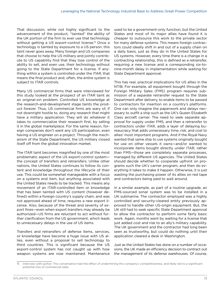That discussion, while not highly significant to the advancement of the product, "tainted" the ability of the UK portion of the firm to ever use that technology without getting a US export-control license.<sup>15</sup> Once a technology is tainted by exposure to a US person, this taint never goes away. Many foreign and US companies that choose to help the US military and jointly contribute to US capability find that they lose control of the ability to sell, and even use, their technology without going to the State Department for a license. If anything within a system is controlled under the ITAR, that means the final product and, often, the entire system is subject to ITAR controls.

Many US commercial firms that were interviewed for this study looked at the prospect of an ITAR taint as an original-sin problem. Controlled US knowledge at the research-and-development stage taints the product forever. Thus, US commercial firms are wary of, if not downright hostile to, doing any research that might have a military application. They will do whatever it takes to commercialize their research first, by selling it in the global marketplace. For the same reason, foreign companies don't want any US participation, even having a US engineer on a project. Through the mechanism of the State Department, the US military closed itself off from the global innovation market.

The ITAR taint becomes magnified by one of the most problematic aspect of the US export-control system the concept of transfers and retransfers. Unlike other nations, the United States continues to follow its content and knowledge throughout the lifecycle of their use. This could be somewhat manageable with a focus on a systems end item, but anything associated with the United States needs to be tracked. This means any movement of an ITAR-controlled item or knowledge that has been tainted with US content (however defined) within a foreign country's supply chain, and was not approved ahead of time, requires a new export license. Also, because of the threat and severity of export fines—even when export transfers may already be authorized—US firms are reluctant to act without further clarification from the US government, which leads to unnecessary delays in the use of US items.

Transfers and retransfers of defense items, services, or knowledge have become a huge issue with US allies, even without a proposal to sell technology to third countries. This is significant because the US export-control system has not caught up with how weapon systems are now maintained. Maintenance used to be a government-only function, but the United States and most of its major allies have found it is cheaper to outsource this work to the private sector for many defense systems. This means foreign contractors could ideally shift in and out of a supply chain on a daily basis, just as they do in the United States for US systems. However, every time there is a change in a contracting relationship, this is defined as a retransfer, requiring a new license and a corresponding six-tonine-month delay in implementation while waiting for State Department approval.

This has real, practical implications for US allies in the NTIB. For example, all equipment bought through the Foreign Military Sales (FMS) program requires submission of a separate retransfer request to the State Department after delivery, to enable items to be passed to contractors for insertion on a country's platforms. One can only imagine the paperwork and delays necessary to outfit a ship such as the UK's Queen Elizabeth Class aircraft carrier. The need to seek separate approval for supply under FMS, and then a retransfer to contractors under ITAR, adds a layer of delaying bureaucracy that adds unnecessary time, risk, and cost to allies' most important programs. And if the Royal Navy wanted that same ship to use systems originally bought for use on other vessels it owns—and/or wanted to incorporate items bought directly under ITAR, rather than FMS—those are completely separate processes, managed by different US agencies. The United States should decide whether to cooperate upfront on programs such the UK's carrier program, and then do everything it takes to make it happen. Otherwise, it is just wasting the purchasing power of its allies on red tape and contractors being paid to wait around.

In a similar example, as part of a routine upgrade, an FMS-sourced sonar system was to be installed in a UK submarine. The contractor employed was a highly controlled and security-cleared entity previously approved to handle other US-origin equipment. But, the UK still had to seek specific State Department approval to allow the contractor to perform some fairly basic work. Again, months went by waiting for a license that just added cost and risk to an ally's military capability. The UK government and the contractor had long been seen as trustworthy, but could do nothing until their application cleared a desk in Washington.

Just as the United States has done on a number of occasions, the UK made an efficiency decision to contract out the management of its defense warehouses. Of course,

<sup>15</sup> Interview with author. This conversation had the effect of undermining this company's competitiveness, and likely led to a significant potential loss of commercial sales.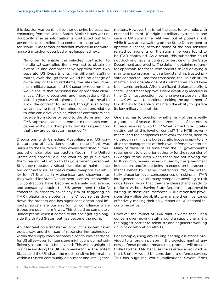this decision was punished by a smothering bureaucracy emanating from the United States. Similar issues will undoubtedly arise as information is contracted out from government-controlled data centers to the private-sector "cloud." One former participant involved in the warehouse transaction described what happened next:

"In order to enable the selected contractor to handle US-controlled items we had to obtain an extensive and comprehensive approval from two separate US Departments, via different staffing routes, even though there would be no change of ownership of the stored items, the sites would remain military bases, and UK security requirements would ensure that personnel had appropriate clearances. After discussions and negotiations (that lasted a year), we obtained a 'blanket' approval to allow the contract to proceed, though even today we are having to staff peripheral questions relating to who can drive vehicles, whether contractors can receive from stores or send to the stores and how FMS approvals can be extended to the stores companies without a third party transfer request now that they are contractor managed."16

Discussions with Canadian, Australian, and US contractors and officials demonstrated none of this was unique to the UK. While interviewees described numerous other examples, contractors (both in the United States and abroad) did not want to go public with them, fearing retaliation by US government personnel. Still, they repeatedly raised examples of maintenance and contractor issues that curtailed weapons availability for NTIB allies, in Afghanistan and elsewhere, as they waited for State Department licenses. Meanwhile, US contractors have become extremely risk averse, and constantly require the US government to clarify concerns, in order to cover any risk of triggering an ITAR violation and a potential fine. Of course, this slows down the process and has significant operational impacts; lawyers are pushing for full compliance while troops are put in harm's way. This should be completely unacceptable when it comes to nations fighting alongside the United States, but has become the norm.

An ITAR taint on a transferred product or system never goes away, and the issue of retransferring technology within the supply chain becomes a continuous headache for US allies—even for items one might consider not sufficiently important to be covered. This was highlighted in a case involving the UK's submarine force. The United States and the UK share the most sensitive information within a trusted community on nuclear and intelligence

16 Information provided to author on a non-attribution basis.

matters. However, this is not the case, for example, with nuts and bolts of US origin on military systems. In one case, a UK submarine refit was put at potential risk while it was at sea waiting on the State Department to approve a license, because some of the non-sensitive related components on the submarine were found to be ITAR controlled. As a result, this submarine could not dock and have its contractor service until the State Department approved it. The delay in obtaining retransfer approvals for these components risked delaying a maintenance program with a longstanding, trusted private contractor. Had that transpired, the UK's ability to maintain and operate one of its submarines could have been compromised. After significant diplomatic effort, State Department approvals were eventually received in time. One must question how long even a close ally like the UK will want to continue seeking the agreement of US officials to be able to maintain the ability to operate its key military capabilities.

One also has to question whether any of this is really a good use of scarce US resources. Is all of the excess bureaucracy really worth it? What is the United States getting out of this level of control? The NTIB governments, and the companies that work for them, need to go through significant bureaucratic hoops simply to enable the management of their own defense inventories. Many of these issues arise from the US government's requirement to give prior authority for the retransfer of US-origin items, even when these are not leaving the NTIB country, remain owned or used by the government in question, and/or are being managed on the government's behalf by cleared contractors. Yet, the potentially draconian legal consequences of risking an ITAR infringement have left many companies unwilling to risk undertaking work that they are cleared and ready to perform, without having State Department approval in writing. In these circumstances, ITAR retransfer provisions deny allies the ability to manage their inventories effectively, making their only impact on US national security negative.

However, the impact of ITAR taint is worse than just a concern over moving stuff around a supply chain. It is the biggest barrier to scientists and engineers working on joint collaboration efforts.

For example, using any US engineering assistance provided to a foreign person in the development of any new defense product means that product will be controlled by the ITAR, because the assistance provided by the US entity would be considered a defense service. This has huge real-world implications. Several firms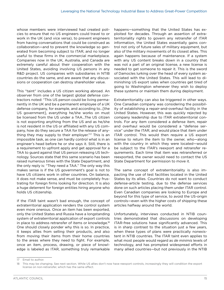whose members were interviewed had created policies to ensure that no US engineers could travel to or work in the UK (and vice versa), to prevent engineers from having conversations that could be construed as collaboration—and to prevent the knowledge so generated from becoming subject to ITAR, and no longer useful to these firms in the commercial marketplace. Companies now in the UK, Australia, and Canada are extremely careful about their cooperation with the United States, avoiding involving US persons in any R&D project. US companies with subsidiaries in NTIB countries do the same, and are aware that any discussions or cooperation can destroy shareholder value.

This "taint" includes a US citizen working abroad. An observer from one of the largest global defense contractors noted: "This US person could be living permanently in the UK and be a permanent employee of a UK defense company, for example, and according to…[the US government], everything he/she works on must be licensed from the US under a TAA...The US citizen is not exporting anything from the US and as he/she is not resident in the US or affiliated with any US company, how do they secure a TAA for the release of anything they may supply to their employer."<sup>17</sup> This is an impossible task, as one can hardly control what is in an engineer's head before he or she says it. Still, there is a requirement to upfront apply and get approval for a TAA to guard against that US person releasing US technology. Sources state that this same scenario has been raised numerous times with the State Department, and the only reply is: "They need a TAA." The only way this makes sense is if the US government's goal is not to have US citizens work in other countries. On balance, it does not make sense, and must be completely frustrating for foreign firms looking for direction. It is also a huge deterrent for foreign entities hiring anyone who holds US citizenship.

If the ITAR taint wasn't bad enough, the concept of extraterritorial application renders the control system even more onerous. Once an item has been exported, only the United States and Russia have a longstanding system of extraterritorial application of export controls in place to address retransfer of items or knowledge.<sup>18</sup> One should closely ponder why this is so. In practice, it keeps allies from selling their products, and also from moving their items from their home countries to the areas where they need to fight. For example, once an item, process, drawing, or piece of knowledge is labeled as ITAR, something truly remarkable

happens—something that the United States has exploited for decades. Through an assertion of extraterritoriality rights to govern any retransfer of ITAR information, the United States essentially gains control not only of future sales of military equipment, but also of the military movements of its closest allies. This again happens because of maintenance. If a system with any US content breaks down in a country that was not a part of an original license, a new license is needed to get someone to repair it. This is the sword of Damocles lurking over the head of every system associated with the United States. This will lead to diminishing US export sales when countries get tired of going to Washington whenever they wish to deploy these systems or maintain them during deployment.

Extraterritoriality can also be triggered in other ways. One Canadian company was considering the possibility of establishing a repair-and-overhaul facility in the United States. However, this was quickly rejected by company leadership due to ITAR extraterritorial controls. For any item considered a defense item, repair and overhaul would be considered a "defense service" under the ITAR, and would place that item under ITAR control. This would then require a US export license to return the item to the owner, who—along with the country in which they were located—would be subject to the ITAR's reexport and retransfer requirements. Each time that item was retransferred or reexported, the owner would need to contact the US State Department for permission to move it.

The same concept of extraterritoriality is also impacting the use of test facilities located in the United States by its allies. Countries do not want to conduct defense-article testing, due to the defense services done on such articles placing them under ITAR control. Even Canadian companies are looking to Europe and beyond for this type of service, to avoid the US-origin controls—even with the higher costs of shipping these articles halfway around the world.

Unfortunately, interviews conducted in NTIB countries demonstrated that discussions on developing ITAR-free solutions have significantly advanced. This is in sharp contrast to the situation just a few years, when these types of plans were practically nonexistent in NTIB countries. The ITAR taint even applies to what most people would regard as *de minimis* levels of technology, and has prompted widespread efforts in many allied countries—but not previously in the NTIB

<sup>17</sup> Email to author.

<sup>18</sup> This may be changing. See next section. While US allies don't now have reexport controls, increasingly they will condition the export license on non-retransfer, which has the same effect.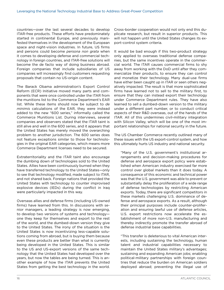countries—over the last several decades to develop ITAR-free products. These efforts have predominately started in continental Europe, and previously manifested themselves in the development of the European space and night-vision industries. In future, US firms and persons could become *persona non grata* when it comes to developing defense and commercial technology in foreign countries, and ITAR-free solutions will become the de facto way of doing business abroad. Foreign companies that include subsidiaries of US companies will increasingly find customers requesting proposals that contain no US-origin content.

The Barack Obama administration's Export Control Reform (ECR) Initiative moved many parts and components that were once controlled under the ITAR from the munitions list to the Commerce Department's EAR list. While these items should now be subject to *de minimis* calculations of the EAR, they were instead added to the new "600 series," informally called the Commerce Munitions List. During interviews, several companies and observers stated that the ITAR taint is still alive and well in the 600 series, and it appears that the United States has merely moved the overarching problem to another jurisdiction. The 600 series does not feature exceptions similar to those for technologies in the original EAR categories, which means more Commerce Department licenses need to be secured.

Extraterritoriality and the ITAR taint also encourage the dumbing down of technologies sold to the United States. Allies have been continuously burned when they have transferred technology to the United States—only to see that technology modified, made subject to ITAR, and not shared back. Foreign nations that provided the United States with technology to counter improvised explosive devices (IEDs) during the conflict in Iraq were particularly impacted in this way.

Overseas allies and defense firms (including US-owned firms) have learned from this. In discussions with senior managers, a leading strategy is now emerging, to develop two versions of systems and technology one they keep for themselves and export to the rest of the world, and the dumbed-down version they give to the United States. The irony of the situation is the United States is now incentivizing less-capable solutions coming from abroad, but is buying them because even these products are better than what is currently being developed in the United States. This is similar to the US and US-export versions of the same technology that the United States had developed over the years, but now the tables are being turned. This is another example of how the ITAR prevents the United States from getting the best technology in the world. Cross-border cooperation would not only end this duplicate research, but result in superior products. This will not happen until the United States changes its export-control system criteria.

It would be bad enough if this two-product strategy only applied to overseas traditional defense companies, but the same incentives operate in the commercial world. The ITAR causes commercial firms to shy away from working with the DoD until after they commercialize their products, to ensure they can control and monetize their technology. Many dual-use firms have either been caught up in ITAR or seen others negatively impacted. The result is that more sophisticated firms have learned not to sell to the military first, to ensure that they can instead export their technology under Commerce Department rules. They have also learned to sell a dumbed-down version to the military under a different part number, or to conduct critical aspects of their R&D overseas, out of the hands of the ITAR. All of this undermines civil-military integration with Silicon Valley, which will be one of the most important relationships for national security in the future.

The US Chamber Commerce recently outlined many of these issues with the US export-control system, and how this ultimately hurts US industry and national security.

"Many of the U.S. government's institutional arrangements and decision-making procedures for defense and aerospace export policy were established when American industry exercised far more control over global markets than it does today. A consequence of this economic and technical power was that the U.S. government was able to prevent or substantially delay the proliferation of a wide range of defense technologies by restricting American exports. Today, there are significant competitors in these markets challenging U.S. dominance of defense and aerospace exports. As a result, although their principal purposes include counter-proliferation and ensuring lawful use of defense articles, U.S. export restrictions now accelerate the establishment of more non-U.S. manufacturing and thereby indirectly promote the transfer abroad of defense industrial base capabilities.

"This transfer is deleterious to vital American interests, including sustaining the technology, human talent and industrial capabilities necessary to maintain the United States military's advantages; sustaining and expanding American jobs; enabling political-military partnerships with foreign countries that reduce the burden on American soldiers deployed abroad; preventing the illegal use of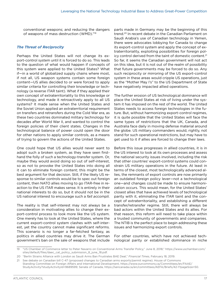conventional weapons; and reducing the dangers of weapons of mass destruction (WMD)."19

#### *The Threat of Reciprocity*

Perhaps the United States will not change its export-control system until it is forced to do so. This leads to the question of what would happen if concepts of this system were applied to the United States? What if—in a world of globalized supply chains where most, if not all, US weapon systems contain some foreign content—US allies decided to or were forced to apply similar criteria for controlling their knowledge or technology (a reverse ITAR taint). What if they applied their own concept of extraterritoriality to this knowledge or technology, and made it retroactively apply to all US systems? It made sense when the United States and the Soviet Union applied an extraterritorial requirement on transfers and retransfers during the Cold War era, as these two countries dominated military technology for decades after World War II, and wanted to control the foreign policies of their client states. Changes in the technological balance of power could open the door for other nations to apply similar controls, as a means of trying to govern the actions of the United States.

One could hope that US allies would never want to adopt such a broken system, as they have seen firsthand the folly of such a technology-transfer system. Or, maybe they would avoid doing so out of self-interest, so as not to provoke the United States into doing all it can to eliminate foreign content; this might be the best argument for that decision. Still, if the likely US response to similar controls would be to spec out foreign content, then NATO allies moving to go ITAR-free in reaction to the US ITAR makes sense. It is entirely in their national interests to do so, but it should not be in the US national interest to encourage such a *fait accompli.*

The reality is that self-interest may not always be a consideration in motivating allies to change their export-control process to look more like the US system. One merely has to look at the United States, where the current export-control system clashes with self-interest, yet the country cannot make significant reforms. This scenario is no longer a far-fetched fantasy, as politics in allied countries may drive it. The German government's ban on the sale of weapons that include

parts made in Germany may be the beginning of this trend.20 In recent debate in the Canadian Parliament on Saudi Arabia's use of Canadian technology in Yemen, there were advocates lobbying for Canada to change its export-control system and apply the concept of extraterritoriality, exploiting possibilities for foreign policy control derived from the taint of domestic content.<sup>21</sup> So far, it seems the Canadian government will not act on this idea, but it is not out of the realm of possibility that future governments may be forced to do so. Any such reciprocity or mirroring of the US export-control system in these areas would cripple US operations, just as the "Mother May I's" to the US Department of State have negatively impacted allied operations.

The further erosion of US technological dominance will place the United States at risk of living under the system it has imposed on the rest of the world. The United States needs to access foreign technologies in the future. But, without harmonizing export-control regimes, it is quite possible that the United States will face the same types of restrictions that the UK, Canada, and Australia face daily in moving defense material around the globe. US military commanders would, rightly, not stand for such operational restrictions, but may have to get used to it if allies are forced to change their laws.

Before this issue progresses in allied countries, it is in the US interest to look at its own processes and assess the national security issues involved, including the risk that other countries' export-control systems could constrain US military operations in the future. At least in terms of the closest, most technologically advanced allies, the remnants of export controls are now primarily an outdated foreign policy lever—not a technological one—and changes could be made to ensure harmonization occurs. This would mean, for the United States' closest allies that have achieved levels of technological parity with it, eliminating the ITAR taint and the concept of extraterritoriality, and establishing a different transfer/retransfer regime. Still, there will always be bad actors within the United States and its allies. For that reason, this reform will need to take place within a trusted community of governments and companies. The NTIB is the perfect place to begin addressing these issues and harmonizing export controls.

For other countries, which have not achieved technological parity or established dominance in niche

<sup>19</sup> "US Chamber of Commerce letter to Peter Navarro on Conventional Arms Transfer Policy," June 8, 2018," https://www.uschamber.com/ sites/default/files/daec\_cat\_policy\_submission\_8\_june\_18.pdf.

<sup>20</sup> "Berlin Strains Alliance with London as Saudi Arms Ban Frustrates BAE Deal," *Financial Times*, February 18, 2019.

<sup>21</sup> See debate on Canadian bill C-47 (proposed changes to Canadian arms exports/permit regime). House of Commons Standing Committee on Foreign Affairs and International Development, https://www.ourcommons.ca/Committees/en/FAAE/ StudyActivity?studyActivityId=9689599; Senate of Canada, https://sencanada.ca/en/committees/AEFA/Briefs/42-1?pageSize=50.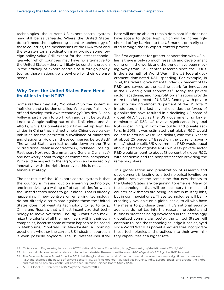<span id="page-21-0"></span>technologies, the current US export-control system may still be salvageable. Where the United States doesn't need the engineering talent or technology of these countries, the mechanisms of the ITAR taint and the extraterritorial application may provide some foreign policy value. Still, except for the latest technologies—for which countries may have no alternative to the United States—there will likely be constant erosion in the efficacy of export controls as a foreign policy tool as these nations go elsewhere for their defense needs.

#### **Why Does the United States Even Need its Allies in the NTIB?**

Some readers may ask, "So what?" So the system is inefficient and a burden on allies. Who cares if allies go off and develop their own technology? Besides, Silicon Valley is just a pain to work with and can't be trusted. Look at Google pulling out of the DoD cloud and AI efforts, while US private-sector firms set up R&D facilities in China that indirectly help China develop capabilities for the persistent surveillance of minorities and dissidents. How can these companies be trusted? The United States can just double down on the "Big 5" traditional defense contractors (Lockheed, Boeing, Raytheon, Northrop Grumman, and General Dynamics) and not worry about foreign or commercial companies. With all due respect to the Big 5, who can be incredibly innovative with the right incentives, this is not a sustainable strategy.

The net result of the US export-control system is that the country is missing out on emerging technology, and incentivizing a walling off of capabilities for which the United States needs to go it alone. That is already happening. If new controls on emerging technology do not directly discriminate against those the United States does not want its technology to go to (e.g., China and Russia), that will just incentivize that technology to move overseas. The Big 5 can't even maximize the talents of all their engineers within their own companies, because some of them happen to be based in Melbourne, Montreal, or Manchester. A looming question is whether the current US industrial approach is even possible anymore. The US defense-industrial

base will not be able to remain dominant if it does not have access to global R&D, which will be increasingly choked off by barriers to the US market primarily created through the US export-control process.

The first argument for greater cooperation with US allies is there is only so much research and development going on in the world, and the trends have been moving away from DoD-centric research since the 1980s. In the aftermath of World War II, the US federal government dominated R&D spending. For example, in 1964, the federal government funded 67 percent of US R&D, and served as the leading spark for innovation in the US and global economies.<sup>22</sup> Today, the private sector, academia, and nonprofit organizations provide more than 88 percent of US R&D funding, with private industry funding almost 70 percent of the US total. $23$ In addition, in the last several decades the forces of globalization have resulted in a declining US share of global R&D.24 Just as the US government no longer dominates US R&D, US relative significance in global R&D is declining, in both the public and private sectors. In 2018, it was estimated that global R&D would equate to around \$2.1 trillion dollars, with the US share at about 25 percent.<sup>25</sup> Based on the current government/industry split, US government R&D would equal about 3 percent of global R&D, while US private-sector R&D would amount to about 18 percent of global R&D, with academia and the nonprofit sector providing the remaining share.

This globalization and privatization of research and development is leading to a technological leveling on a global scale at the same time that new threats to the United States are beginning to emerge. Many of the technologies that will be necessary to meet and counter new threats are being led not in military labs, but in commercial ones. These technologies will be increasingly available on a global scale, to all who have the means to purchase them. If US national security agencies do not tap into the research, products, and business practices being developed in the increasingly globalized commercial sector, the United States will continue to lose the technological edge it has enjoyed since World War II, as potential adversaries incorporate these technologies and practices into their own military capabilities at a higher rate.

<sup>22</sup> "Science and Engineering Indicators 2012," National Science Foundation, http://www.nsf.gov/statistics/seind12/c4/c4s1.htm.

<sup>23</sup> Author calculations based on data contained in Industrial Research Institute and *R&D Magazine's* 2019 global R&D forecast.

<sup>24</sup> The Defense Science Board found in 2012 that the globalization trend of the past several decades has seen a significant dispersion of R&D and changed the nature of private-sector R&D, as firms opened R&D facilities in China, India, Europe, Brazil, and around the globe, and that trend has only continued since then. Defense Science Board Study (2012).

<sup>25</sup> "2018 Global R&D forecast," *R&D Magazine*, Winter 2018.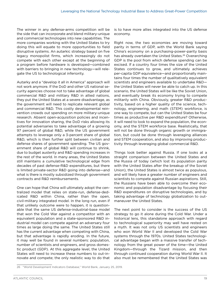The winner in any defense-arms competition will be the side that can incorporate and blend military-unique and commercial technologies into new capabilities. The more companies working with the United States to try doing this will equate to more opportunities to field disruptive systems. An autarkic strategy based on five legacy monopolist firms, which increasingly do not compete with each other except at the beginning of a program before hardware is developed—combined with barriers to bringing in new technology—will relegate the US to technological inferiority.

Autarky and a "develop it all in America" approach will not work anymore. If the DoD and other US national security agencies choose not to take advantage of global commercial R&D and military R&D in allied nations, they put the United States at a severe disadvantage, as the government will need to replicate relevant global and commercial R&D. This costly developmental reinvention crowds out spending on more military-unique research. Absent open-acquisition policies and incentives for innovation sharing, the DoD risks allowing its potential adversaries to take advantage of a growing 97 percent of global R&D, while the US government attempts to leverage only a 3-percent share of global R&D, which is then further split between civilian and defense shares of government spending. The US government share of global R&D will continue to shrink, due to budget austerity and R&D spending increases in the rest of the world. In many areas, the United States still maintains a cumulative technological edge from decades of past defense-R&D expenditures, but there is limited private-sector R&D going into defense—and what is there is mostly subsidized through government contracts and R&D reimbursements.

One can hope that China will ultimately adopt the centralized model that relies on state-run, defense-dedicated R&D within China, rather than the open, civil-military integrated model. In the long run, even if that unlikely outcome were to happen, it is questionable that the same US defense-industrial-base model that won the Cold War against a competitor with an equivalent population and a state-sponsored R&D industrial model can compete against an adversary four times as large doing the same. The United States still has the current advantage when competing with China, but that advantage is rapidly eroding. In the future, it may well be found in several numbers: population, number of scientists and engineers, and gross domestic product (GDP). At this aggregate level, the United States will need to increase these numbers to out-innovate and compete; the only realistic way to do that

is to have more allies integrated into the US defense economy.

Right now, the two economies are moving toward parity in terms of GDP, with the World Bank saying China's economy on a purchasing-power-parity basis has already overtaken the United States.<sup>26</sup> Overarching GDP is the pool from which defense spending can be excised. If a country four times the size of the United States continues to grow, and ultimately achieves per-capita GDP equivalence—and proportionally maintains four times the number of qualitatively equivalent scientists and engineers available to undertake R&D the United States will never be able to catch up. In this scenario, the United States will be like the Soviet Union, and eventually break its economy trying to compete militarily with China. Obviously, greater R&D productivity, based on a higher quality of the science, technology, engineering, and math (STEM) workforce, is one way to compete, but can the United States be four times as productive per R&D expenditure? Otherwise, it will need to look to expand the population, the economy, and the STEM workforce base. Realistically, that will not be done through organic growth or immigration, but could be done through leveraging alliances and STEM cooperation, and also by improving productivity through leveraging global commercial R&D.

Things look better against Russia. If one looks at a straight comparison between the United States and the Russia of today (which lost its population parity with the United States after the breakup of the Soviet Union), the United States is almost twice as populous, and will likely have a greater number of engineers and scientists to compete against Russian aspirations. Still, the Russians have been able to overcome their economic and population disadvantage by focusing their R&D expenditures on disruptive technologies, and by taking advantage of technology globalization to outmaneuver the United States.

The next point to consider is the success of the US strategy to go it alone during the Cold War. Under a historical lens, this standalone approach with regard to technological superiority may well have rested on a myth. It was not only US scientists and engineers who won World War II and developed the Cold War systems through the 1970s. United States technological advantage began with a massive transfer of technology from the great power of the time—the United Kingdom—through the Tizard mission, and then through continued cooperation during World War II. It also must be remembered that the United States was

<sup>26</sup> "World Development Indicators Database," World Bank, January 25, 2019.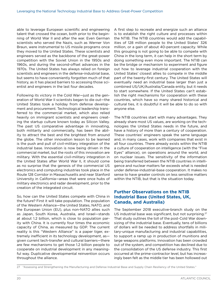<span id="page-23-0"></span>able to leverage European scientific and engineering talent that crossed the ocean, both prior to the beginning of World War II and after the war. Even German scientists who served the Nazis, such as Werner Von Braun, were instrumental to US missile programs once they moved to the United States. These scientists and engineers served as the backbone of the great-power competition with the Soviet Union in the 1950s and 1960s, and during the second-offset advances in the 1970s. The United States has always relied on foreign scientists and engineers in the defense-industrial base, but seems to have conveniently forgotten much of that history, as it has placed barriers to accessing those scientist and engineers in the last four decades.

Following its victory in the Cold War—just as the generation of World War II scientists began to die out—the United States took a holiday from defense development and procurement. Technological leadership transferred to the commercial market, which also relied heavily on immigrant scientists and engineers creating the startup culture known today as Silicon Valley. The past US comparative advantage in innovating, both militarily and commercially, has been the ability to attract the best and the brightest from around the globe. The other innovation lesson to be learned is the push and pull of civil-military integration of the industrial base. Innovation is now being driven in the commercial market, but the roots of this innovation are military. With the essential civil-military integration in the United States after World War II, it should come as no surprise that the genesis of the commercial US electronics and computing industries took place in the Route 128 Corridor in Massachusetts and near Stanford University in California—areas that were once hubs of military electronics and radar development, prior to the creation of the integrated circuit.

So, how can the United States compete with China in the future? First it will take population. The population of the Western Alliance—the United States, NATO, and the European Union (EU), plus non-NATO allies such as Japan, South Korea, Australia, and Israel—stands at about 1.2 billion, which is close to population parity with China. It is currently four times the economic capacity of China, as measured by GDP. The current reality is this "Western Alliance" is a paper tiger, extremely inefficient in its technology development, as given current tech-transfer and cultural barriers—there are few mechanisms to get those 1.2 billion people to cooperate on industrial development in any meaningful way. Duplicative developmental reinvention occurs throughout the alliance.

A first step to recreate and energize such an alliance is to establish the right culture and processes within the NTIB. The NTIB countries would add the capabilities of 128 million people to the United States' 326 million, or a gain of about 40-percent capacity. While this grouping is not going to be able to compete with China in the long term, it can help in the short term by doing something even more important. The NTIB can be the bridge or mechanism to experiment and figure out how to leverage industrial cooperation with the United States' closest allies to compete in the middle part of the twenty-first century. The United States will eventually need an industrial base larger than just a combined US/UK/Australia/Canada entity, but it needs to start somewhere. If the United States can't establish the right mechanisms for cooperation with these countries, which have so many shared historical and cultural ties, it is doubtful it will be able to do so with anyone else.

The NTIB countries start with many advantages. They already share most US values, are working on the technologies the United States needs in the future, and have a history of more than a century of cooperation. These countries' engineers speak the same language and, in many cases, work with companies that exist in all four countries. There already exists within the NTIB a culture of cooperation on intelligence (with the "Five Eyes" alliance), on operations around the world, and on nuclear issues. The sensitivity of the information being transferred between the NTIB countries in intelligence and nuclear matters far exceeds what is needed under defense-industrial-base cooperation. It makes no sense to have greater controls on less sensitive matters within the NTIB, but that is the situation today.

#### **Further Observations on the NTIB Industrial Base (United States, UK, Canada, and Australia)**

The September 2018 executive-branch study on the US industrial base was significant, but not surprising.27 That study outlines the toll of the post-Cold War downsizing of the industrial base. Eventually, tens of billions of dollars will be needed to address shortfalls in military-unique manufacturing and industrial capabilities, to support a ramp up in production of munitions and large weapons platforms. Innovation has been crowded out of the system, and competition has declined due to the consolidation of the US defense industry. This first occurred at the prime-contractor level, but has increasingly been felt as the middle tier has been hollowed out

<sup>27</sup> "Assessing and Strengthening the Manufacturing and Defense Industrial Base and Supply Chain Resiliency of the United States."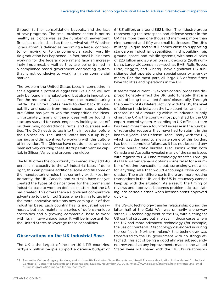<span id="page-24-0"></span>through further consolidation, buyouts, and the lack of new programs. The small-business sector is not as healthy as it once was, as the number of new-entrant firms has declined, as has their survival rate.28 Whether "graduation" is defined as becoming a larger contractor or moving on to the commercial sector, very little graduation has happened. In fact, small businesses working for the federal government face an increasingly impermeable wall as they are being trained in a compliance-based government contracting system that is not conducive to working in the commercial market.

The problem the United States faces in competing in scale against a potential aggressor like China will not only be found in manufacturing, but also in innovation. For the moment, China has won the manufacturing battle. The United States needs to claw back this capability and source from more secure supply chains, but China has yet to win the competition for ideas. Unfortunately, many of these ideas will be found in startups starved for cash, engineers looking to set off on their own, nontraditional firms, and overseas entities. The DoD needs to tap into this innovation before the Chinese do. The United States has put up huge barriers and disincentives to working with this culture of innovation. The Chinese have not done so, and have been actively courting these startups with venture capital, in Silicon Valley and around the globe.

The NTIB offers the opportunity to immediately add 40 percent in capacity to the US industrial base. If done right, this can provide additional scale and fill some of the manufacturing holes that currently exist. Most importantly, the UK, Canada, and Australia have not yet created the types of disincentives for the commercial industrial base to work on defense matters that the US has created. This offers them a significant comparative advantage to the United States when trying to tap into the more innovative solutions now coming out of that industrial base. Each country has its industrial weaknesses, but also maintains a series of defense-unique specialties and a growing commercial base to work with its military-unique base. It will be important for the United States to leverage these capabilities.

#### **Observations on the UK Industrial Base**

The UK is the largest of the non-US NTIB countries. Sixty-six million people support a defense budget of £48.3 billion, or around \$62 billion. The industry group representing the aerospace and defense sector in the UK has more than one thousand members; more than nine hundred and fifty are small businesses. The UK's military-unique sector still comes close to supporting standalone industrial capabilities in shipbuilding, air, ground, space, and missile systems, with annual sales of £23 billion and £5.9 billion in UK exports (2016 numbers). Large UK companies—such as BAE, Rolls Royce, Ultra, Meggitt, and Qinetiq—have significant US subsidiaries that operate under special security arrangements. For the most part, all large US defense firms have facilities and operations in the UK.

It seems that current US export-control processes disproportionately affect the UK; unfortunately, that is a result of being the United States' closest ally. Through the breadth of its bilateral activity with the US, the level of defense trade between the two countries, and its increased use of outsourcing within its industrial supply chain, the UK is the country most punished by the US export-control system. According to UK officials, there has been more than a four-fold increase in the number of retransfer requests they have had to submit in the last four years. The Defense Trade Treaty with the UK, which was designed to alleviate some of this burden, has been a complete failure, as it has not lessened any of the bureaucratic hurdles. Discussions within both Canada and Australia revealed many of the same issues with regards to ITAR and technology transfer. Through its ITAR waiver, Canada obtains some relief for a number of routine transactions, but, surprisingly, not a lot for anything else that would encourage close collaboration. The main difference is there are more routine transactions in the UK, and the US bureaucracy cannot keep up with the situation. As a result, the timing of reviews and approvals becomes problematic, translating into periodic crises when licenses aren't approved quickly.

The US-UK technology-transfer relationship during the latter half of the Cold War was primarily a one-way street. US technology went to the UK, with a stringent US control structure put in place. In those cases where the UK had more advanced technology (for example, the use of counter-IED technology developed in during the conflict in Northern Ireland), this technology was transferred to the US government with no strings attached. This act of being a good ally was subsequently not rewarded, as any improvements made in the United States were not shared with the UK. This relationship

<sup>28</sup> Samantha Cohen, Gregory Sanders, and Andrew Philip Hunter, "New Entrants and Small Business Graduation in the Market for Federal Contracts," Center for Strategic and International Studies, November 20, 2018, https://www.csis.org/analysis/new-entrants-and-smallbusiness-graduation-market-federal-contracts.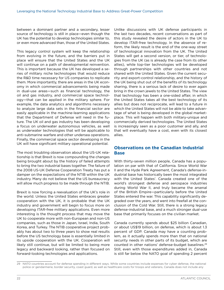<span id="page-25-0"></span>between a dominant partner and a secondary, lesser source of technology is still in place—even though the UK has the potential to develop technologies similar to, or even more advanced than, those of the United States.

This legacy control system will keep the relationship from evolving in the future, and the barriers put in place will ensure that the United States and the UK will continue on a path of developmental reinvention. This is important because the UK has developed a series of military niche technologies that would reduce the R&D time necessary for US companies to replicate them. More importantly, there are areas in the UK economy in which commercial advancements being made in dual-use areas—such as financial technology, the oil and gas industry, and commercial space technology—that can be applied in the military sphere. For example, the data analytics and algorithms necessary to analyze large data sets in the financial sector are easily applicable in the machine-learning applications that the Department of Defense will need in the future. The UK oil and gas industry has been developing a focus on underwater autonomous vehicles, as well as underwater technologies that will be applicable to anti-submarine warfare and other undersea operations. Finally, the commercial space sector developing in the UK will have significant military operational potential.

The most troubling observation about the US-UK relationship is that Brexit is now compounding the changes being brought about by the history of failed attempts to bring the two industrial bases together. The failure of the 2008 US-UK Defense Cooperation Treaty has put a damper on the expectations of the NTIB within the UK industry. Many do not believe that the US bureaucracy will allow much progress to be made through the NTIB.

Brexit is now forcing a reevaluation of the UK's role in the world. Unless the United States embraces greater cooperation with the UK, it is probable that the UK industry and government will begin to focus more on developing ITAR-free military applications. Even more interesting is the thought process that may move the UK to cooperate more with non-European and non-US companies, such as those in Japan, Israel, India, South Korea, and Turkey. The NTIB cooperative project probably has about two to three years to show real results before the US technology base is essentially limited in its upside cooperation with the UK. Cooperation will likely still continue, but will be limited to being more legacy and backward looking, rather than focused on forward-looking technologies and applications.

Unlike discussions with UK defense participants in the last two decades, recent conversations as part of this study revealed the desire of actors in the UK to develop ITAR-free technology. In the absence of reform, the likely result is the end of the one-way street of technological innovation from the UK. The United States will get a second version, or tier, of technologies from the UK (as is already the case from its other allies), while top-tier technologies will be developed through partnerships with other countries and not shared with the United States. Given the current security and export-control relationship, and the history of the UK being shut out of the benefits of its technology sharing, there is a serious lack of desire to ever again bring in the crown jewels to the United States. The view that technology has been a one-sided affair, in which the United States takes all the best technology of its allies but does not reciprocate, will lead to a future in which the United States will not be able to take advantage of what is being developed in the global marketplace. This will happen with both military-unique and commercially derived technologies. The United States is increasingly seen as a poor customer and ally, and that will eventually have a cost, even with its closest allies.

#### **Observations on the Canadian Industrial Base**

With thirty-seven million people, Canada has a population on par with that of California. Since World War II and the Hyde Park Agreement, Canada's defense-industrial base has historically been the most integrated with the United States'. Canada created one of the world's strongest defense and aerospace industries during World War II, and truly became the arsenal of the British Empire—particularly before the United States entered the war. This capability significantly degraded over the years, and went into freefall at the conclusion of the Cold War. Still, there is a strong legacy defense-industrial base, and a much stronger dual-use base that primarily focuses on the civilian market.

Canada currently spends about \$25 billion Canadian, or about US\$19 billion, on defense, which is about 1.3 percent of GDP. Canada may have a counting problem, as it actually spends more than that on national security needs in other parts of its budget, which are counted in other nations' defense-budget baselines.29 Still, even with those expenditures added in, Canada is still far below the NATO goal of spending 2 percent

<sup>29</sup> NATO countries account for defense spending in different ways. While some countries include expenses for cyber defense, the national police or gendarmerie, border security, coast guard, as well as healthcare costs for troops and veterans, Canada does not include any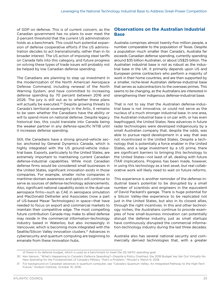<span id="page-26-0"></span>of GDP on defense. This is of current concern, as the Canadian government has no plans to ever meet the 2-percent threshold that the current US administration holds as a benchmark. This could hurt potential expansion of defense cooperative efforts if the US administration decides to act transnationally, rather than in its broader interest. The US action of imposing steel tariffs on Canada falls into this category, and future progress on solving these types of trade issues will probably not be helped by low Canadian defense spending.

The Canadians are planning to step up investment in the modernization of the North American Aerospace Defense Command, including renewal of the North Warning System, and have committed to increasing defense spending by 70 percent between 2016 and 2026. The jury is still out as to whether these plans will actually be executed.<sup>30</sup> Despite growing threats to Canada's territorial sovereignty in the Artic, it remains to be seen whether the Canadians have the ability or will to spend more on national defense. Despite legacy historical ties, this could translate into Canada being the weaker partner in any defense-specific NTIB until it increases defense spending.

Still, the Canadians have a strong ground-vehicle sector, anchored by General Dynamics Canada, which is highly integrated with the US ground-vehicle industrial base. Exports, particularly to the United States, are extremely important to maintaining current Canadian defense-industrial capabilities. While most Canadian defense firms would be considered small businesses in the United States, significant innovation exists in those companies. For example, smaller niche companies in maritime-domain awareness and optics will continue to serve as sources of defense-technology advancements. Also, significant national capability exists in the dual-use aerospace firms—such as CAE in aerospace simulation and MacDonald Dettwiler and Associates (now a part of US-based Maxar Technologies) in space—that have needed to focus on export and commercial markets to maintain their competitive edge. The most compelling future contribution Canada may make to allied defense may reside in the commercial information-technology industry based in Waterloo, but also increasingly in Vancouver, which is becoming more integrated with the Seattle/Silicon Valley innovation clusters.<sup>31</sup> Advances in cybersecurity and quantum computing are beginning to emanate from these innovation hubs.

#### **Observations on the Australian Industrial Base**

Australia comprises almost twenty-five million people, a number comparable to the population of Texas. Despite a population much smaller than Canada's, Australia far exceeds Canadian defense spending, currently spending around \$35 billion Australian, or about US\$25 billion. The Australian industrial base is not as robust as the industrial base in the UK. It primarily depends upon US and European prime contractors who perform a majority of work in their home countries, and are then supported by a smaller, niche-level Australian defense-industrial base that serves as subcontractors to the overseas primes. This seems to be changing, as the Australians are interested in strengthening their indigenous defense-industrial base.

That is not to say that the Australian defense-industrial base is not innovative, or could not serve as the nucleus of a much stronger industrial base. In one area, the Australian industrial base is on par with, or has even leapfrogged, the United States. New advances in future radar technologies were developed indigenously by a small Australian company that, despite the odds, was able to pursue rapid development in a way that was not incentivized in the United States. Despite a technology that is potentially a force enabler in the United States, and a large investment by a US prime, there are significant barriers to bringing this technology to the United States—not least of all, dealing with future ITAR implications. Progress has been made, however, in using this technology as a test asset, but real collaborative work will likely need to wait on future reforms.

This experience is another reminder of the defense-industrial base's potential to be disrupted by a small number of scientists and engineers in the equivalent of David Packard's garage. There is huge potential for a Silicon Valley-like experience to be replicated not just in the United States, but also in its closest allies, through the right incentives. In this and other technology niches, the Australians continue to provide examples of how small-business innovation can potentially disrupt the defense industry, just as small startups have continuously disrupted the commercial information-technology industry during the last three decades.

Australia also has several national security and commercially derived technologies that, with a greater

of these in its defense budget, which is used as a benchmark to meet the 2% NATO spending goal.

<sup>30</sup> Ken Hanson, "What's Happening to Canada's Defence Spending?—Despite a Policy Overhaul, the 2018 Budget has Set Out Virtually No New Spending for the Fundamentals of Canada's Military. That's a Problem," *McLean's*, March 6, 2018.

<sup>31</sup> For background on Canadian advances in quantum computer, see "Canada's Quantum Valley: An Integrated Pathway to the High-Tech Future," Hudson Institute, October 16, 2018.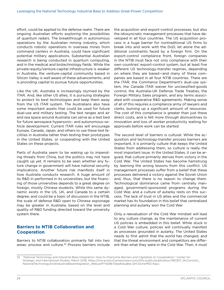<span id="page-27-0"></span>effort, could be applied to the defense realm. There are ongoing Australian efforts exploring the possibilities of quantum radars. The breakthrough in autonomous operations by the Australian mining industry, which conducts robotic operations in overseas mines from command centers in Australia, could have significant potential military applications. Substantial Australian research is being conducted in quantum computing, and in the medical and biotechnology fields. While the private-equity/venture-capital infrastructure is weaker in Australia, the venture-capital community based in Silicon Valley is well aware of these advancements, and is providing capital to pursue future opportunities.

Like the UK, Australia is increasingly stymied by the ITAR. And, like other US allies, it is pursuing strategies to protect its best technologies and keep them away from the US ITAR system. The Australians also have some important assets that could be used for future dual-use and military testing. The test ranges and air and sea space around Australia can serve as a test bed for future aerospace hypersonic- and autonomous-vehicle development. Current ITAR rules will encourage Europe, Canada, Japan, and others to use these test facilities in Australia rather than testing their prototypes in the United States, or cooperating with the United States on these projects.

Parts of Australia seem to be waking up to impending threats from China, but the politics may not have caught up yet. It remains to be seen whether any future change in government will have national security implications. Another future risk manifests itself in how Australia conducts research. A huge amount of its R&D in performed in its universities, but the financing of those universities depends to a great degree on foreign, mostly Chinese students. While this same dynamic exists in the US, UK, and Canada to a certain degree, and could be a topic of discussion in the NTIB, the scale of defense R&D open to Chinese espionage may be greater in Australia, based on the level and quality of R&D funding directed toward the university system there.

#### **Barriers to NTIB Collaboration and Cooperation**

Barriers to NTIB collaboration primarily fall into two areas: process and culture.<sup>32</sup> Process barriers include

the acquisition and export-control processes, but also the idiosyncratic management processes that have developed in all four countries. The US acquisition process is a huge barrier for nontraditional US firms to break into and work with the DoD, let alone the additional constraints faced by a foreign firm. On the export-control compliance front, foreign companies in the NTIB must face not only compliance with their own countries' export-control system, but at least five different US technology-transfer regimes, depending on where they are based—and many of these companies are based in all four NTIB countries. There are the ITAR, the Commerce Department's dual-use system, the Canada ITAR waiver for unclassified-goods control, the Australia-UK Defense Trade Treaties, the Foreign Military Sales program, and any terms associated with cooperative R&D agreements. Making sense of all of this requires a compliance army of lawyers and clerks, burning up a significant amount of resources. The cost of this compliance is greater than just these direct costs, and is felt more through disincentives to innovation and loss of worker productivity waiting for approvals before work can be started.

The second level of barriers is cultural. While the acquisition and technology-transfer process barriers are important, it is primarily culture that keeps the United States from addressing them, so culture is really the most important issue. In the United States, it can be argued, that culture primarily derives from victory in the Cold War. The United States has become hamstrung by learning the wrong lessons from this conflict. US management processes suffer from a belief that these processes delivered a victory against the Soviet Union and, thus, that there is no reason to change them. Technological dominance came from centrally managed, government-sponsored programs during the Cold War, and a culture of autarky rests on this success. The lack of trust in US allies and the commercial market has its foundation in this belief that centralized planning and autarky won the Cold War.

Only a reevaluation of the Cold War mindset will lead to any culture change, as the maintenance of current US policies is embedded in this belief. While stuck in a Cold War culture, policies will continually manifest as processes grounded in autarky. The United States needs to first admit that the world has changed, and that the threat environment and competitors are different than what they were in the Cold War. Then, it must

<sup>32</sup> "National Technology and Industrial Base Integration: How to Overcome Barriers and Capitalize on Cooperation," Center for Strategic and International Studies, March 2018, https://csis-prod.s3.amazonaws.com/s3fs-public/publication/180307\_McCormick\_ NationalTechnologyAndIndustrialBaseIntegration\_Web.pdf?Yd28kTbbpfedujBec.QYCbUtwMDC4qaJ.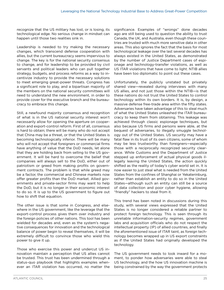recognize that the US military has lost, or is losing, its technological edge. No serious change in mindset can happen until those two realities sink in.

Leadership is needed to try making the necessary changes, which transcend defense cooperation with allies, but the current bureaucracy seems impervious to change. The key is for the national security consensus to change, and for leadership to be provided by civil servants and political leaders who can pull together strategy, budgets, and process reforms as a way to incentivize industry to provide the necessary solutions to meet emerging great-power threats. Congress has a significant role to play, and a bipartisan majority of the members on the national security committees will need to understand the new environment, in order to provide cover for the executive branch and the bureaucracy to embrace this change.

Still, a newfound majority consensus and recognition of what is in the US national security interest won't necessarily allow for opening the aperture on cooperation and export-control reform. First of all, consensus is hard to obtain; there will be many who do not accept that China may be a threat, or that the United States is becoming technologically inferior. There will be many who will not accept that foreigners or commercial firms have anything of value that the DoD needs, let alone that they are holding back from selling to the US government. It will be hard to overcome the belief that companies will always sell to the DoD, either out of patriotism or greed from making profits on government contracts. The problem is that while greed may be a factor, the commercial and Chinese markets now offer greater profits than the DoD market. Allied governments and private-sector firms may want to help the DoD, but it is no longer in their economic interest to do so. It is up to the US government to figure out how to shift that equation.

The other issue is that some in Congress, and elsewhere in the US government, like the leverage that the export-control process gives them over industry and the foreign policies of other nations. This tool has been wielded for decades and, even as the system's negative consequences for innovation and the technological balance of power begin to reveal themselves, it will be extremely difficult to convince those who wield this power to give it up.

Those who exercise this power and undercut US innovation maintain a perception that US allies cannot be trusted. This trust has been undermined through a status-quo playbook that highlights examples whenever an ITAR violation has occurred, no matter the

significance. Examples of "wrongs" done decades ago are still being used to question the ability to trust Canada, the UK, and Australia, even though these countries are trusted with much more sensitive data in other areas. This also ignores the fact that the basis for most technological leakage over the last several decades has always existed in the United States, as demonstrated by the number of Justice Department cases of espionage and technology-transfer violations, as well as US ITAR violations that have come to light. NTIB allies have been too diplomatic to point out these cases.

Unfortunately, the publicly unstated but privately shared view—revealed during interviews with many US allies, and not just those within the NTIB—is that these nations do not trust the United States to control technology within its own borders. It is, by design, a massive defense free-trade area within the fifty states. Adversaries have taken advantage of this to steal much of what the United States unleashed the ITAR bureaucracy to keep them from obtaining. This leakage was achieved through classic espionage techniques, but also because US firms and persons were able, at the bequest of adversaries, to illegally smuggle technology out of the United States. US security may have a fatal flaw in its trust of its own citizens, some of whom may be less trustworthy than foreigners—especially those with a reciprocally recognized security clearance. While Customs and the Department of Justice stepped up enforcement of actual physical goods illegally leaving the United States, the action quickly shifted as the reality of today's cyber world set in. It is now easier to just steal what is needed from the United States from the confines of Shanghai or Yekaterinburg, rather than establish an entity to do so in the United States—although such an entity can still be a source of data collection and poor cyber hygiene, allowing "friendly" hackers to steal from it.

This trend has been noted in discussions during this study, with several views expressed that the United States is no longer considered a reliable partner to protect foreign technology. This is seen through its unreliable information-security regimes, government labs and acquisition officials who do not respect the intellectual property (IP) of allied countries, and finally the aforementioned issue of ITAR taint, as foreign technology becomes wrapped up in US export constraints as if the United States had originally developed the technology.

The US government needs to look inward for a moment, to ponder how adversaries were able to steal US technology, and the how US innovation machine is being constrained by the way the government protects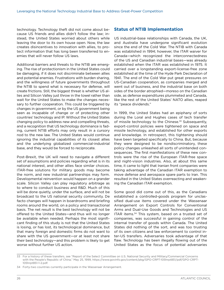<span id="page-29-0"></span>technology. Technology theft did not come about because US friends and allies didn't follow the law; instead, the United States worried about others while leaving the door to its own house open. Now, the law creates disincentives to innovation with allies, to protect information that has long been transferred to enemies that will never follow US laws.

Additional barriers and threats to the NTIB are emerging. The rise of protectionism in the United States could be damaging, if it does not discriminate between allies and potential enemies. Frustrations with burden sharing, and the willingness of future governments throughout the NTIB to spend what is necessary for defense, will create frictions. Still, the biggest threat is whether US allies and Silicon Valley just throw in the towel rather than wait for the United States to make the changes necessary to further cooperation. This could be triggered by changes in government, or by the US government being seen as incapable of change or of protecting other countries' technology and IP. Without the United States changing policy to address new and compelling threats, and a recognition that US technology dominance is fading, current NTIB efforts may only result in a cursory nod to the new law. The United States would continue ignoring the industrial capabilities of its closest allies and the underlying globalized commercial-industrial base, and they would be forced to reciprocate.

Post-Brexit, the UK will need to navigate a different set of assumptions and policies regarding what is in its national interest, and other allies face similar choices. ITAR-free solutions for military goods may become the norm, and new industrial partnerships may form. Developmental reinvention would happen on a grander scale. Silicon Valley can play regulatory arbitrage as to where to conduct business and R&D. Much of this will be done quietly, under the surface, and will not be broadcast to the US national security community. De facto changes will happen in boardrooms and briefing rooms around the world, on a policy and transactional basis. The net result is the best technology will not be offered to the United States—and thus will no longer be available when needed. Perhaps the most significant finding of this study is not that the United States is losing, or has lost, its technological dominance, but that many foreign and domestic firms do not want to share with the US government—or at least not share their best technology—and this problem is likely to get worse without further US action.

#### **Status of NTIB Implementation**

US industrial-base relationships with Canada, the UK, and Australia have undergone significant evolution since the end of the Cold War. The NTIB with Canada was established in 1994; however, the ITAR waiver for Canada—which recognized the interconnectedness of the US and Canadian industrial bases—was already established when the ITAR was established in 1975. It carried over a longstanding export-license-free zone established at the time of the Hyde Park Declaration of 1941. The end of the Cold War put great pressures on US-Canadian cooperation, as companies merged and went out of business, and the industrial base on both sides of the border atrophied—moreso on the Canadian side, as defense expenditures plummeted and Canada, like the rest of the United States' NATO allies, reaped its "peace dividends."

In 1999, the United States had an epiphany of sorts during the Loral and Hughes cases of tech transfer of missile technology to the Chinese.<sup>33</sup> Subsequently, export-control policies were tightened on space and missile technology, and established for other exports and knowledge. In retrospect, this tightening should have been targeted specifically to China. But, because they were designed to be nondiscriminatory, these policy changes unleashed all sorts of unintended consequences. The first manifestations of these new controls were the rise of the European ITAR-free space and night-vision industries. Also, at about this same time, it came to light that Iranian front companies were taking advantage of the Canadian ITAR exemption to move defense and aerospace spare parts to Iran. This resulted in the United States overreacting and weakening the Canadian ITAR exemption.

Some good did come out of this, as the Canadians established a controlled-goods program for unclassified dual-use items covered under the Wassenaar Arrangement on Export Controls for Conventional Arms and Dual-Use Goods and Technologies and US ITAR items.<sup>34</sup> This system, based on a trusted set of companies, was successful in gaining control of the internal transfer of goods within Canada. The United States did nothing of the sort, and was too trusting of its own citizens and law enforcement to control inter-US transfers. Adversaries took advantage of that flaw. Technology has been illegally flowing out of the United States as the focus of potential adversaries

<sup>33</sup> For a history of these transfers, see "Report of the Select Committee on U.S. National Security and Military/Commercial Concerns with the People's Republic of China," May 25, 1999, https://www.govinfo.gov/content/pkg/GPO-CRPT-105hrpt851/pdf/GPO-CRPT-105hrpt851-1-2.pdf.

<sup>34</sup> Forty-two countries currently participate in the Wassenaar Arrangement.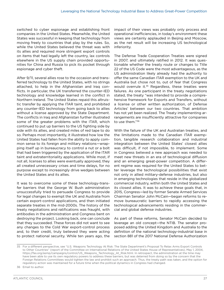switched to cyber espionage and establishing front companies in the United States. Meanwhile, the United States was successful in keeping that technology from moving freely to countries that play by the rules. So, while the United States believed the threat was with its allies and required more stringent export controls on items that had legally left the country, lax controls elsewhere in the US supply chain provided opportunities for China and Russia to pick its pocket through espionage and cyber theft.

After 9/11, several allies rose to the occasion and transferred technology to the United States, with no strings attached, to help in the Afghanistan and Iraq conflicts. In particular, the UK transferred the counter-IED technology and knowledge learned in the conflict in Northern Ireland. The United States repaid this altruistic transfer by applying the ITAR taint, and prohibited any counter-IED technology from going back to allies without a license approved by the State Department. The conflicts in Iraq and Afghanistan further illustrated some of the greater problems with the ITAR, which continued to put up barriers to the US fighting side by side with its allies, and created miles of red tape to do so. Perhaps most importantly, it illustrated how low the United States had fallen from the ability to apply common sense to its foreign and military relations—wrapping itself up in bureaucracy to control a nut or a bolt that had been triggered by the application of the ITAR taint and extraterritoriality applications. While most, if not all, licenses to allies were eventually approved, they all created unnecessary crises and time delays, for no purpose except to increasingly drive wedges between the United States and its allies.

It was to overcome some of these technology-transfer barriers that the George W. Bush administration unsuccessfully tried to persuade Congress to provide for legal changes to exempt the UK and Australia from certain export-control applications, and then initiated separate treaties in the mid-2000s. The history of the treaty negotiations and ratifications was fraught, with antibodies in the administration and Congress bent on destroying the project. Looking back, one can conclude that they succeeded. These forces did not want to see any changes to the Cold War export-control process and, to their credit, truly believed they were acting to protect national security. While ten years ago, the impact of their views was probably only process and operational inefficiencies, in today's environment these views are certainly applauded in Beijing and Moscow, as the net result will be increasing US technological inferiority.

The Defense Trade Cooperation Treaties were signed in 2007, and ultimately ratified in 2012. It was questionable whether the treaty route or changes to Title 22 of the US Code were the most advantageous, as the US administration likely already had the authority to offer the same Canadian ITAR exemption to the UK and Australia but chose not to, out of fear that Congress would overrule it.<sup>35</sup> Regardless, these treaties were failures. As one participant in the treaty negotiations stated, the treaty "was intended to provide a comprehensive framework for Exports and Transfers, without a license or other written authorization, of Defense Articles' between our two countries. That ambition has not yet been realized. The Treaty implementing arrangements are insufficiently attractive for companies to use them."36

With the failure of the UK and Australian treaties, and the limitations made to the Canadian ITAR exemption, tangible research collaboration and industrial integration between the United States' closest allies was difficult, if not impossible, to implement. Some in Congress believed a new approach was needed to meet new threats in an era of technological diffusion and an emerging great-power competition. A different regime was required for the United States to better leverage the technological possibilities that exist not only in allied military-defense industries, but also in emerging technologies that reside in the globalized commercial industry, within both the United States and its closest allies. It was to achieve these goals that, in 2015, Congress—led by former Senate Armed Services Chairman Senator John McCain—began reforms to remove bureaucratic barriers to rapidly accessing the technological advancements residing in the commercial and global defense industries.

As part of these reforms, Senator McCain decided to leverage an old concept—the NTIB. The senator proposed adding the United Kingdom and Australia to the definition of the national technology-industrial base in section 881 of the 2017 National Defense Authorization

<sup>35</sup> For a different perspective, see "U.S. Weapons Technology At Risk: The State Department's Proposal To Relax Arms Export Controls to Other Countries" (report of the Committee on International Relations of the United States House of Representatives), May 1, 2004, https://fas.org/asmp/campaigns/control/US\_Weapons\_Technology\_At\_Risk.html. In retrospect, the administration at the time may have been able to use its own regulatory powers to address these barriers, but was deterred from doing so by the concern that the Foreign Relations Committees would tighten the law and prohibit such an approach. Thus, the treaty path was taken, and the option for regulatory action was maintained for a future time when the political dynamics in Congress had changed.

<sup>36</sup> Email to author.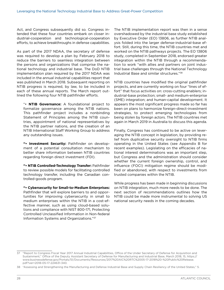Act, and Congress subsequently did so. Congress intended that these four countries embark on closer industrial-cooperation and technological-cooperation efforts, to achieve breakthroughs in defense capabilities.

As part of the 2017 NDAA, the secretary of defense was required to develop a plan by February 2018 to reduce the barriers to seamless integration between the persons and organizations that comprise the national technology and industrial base. The DoD NTIB implementation plan required by the 2017 NDAA was included in the annual industrial capabilities report that was published in March 2018. Subsequent reporting on NTIB progress is required, by law, to be included in each of these annual reports. The March report outlined the following four NTIB pathfinder efforts.

"• **NTIB Governance:** A foundational project to formalize governance among the NTIB nations. This pathfinder project includes a nonbinding Statement of Principles among the NTIB countries, appointment of national representatives by the NTIB partner nations, and the creation of an NTIB International Staff Working Group to address any outstanding issues.

**"• Investment Security:** Pathfinder on development of a potential consultation mechanism to better share information between NTIB countries regarding foreign direct investment (FDI).

**"• NTIB Controlled-Technology Transfer:** Pathfinder to review possible models for facilitating controlled technology transfer, including the Canadian controlled-goods program.

**"• Cybersecurity for Small-to-Medium Enterprises:**  Pathfinder that will explore barriers to and opportunities for improving cybersecurity in small to medium enterprises within the NTIB in a cost-effective manner, such as using cloud-based solutions and compliance with NIST 800-171, Protecting Controlled Unclassified Information in Non-federal Information Systems and Organizations."37

The NTIB implementation report was then in a sense overshadowed by the industrial base study established by Executive Order (EO) 13806, as further NTIB analysis folded into the larger defense-industrial-base effort. Still, during this time, the NTIB countries met and worked on the NTIB pathways projects. The EO 13806 study, completed in September 2018, endorsed greater integration within the NTIB through a recommendation to work "with allies and partners on joint industrial base challenges through the National Technology Industrial Base and similar structures."38

NTIB countries have modified the original pathfinder projects, and are currently working on four "lines of effort" that focus activities on: cross-cutting enablers; industrial-base protection; small- and medium-enterprise (SME) integration; and human-capital development. It appears the most significant progress made so far has been on plans to harmonize foreign-direct-investment strategies, to protect emerging technologies from being stolen by foreign actors. The NTIB countries met again in March 2019 in Australia to discuss this agenda.

Finally, Congress has continued to be active on leveraging the NTIB concept in legislation, by providing relief from duplicative security oversight to NTIB firms operating in the United States (see Appendix B for recent examples). Legislating on the efficacies of national interest determinations was an important step, but Congress and the administration should consider whether the current foreign ownership, control, and influence (FOCI) mitigation regime should be modified or abandoned, with respect to investments from trusted companies within the NTIB.

While progress has been made in beginning discussions on NTIB integration, much more needs to be done. The next section of recommendations outlines how the NTIB could be made more instrumental to solving US national security needs in the coming decades.

<sup>37</sup> "Report to Congress Fiscal Year 2017 Annual Industrial Capabilities, Office of the Under Secretary of Defense for Acquisition and Sustainment," Office of the Deputy Assistant Secretary of Defense for Manufacturing and Industrial Base, March 2018, 15, https:// www.businessdefense.gov/Portals/51/Documents/Resources/2017%20AIC%20RTC%2005-17-2018%20-%20Public%20Release. pdf?ver=2018-05-17-224631-340.

<sup>38</sup> "Assessing and Strengthening the Manufacturing and Defense Industrial Base and Supply Chain Resiliency of the United States," 5.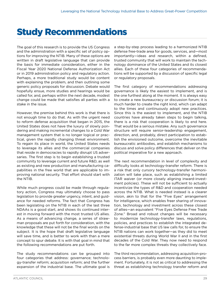### <span id="page-32-0"></span>Study Recommendations

The goal of this research is to provide the US Congress and the administration with a specific set of policy options for improving the NTIB. Many of these options are written in draft legislative language that can provide the basis for immediate consideration, either in the Fiscal Year 2020 National Defense Authorization Act or in 2019 administration policy and regulatory action. Perhaps, a more traditional study would be content with explaining the problem, and then outlining some generic policy proposals for discussion. Debate would hopefully ensue, more studies and hearings would be called for, and, perhaps within the next decade, modest change could be made that satisfies all parties with a stake in the issue.

However, the premise behind this work is that there is not enough time to do that. As with the urgent need to reform defense acquisition that began in 2015, the United States does not have the luxury of slowly pondering and making incremental changes to a Cold War management system that is no longer logical or practical, given the rapidly changing threat environment. To regain its place in world, the United States needs to leverage its allies and the commercial companies that reside in democracies to rapidly disrupt US adversaries. The first step is to begin establishing a trusted community to leverage current and future R&D, as well as existing and new production and manufacturing capabilities in the free world that are applicable to improving national security. That effort should start with the NTIB.

While much progress could be made through regulatory action, Congress may ultimately choose to pass legislation to provide greater urgency, intent, and guidance for needed reforms. The fact that Congress has been legislating on the NTIB in each of the last three NDAAs is a good start, and shows its continued interest in moving forward with the most trusted US allies. As a means of advancing change, a series of strawman proposals are put forth for consideration, with the knowledge that these will not be the final words on the subject. It is the hope that draft legislative language will save time, and is better to work with than a mere concept to spur debate. It is with that goal in mind that the following recommendations are put forth.

The study recommendations can be grouped into four categories that address: governance; technology-transfer reform; acquisition reform; and the further expansion of the industrial base. The ultimate goal is a step-by-step process leading to a harmonized NTIB defense free-trade area for goods, services, and—most importantly—ideas and research, within a defined, trusted community that will work to maintain the technology dominance of the United States and its closest allies. Each of these four categories of recommendations will be supported by a discussion of specific legal or regulatory proposals.

The first category of recommendations addressing governance is likely the easiest to implement, and is the one furthest along at the moment. It is always easy to create a new bureaucracy or discussion forum; it is much harder to create the right kind, which can adapt to the times and continuously adopt new practices. Since this is the easiest to implement, and the NTIB countries have already taken steps to begin talking, there is a risk that cooperation is likely to end here. That would be a serious mistake. Any such governance structure will require senior-leadership engagement, direction, and, probably, direct participation to establish the envisioned outcome, overcome the inevitable bureaucratic antibodies, and establish mechanisms to discuss and solve policy differences that deliver on the political imperative for a new approach.

The next recommendation in level of complexity and difficulty looks at technology-transfer reform. There is a risk that only cursory technology-transfer harmonization will take place, such as establishing a limited ITAR waiver (or more closely aligning inward-investment policies). These will not be sufficient to actually incentivize the types of R&D and cooperation needed across the NTIB. What is needed instead is a clearer vision, akin to that for the "Five Eyes" arrangement for intelligence, which enables freer sharing of innovation, technology and investment across these closest of allies—an equivalent "Five Eyes Defense Free Trade Zone." Broad and robust changes will be necessary to modernize technology-transfer laws, regulations, policies, and practices to establish the integrated defense-industrial base that US law calls for, to ensure the NTIB nations can work together—as they did to meet existential threats during World War II and in the first decades of the Cold War. They now need to respond to the far more complex threats they collectively face.

The third recommendation, addressing acquisition-process barriers, is probably even more daunting to implement. Fortunately, it is not as critical to addressing the threat as establishing technology transfer reform and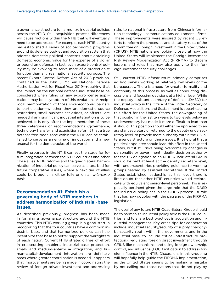<span id="page-33-0"></span>a governance structure to harmonize industrial policies across the NTIB. Still, acquisition-process differences will cause frictions within the NTIB that will eventually need to be addressed. For example, each NTIB country has established a series of socioeconomic programs around its defense budget and acquisition system that address domestic political concerns about obtaining domestic economic value for the expense of a dollar or pound on defense. In fact, even export-control policy may be evolving to serve more of a protectionist function than any real national security purpose. The recent Export Control Reform Act of 2018 provision, contained in the John S. McCain National Defense Authorization Act for Fiscal Year 2019—requiring that the impact on the national defense-industrial base be considered when ruling on any export-license application—may be a symptom of this evolution. A reciprocal harmonization of those socioeconomic barriers to participation—whether they are domestic source restrictions, small-business set asides, or offsets—are needed if any significant industrial integration is to be achieved. It is only after the implementation of these three categories of recommendations (governance, technology transfer, and acquisition reform) that a true defense free-trade zone within the NTIB can be established to serve as an engine of innovation and a new arsenal for the democracies of the world.

Finally, progress in the NTIB can set the stage for future integration between the NTIB countries and other close allies. NTIB reforms and the quadrilateral harmonization of industrial policy can serve as a test bed for future cooperative issues, where a next tier of allies could be brought in, either fully or on an *a-la-carte*  basis.

#### **Recommendation #1: Establish a governing body of NTIB members to address harmonization of industrial-base issues.**

As described previously, progress has been made in forming a governance structure around the NTIB countries. This NTIB working group is a good start in recognizing that the four countries have a common industrial base, and that harmonized policies can help incentivize that base to better support the warfighters of each nation. Current NTIB strategic lines of effort in crosscutting enablers, industrial-base protection, small- and medium-enterprise integration, and human-capital-development integration are definitely areas where greater coordination is needed. It appears that improvements are being made in coordinating the review of foreign private investment and addressing

risks to national infrastructure from Chinese information-technology communications-equipment firms. These improvements were inspired by recent US efforts to reform the processes and statutory rules of the Committee on Foreign Investment in the United States (CFIUS). NTIB nations are looking closely at how the United States will implement the Foreign Investment Risk Review Modernization Act (FIRRMA) to discern lessons and rules that may also apply to their foreign-investment security challenges.

Still, current NTIB infrastructure primarily comprises ad hoc panels working at relatively low levels of the bureaucracy. There is a need for greater formality and continuity of this process, as well as conducting discussions and focusing decisions at a higher level. While the deputy assistant secretary of defense (DASD) for industrial policy in the Office of the Under Secretary of Defense, Acquisition, and Sustainment is spearheading this effort for the United States, the downgrading of that position in the last ten years to two levels below an undersecretary has made it more difficult to lead than it should. This position should either be upgraded to an assistant secretary or returned to the deputy undersecretary level, to provide more authority within the US interagency structure on these issues. It is helpful that a political appointee should lead this effort in the United States, but it still risks being overcome by changes in personality or government. Ideally, decision authority for the US delegation to an NTIB Quadrilateral Group should be held at least at the deputy secretary level, with undersecretaries providing guidance to working groups headed by assistant secretaries. If the United States established leadership at this level, there is little doubt that other NTIB countries would reciprocate with equivalent senior-level personnel. This is especially pertinent given the large role that the DASD for industrial policy has in the CFIUS process—a role that has now doubled with the passage of the FIRRMA legislation.

The goal of any future NTIB Quadrilateral Group should be to harmonize industrial policy across the NTIB countries, and to share best practices in acquisition and industrial management. Key areas ripe for cooperation include: industrial security/security of supply chain; cybersecurity (both within the governments and in the industrial base, to include critical-infrastructure protection); regulating foreign direct investment through CFIUS-like mechanisms; and using foreign ownership, control, and influence (FOCI) mitigation to address foreign influence in the NTIB. Discussions in this grouping will hopefully help guide the FIRRMA implementation, as the United States seems to be making a mistake by not calling out those nations that do not play by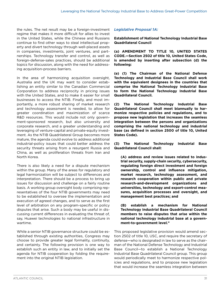the rules. The net result may be a foreign-investment regime that makes it more difficult for allies to invest in the United States, while the Chinese and Russians continue to find other ways to steal intellectual property and divert technology through well-placed assets in companies, investments, joint ventures, and partnerships. Technology transfer and control, as well as foreign-defense-sales practices, should be additional topics for discussion, along with the need for addressing acquisition-process barriers.

In the area of harmonizing acquisition oversight, Australia and the UK may want to consider establishing an entity similar to the Canadian Commercial Corporation to address reciprocity in pricing issues with the United States, and to make it easier for small businesses to access the NTIB. Finally, and most importantly, a more robust sharing of market research and technology assessment is needed, to allow for greater coordination and maximization of scarce R&D resources. This would include not only government-sponsored research, but also university and corporate research, and a greater understanding and leveraging of venture-capital and private-equity investment. As the NTIB Quadrilateral Group becomes more mature, the agenda could evolve to address additional industrial-policy issues that could better address the security threats arising from a resurgent Russia and China, as well as proliferation threats from Iran and North Korea.

There is also likely a need for a dispute mechanism within the group. Many of the areas for regulatory and legal harmonization will be subject to differences and interpretation. There should be a process to bring up issues for discussion and challenge on a fairly routine basis. A working group oversight body comprising representatives of the four NTIB governments may need to be established to oversee the implementation and execution of agreed changes, and to serve as the first level of arbitration on any program-specific or policy disputes that arise. Such a body may be useful in discussing current differences in evaluating the threat of, say, Huawei technologies to national infrastructure in wartime.

While a senior NTIB governance structure could be established through existing authorities, Congress may choose to provide greater legal formality, continuity, and certainty. The following provision is one way to establish such an entity in law, and to initially set the agenda for NTIB cooperation by folding the requirement into the original NTIB legislation.

#### *Legislative Proposal 1A:*

**Establishment of National Technology Industrial Base Quadrilateral Council**

**(a) AMENDMENT TO TITLE 10, UNITED STATES CODE.—Section 2502 of title 10, United States Code, is amended by inserting after subsection (d) the following:** 

**(e) (1) The Chairman of the National Defense Technology and Industrial Base Council shall work with the equivalent designees in the countries that comprise the National Technology Industrial Base to form the National Technology Industrial Base Quadrilateral Council.**

**(2) The National Technology Industrial Base Quadrilateral Council shall meet biannually to harmonize respective policies and regulations, and to propose new legislation that increases the seamless integration between the persons and organizations comprising the national technology and industrial base (as defined in section 2500 of title 10, United States Code).** 

**(3) The National Technology Industrial Base Quadrilateral Council shall:** 

**(A) address and review issues related to industrial security, supply-chain security, cybersecurity, regulating foreign direct investment and foreign ownership, control and influence mitigation, market research, technology assessment, and research cooperation within public and private research-and-development organizations and universities, technology and export-control measures, acquisition processes and oversight, and management best practices; and** 

**(B) establish a mechanism for National Technology Industrial Base Quadrilateral Council members to raise disputes that arise within the national technology industrial base at a government-to-government level."**

This proposed legislative provision would amend section 2502 of title 10, USC, and require the secretary of defense—who is designated in law to serve as the chairman of the National Defense Technology and Industrial Base Council—to establish a National Technology Industrial Base Quadrilateral Council group. This group would periodically meet to harmonize respective policies and regulations, and to propose new legislation that would increase the seamless integration between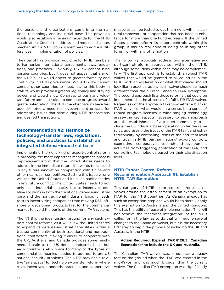<span id="page-35-0"></span>the persons and organizations comprising the national technology and industrial base. This provision would also establish a minimum agenda for the NTIB Quadrilateral Council to address, and require a disputes mechanism for NTIB council members to address differences in implementation of policies.

The goal of this provision would be for NTIB members to harmonize international agreements, laws, regulations, and practices. Obviously, US law cannot bind partner countries, but it does not appear that any of the NTIB allies would object to greater formality and continuity in NTIB governance. While US law cannot compel other countries to meet, having this body in statute would provide a greater legitimacy and staying power, and would allow Congress to push any reluctant future administration to continue progress toward greater integration. The NTIB member nations have frequently noted a need for a government process for addressing issues that arise during NTIB transactions and desired transactions.

#### **Recommendation #2: Harmonize technology-transfer laws, regulations, policies, and practices to establish an integrated defense-industrial base**

Implementing the right kind of export-control reform is probably *the* most important management-process improvement effort that the United States needs to address in the immediate future, if it wants to succeed in any future innovation competition with China and other near-peer competitors. Getting this issue wrong will set the United States and its allies back decades in any future conflict. The United States needs to not only scale industrial capacity, but to incentivize creative solutions in both the traditional defense-industrial base and the nontraditional industrial base. It needs to stop incentivizing companies from moving R&D offshore or developing products first for the commercial market to avoid the perils of the current ITAR system.

The NTIB is the ideal testing ground for any such export-control reforms, as it will allow the United States to expand its defense-industrial capabilities within a trusted community of both traditional and nontraditional contractors. Making it easier to cooperate with the UK, Australia, and Canada provides some muchneeded scale to the US defense-industrial base, but each country is also home to many of the types of commercial companies needed to address future US national security problems. The NTIB provides a relative "safe space" for technology-transfer reform where rules, incentives, standards, practices, and cooperative

measures can be tested to get them right within a cultural framework of cooperation that has been in existence for more than one hundred years. If the United States cannot reform its export controls within this group, it has no real hope of doing so in any other forum, or with any other nation.

The following proposals address two alternative export-control-reform approaches within the NTIB, although some ideas within each may be complementary. The first approach is to establish a robust ITAR waiver that would be granted to all countries in the NTIB, with an explanation of what that waiver should look like in practice, as any such waiver should be much different than the current Canadian ITAR exemption. The second approach lists those reforms that could be implemented in the absence of a full NTIB ITAR waiver. Regardless of the approach taken—whether a blanket ITAR waiver or what would, in a sense, be a series of robust program licenses in wide-ranging technology areas—the key aspects necessary to each approach are: the establishment of a trusted community to include the US industrial base, operating under the same rules; addressing the issues of the ITAR taint and extraterritoriality by controlling items at the end-item level and trusting NTIB partner nations' export controls; exempting cooperative research-and-development activities from triggering application of the ITAR; and controlling technologies based on their classification level.

#### **NTIB Export Control Reform Recommendation Approach #1: Establish NTIB ITAR Exemption**

This category of NTIB export-control proposals revolves around the establishment of an exemption to ITAR for the NTIB countries. As Canada already has such an exemption, step one would be to merely apply this exemption to Australia and the United Kingdom. This has the utility of ease of implementation. This will not achieve the "seamless integration" of the NTIB called for in the law, as to do that will require several changes to the Canadian waiver, but it is the necessary first step to begin the process of including the UK and Australia in the NTIB.

#### **Action Required: Expand ITAR §126.5 "Canadian Exemptions" to include the UK and Australia.**

The Canadian ITAR waiver was, in essence, a legacy fact on the ground when the ITAR was created in the mid-1970s, and was much broader than the current waiver. The Canadian ITAR exemption was significantly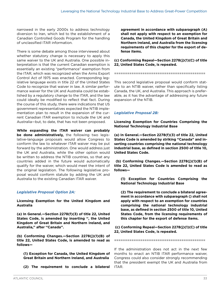narrowed in the early 2000s to address technology diversion to Iran, which led to the establishment of a Canadian Controlled Goods Program for the handling of unclassified ITAR information.

There is some debate among those interviewed about whether statutory change is necessary to apply this same waiver to the UK and Australia. One possible interpretation is that the current Canadian exemption is essentially an existing "performance" exemption from the ITAR, which was recognized when the Arms Export Control Act of 1975 was enacted. Corresponding legislative language exists in title 22 of the United States Code to recognize that waiver in law. A similar performance waiver for the UK and Australia could be established by a regulatory change to the ITAR, and the law could ideally be modified to reflect that fact. During the course of this study, there were indications that US government representatives expected the NTIB implementation plan to result in the expansion of the current Canadian ITAR exemption to include the UK and Australia—but, to date, that has not been proposed.

**While expanding the ITAR waiver can probably be done administratively,** the following two legislative-language proposals would allow Congress to conform the law to whatever ITAR waiver may be put forward by the administration. One would address just the UK and Australia, while the other option would be written to address the NTIB countries, so that any countries added in the future would automatically qualify for the waiver, which would meet the intent of the original legislation. The following legislative proposal would conform statute by adding the UK and Australia to the existing Canadian ITAR waiver.

#### *Legislative Proposal Option 2A:*

**Licensing Exemption for the United Kingdom and Australia** 

**(a) In General.—Section 2278(f)(3) of title 22, United States Code, is amended by inserting '', the United Kingdom of Great Britain and Northern Ireland, and Australia,'' after ''Canada''.** 

**(b) Conforming Changes.—Section 2278(j)(1)(B) of title 22, United States Code, is amended to read as follows—**

**(1) Exception for Canada, the United Kingdom of Great Britain and Northern Ireland, and Australia**

**(2) The requirement to conclude a bilateral** 

**agreement in accordance with subparagraph (A) shall not apply with respect to an exemption for Canada, the United Kingdom of Great Britain and Northern Ireland, and Australia from the licensing requirements of this chapter for the export of defense items.**

#### **(c) Conforming Repeal—Section 2278(j)(1)(C) of title 22, United States Code, is repealed.**

==========================================

This second legislative proposal would conform statute to an NTIB waiver, rather than specifically listing Canada, the UK, and Australia. This approach is preferable, as it has the advantage of addressing any future expansion of the NTIB.

#### *Legislative Proposal 2B:*

**Licensing Exemption for Countries Comprising the National Technology Industrial Base** 

**(a) In General.—Section 2278(f)(3) of title 22, United States Code is amended by striking "Canada" and inserting countries comprising the national technology industrial base, as defined in section 2500 of title 10, United States Code.**

 **(b) Conforming Changes.—Section 2278(j)(1)(B) of title 22, United States Code is amended to read as follows—**

**(1) Exception for Countries Comprising the National Technology Industrial Base**

**(2) The requirement to conclude a bilateral agreement in accordance with subparagraph () shall not apply with respect to an exemption for countries comprising the national technology industrial base, as defined in section 2500 of title 10, United States Code, from the licensing requirements of this chapter for the export of defense items.**

 **(c) Conforming Repeal—Section 2278(j)(1)(C) of title 22, United States Code, is repealed.** 

==========================================

If the administration does not act in the next few months to enact an NTIB ITAR performance waiver, Congress could also consider strongly recommending that the president exempt the UK and Australia from ITAR.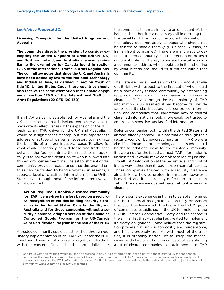#### *Legislative Proposal 2C:*

**Licensing Exemption for the United Kingdom and Australia** 

**The committee directs the president to consider exempting the United Kingdom of Great Britain (UK) and Northern Ireland, and Australia in a manner similar to the exemption for Canada found in section 126.5 of the International Traffic in Arms Regulations. The committee notes that since the U.K. and Australia have been added by law to the National Technology and Industrial Base, as defined in section 2500 of title 10, United States Code, these countries should also receive the same exemption that Canada enjoys under section 126.5 of the International Traffic in Arms Regulations (22 CFR 120-130).**

==========================================

If an ITAR waiver is established for Australia and the UK, it is essential that it include certain revisions to maximize its effectiveness. If the expansion of the NTIB leads to an ITAR waiver for the UK and Australia, it would be a significant first step, but it is important to address what type of waiver is necessary to maximize the benefits of a larger industrial base. To allow for what would essentially be a defense free-trade zone between the four countries, the first step, paradoxically, is to narrow the definition of who is allowed into this export-license-free zone. The establishment of this community provides reassurance that designated entities can be trusted to handle what is, in essence, a separate level of classified information for the United States, even though most of the information involved is not classified.

**Action Required: Establish a trusted community for ITAR license-free transfers based on a reciprocal recognition of entities holding security clearances in the United States, Canada, the UK, and Australia and for those companies without a security clearance, adopt a version of the Canadian Controlled Goods Program or the US-Canada Joint Certification Program in the rest of the NTIB.**

A trusted community could be established through regulatory implementation of an ITAR waiver for the NTIB countries. There is, of course, a significant tradeoff with this concept. On one hand, it potentially limits

the companies that may innovate on one country's behalf; on the other, it is a necessary evil in ensuring that the benefits of the flow of restricted information or technology does not apply to those who should not be trusted to handle them (e.g., Chinese, Russian, or Iranian front companies). There are many ways to define a trusted community, and this section proposes a couple of options. The key issues are to establish such a community, address who should be in it, and define by what criteria one should trust entities within that community.

The Defense Trade Treaties with the UK and Australia got it right with respect to the first cut of who should be a part of any trusted community, by establishing reciprocal recognition of companies with security clearances.39 Even though the vast majority of ITAR information is unclassified, it has become its own de facto security classification. It is controlled information, and companies that understand how to control classified information should more easily be trusted to control less-sensitive, unclassified information.

Defense companies, both within the United States and abroad, already control ITAR information through their security-control bureaucracy, just as if ITAR were a classified document or technology and, as such, should be the foundational basis for the trusted community. If it were not for the fact that most ITAR information is unclassified, it would make complete sense to just classify all ITAR information at the Secret level and control it that way, rather than through export-control licenses. Those companies trusted with a security clearance already know how to protect information however it is marked, and it is extremely difficult to do business within the defense-industrial base without a security clearance.

There is some experience in trying to establish regimes for the reciprocal recognition of security clearances that could be leveraged. The first is the List X group of companies established in the UK to implement the US-UK Defense Cooperative Treaty, and the second is the similar list that Australia has created to implement its treaty obligations. Some believe that the registration process for List X is too costly and burdensome, and that is probably true. As with much of the treaties, it is probably better just to scrap the mechanisms and start over, but the concept of establishing a list of cleared companies to obtain access to ITAR

<sup>39</sup> One issue with the treaties, which must be addressed in any future reform effort, has to do with these criteria. What happens to companies that want and need to be a part of the approved community, but don't have a security clearance, and don't really want or need one because the ITAR information is unclassified? A lesson from this experience is there should be a path to join the trusted community without having a security clearance.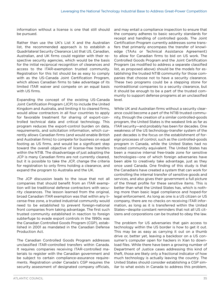information without a license is one that still should be pursued.

Rather than use the UK's List X and the Australian list, the recommended approach is to establish a Quadrilateral Security Clearance List that US, Canadian, Australian, and UK firms could register with their respective security agencies, which would be the basis for the initial reciprocal recognition of clearances and access to the ITAR-exemption trusted community. Registration for this list should be as easy to comply with as the US-Canada Joint Certification Program, which allows Canadian firms to take advantage of its limited ITAR waiver and compete on an equal basis with US firms.

Expanding the concept of the existing US-Canada Joint Certification Program (JCP) to include the United Kingdom and Australia, and limiting it to cleared firms, would allow contractors in all four countries to apply for favorable treatment for sharing of export-controlled technical data and critical technology. This program reduces the export-control burden on data, requirements, and solicitation information, which currently allows Canadian firms (and would enable British and Australian firms) to compete for business on equal footing as US firms, and would be a significant step toward the overall objective of license-free transfers within the NTIB. The disadvantage of just adopting the JCP is many Canadian firms are not currently cleared, but it is possible to take the JCP, change the criteria for registration to only firms holding a clearance, and expand the program to Australia and the UK.

The JCP discussion leads to the issue that not all companies that should benefit from an ITAR exemption will be traditional defense contractors with security clearances. The lesson learned from the original, broad Canadian ITAR exemption was that within any license-free zone, a trusted industrial community would need to be established to prevent foreign-national front companies from taking advantage. The first such trusted community established in reaction to foreign subterfuge to evade export controls in the 1990s was the Canadian Controlled Goods Program (CGP), established in 2001 as mandated in the Canadian Defense Production Act.

The Canadian Controlled Goods Program addresses unclassified ITAR-controlled transfers within Canada. It requires companies receiving ITAR-controlled materials to register with the Canadian government and be subject to certain compliance-assurance requirements. Registration under Canada's CGP requires the security assessment of designated company officials, and may entail a compliance inspection to ensure that the company adheres to basic security standards for receipt and handling of controlled goods. The Joint Certification Program currently addresses some transfers that primarily encompass the transfer of knowledge (TAAs or Technical Assistance Agreement) to allow for Canadian firms to bid on US work. The Controlled Goods Program and the Joint Certification Program (as modified to address a separate classified list, as proposed above) should be the models for establishing the trusted NTIB community for those companies that choose not to have a security clearance. These two programs could be a stepping stone for nontraditional companies to a security clearance, but it should be enough to be a part of the trusted community to support defense programs at an unclassified level.

While UK and Australian firms without a security clearance could become a part of the NTIB trusted community, through the creation of a similar controlled-goods program, the United States is the weakest link as far as ITAR security—and probably has been for decades. One weakness of the US technology-transfer system of the past decades is the focus on the establishment of foreign processes of control, such as the controlled-goods program in Canada, while the United States had no trusted community equivalent. The United States has been a massive internal free-trade zone for sensitive technologies—one of which foreign adversaries have been able to creatively take advantage, just as they once used Canada. One finding of this study is that the Canadians have created a system that can work for controlling the internal transfer of sensitive goods and services, and also gives their government a full picture of the threat profile for these sensitive items. This is better than what the United States has, which is nothing more than basic legal compliance and hoped-for legal enforcement. As long as one is a US citizen or US company, there are no checks on receiving ITAR information, as long as it is transferred within the United States—despite constant reminders that not all US citizens and corporations can be trusted to obey the law.

The problem for US adversaries that gain access to technology within the US border is how to get it out. This may be as easy as carrying it out on a thumb drive or, better yet, leaving a backdoor on a US consumer's computer open for hackers in Xian to download files. While there have been a growing number of Department of Justice cases addressing this kind of theft, those are likely only a fractional indicator of how much technology is actually leaving the country. The United States should consider establishing a CGP similar to what exists in Canada to address this problem,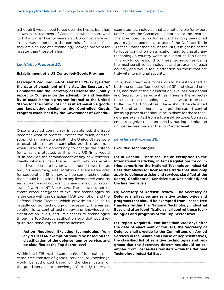although it would need to get over the hypocrisy it has shown in its treatment of Canada—as when it narrowed its ITAR waiver twenty years ago. US controls are not in any way superior to the controls of allies; in fact, they are a source of a technology-leakage problem far greater than those of allies.

#### *Legislative Proposal 2D:*

#### **Establishment of a US Controlled-Goods Program**

**(a) Report Required. —Not later than 260 days after the date of enactment of this Act, the Secretary of Commerce and the Secretary of Defense shall jointly report to Congress on the advisability and feasibility of establishing a program internal to the United States for the control of unclassified sensitive goods and knowledge similar to the Controlled Goods Program established by the Government of Canada.**

==========================================

Once a trusted community is established, the issue becomes what to protect. Protect too much, and the supply chain grinds to a halt. If the United States were to establish an internal controlled-goods program, it would provide an opportunity to change the criteria for what is protected, as it is likely US firms would push back on the establishment of any new controls. Ideally, whatever new trusted community was established would create higher walls around fewer things and, for everything else, establish a license-free area for cooperation. Still, there will be some technologies that should be excluded from any license-free zone, as each country may not wish to share some of its "crown jewels" with its NTIB partners. The answer is not to create broad categories of excluded technologies, as is the case with the Canadian ITAR exemption and the Defense Trade Treaties, which provide an excuse to broadly control technology unnecessarily. The easiest solution is to control technology and knowledge by classification levels, and limit access to technologies through a Top Secret classification level that would require traditional export-control licenses.

#### **Action Required: Excluded technologies from any NTIB ITAR exemption should be based on the classification of the defense item or service, and be classified at the Top Secret level**

Within the NTIB trusted community of four nations, license-free transfer of goods, services, or knowledge would be authorized based on the classification of the good, service, or knowledge. Currently, there are

exempted technologies that are not eligible for export under either the Canadian exemptions or the treaties. The Exempted Technologies List has long been cited as a major impediment to use of the Defence Trade Treaties. Rather than adjust the lists, it might be better to focus control on classification, and to classify any technology a country wants to exempt as Top Secret. This would correspond to these technologies being the most sensitive technologies and programs of each country, and would focus attention on those that are truly vital to national security.

Thus, two free-trade zones would be established at both the unclassified level with CGP and cleared entities, and then at the classification level of Confidential and Secret for cleared entities. There is the expectation that some technologies will still want to be controlled by NTIB countries. These should be classified Top Secret, and either a new or existing export-control licensing procedures should be in place for those technologies exempted from a license-free zone. Congress could recognize this approach by putting a limitation on license-free trade at the Top Secret level.

#### *Legislative Proposal 2E:*

#### **Excluded Technologies**

**(a) In General.—There shall be an exemption to the International Trafficking in Arms Regulations for countries comprising the National Technology Industrial Base that allows for license-free trade that shall only apply to defense articles and services classified at the Secret, Confidential, Sensitive but Unclassified, and Unclassified levels.** 

**(b) Secretary of Defense Review.—The Secretary of Defense shall review any sensitive technologies and programs that should be exempted from license-free transfers within the National Technology Industrial Base and after identification shall control those technologies and programs at the Top Secret level.**

**(c) Report Required.—Not later than 260 days after the date of enactment of this Act, the Secretary of Defense shall provide to the Committees on Armed Services in the Senate and House of Representatives, the classified list of sensitive technologies and programs that the Secretary determines should be exempted from license-free transfers within the National Technology Industrial Base.** 

==========================================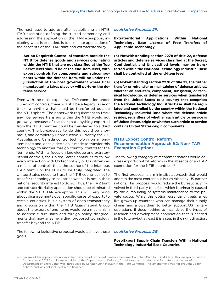The next issue to address after establishing an NTIB ITAR exemption defining the trusted community and addressing the application of the ITAR exemption, including what is excluded, is to eliminate application of the concepts of the ITAR taint and extraterritoriality.

**Action Required: Control of transfers outside the NTIB for defense goods and services originating within the NTIB that are not classified at the Top Secret level should be at the end-item level, with export controls for components and subcomponents within the defense item, will be under the jurisdiction of the host government where final manufacturing takes place or will perform the defense service.** 

Even with the most expansive ITAR exemption under US export controls, there will still be a legacy issue of tracking anything that could be transferred outside the NTIB sphere. The paperwork requirement to track any license-free transfers within the NTIB would not go away, because of the fear that anything exported from the NTIB countries could be transferred to a third country. The bureaucracy to do this would be enormous, and completely unproductive. Currently, the UK, Australia, and Canada control technology on an enditem basis and, once a decision is made to transfer this technology to another foreign country, control for the item ends. With its focus on knowledge and extraterritorial controls, the United States continues to follow every interaction with US technology or US citizens as a means of control—thus, the source of the infamous ITAR taint. For the NTIB to be truly integrated, the United States needs to trust the NTIB countries not to transfer technology to countries when it is not in their national security interest to do so. Thus, the ITAR taint and extraterritoriality application should be eliminated within the NTIB ITAR exemption. This will likely bring about disagreements over specific cases of exports to certain countries, but a system of open transparency and discussion within the NTIB Quadrilateral Group about the export of end items would be a mechanism to address future sales and foreign policy disagreements that may arise regarding proposed technology transfer beyond the NTIB.

The following legislative proposal would achieve these goals.

#### *Legislative Proposal 2F:*

**Extraterritorial Applications Within National Technology Base License of Free Transfers of Applicable Technology**

**(a) Notwithstanding section 2278 of title 22, defense articles and defense services classified at the Secret, Confidential, and Unclassified levels may be transferred within the National Technology Industrial Base shall be controlled at the end-item level.** 

**(b) Notwithstanding section 2278 of title 22, the further transfer or retransfer or maintaining of defense articles, whether an end-item, component, subsystem, or technical knowledge, or defense services when transferred from the United States to a country that comprises the National Technology Industrial Base shall be regulated and controlled by the country within the National Technology Industrial Base where the defense article resides, regardless of whether such article or service is of United States origin or whether such article or service contains United States-origin components.** 

#### **NTIB Export Control Reform Recommendation Approach #2: Non-ITAR Exemption Options**

The following category of recommendations would address export-control reforms in the absence of an ITAR exemption for the NTIB countries.40

The first proposal is a minimalist approach that would address the most contentious issues raised by US partner nations. This proposal would reduce the bureaucracy involved in third-party transfers, which is primarily caused by the outsourcing of systems maintenance to the private sector. While this option essentially treats allies like grown-up countries who can manage their supply chains, and allows them to better support US military operations, it does nothing to incentivize the types of research-and-development cooperation that is needed in the future—but at least it is a step in the right direction.

#### *Legislative Proposal 2G:*

#### **Post-Export Supply Chain Transfers Within National Technology Industrial Base Countries**

<sup>40</sup> Several of these proposals are modified versions of proposed Senate amendment number 4575 to S. 2943, to authorize appropriations for fiscal year 2017 for military activities of the Department of Defense, for military construction, and for defense activities of the Department of Energy that was introduced by Senator John McCain in the 114th Congress. This amendment was not brought up for debate, and was not included in the final act.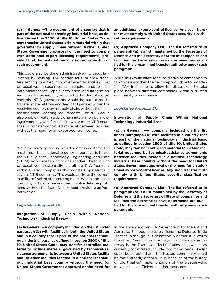**(a) In General.—The government of a country that is part of the national technology industrial base, as defined in section 2500 of title 10, United States Code, may transfer United States-origin material within that government's supply chain without further United States Government approval or the need to comply with additional export-licensing requirements, provided that the material remains in the ownership of such government.**

This could also be done administratively, without legislation, by revising ITAR section 126.5 to allow transfers among qualified nongovernmental entities. This proposal would ease retransfer requirements to facilitate maintenance, repair, installation, and integration, and would meaningfully reduce the burden of export controls. NTIB governments would be authorized to transfer material from another NTIB partner within the receiving country's own supply chain, without the need for additional licensing requirements. The NTIB could also enable greater supply-chain integration by allowing a company with facilities in two or more NTIB countries to transfer controlled material between facilities without the need for an export-control license.

While the above proposal would address end items, the most important national security imperative is to get the NTIB Science, Technology, Engineering, and Math (STEM) workforce talking to one another. The following proposal would essentially establish a TAA free zone within trusted companies that conduct operations in several NTIB countries. This would address the current inability of scientists and engineers within the same company to talk to one another to solve defense problems, without the State Department providing upfront permission.

==========================================

#### *Legislative Proposal 2H:*

**Integration of Supply Chain Within National Technology Industrial Base.—**

**(a) In General.—A company included on the list under paragraph (b) with facilities in both the United States and in a country that is part of the national technology industrial base, as defined in section 2500 of title 10, United States Code, may transfer controlled material to include material governed by technical-assistance agreements between a United States facility and its other facilities located in a national technology industrial base country without the need for United States Government approval or the need for**  **an additional export-control license. Any such transfer must comply with United States security classification requirements.**

**(b) Approved Company List.—The list referred to in paragraph (a) is a list maintained by the Secretary of Defense and the Secretary of State of companies and facilities the Secretaries have determined are qualified for the streamlined transfer authority under such paragraph.**

While this would allow for subsidiaries of companies to talk to one another, the next step would be to broaden this TAA-free zone to allow for discussions to take place between different companies within a trusted community of companies.

#### *Legislative Proposal 2I:*

**Integration of Supply Chain Within National Technology Industrial Base**

**(a) In General. —A company included on the list under paragraph (b) with facilities in a country that is part of the national technology industrial base, as defined in section 2500 of title 10, United States Code, may transfer controlled material to include material governed by technical-assistance agreements between facilities located in a national technology industrial base country without the need for United States Government approval or the need for an additional export-control license. Any such transfer must comply with United States security classification requirements.**

**(b) Approved Company List.—The list referred to in paragraph (a) is a list maintained by the Secretary of Defense and the Secretary of State of companies and facilities the Secretaries have determined are qualified for the streamlined transfer authority under such paragraph.**

==========================================

In the absence of an ITAR exemption for the UK and Australia, it is possible to try fixing the Defense Trade Treaties, although it is debatable whether it is worth the effort. One of the most significant barriers in the treaty is the Exempted Technologies List, which, as currently constituted, includes too many items. The list could be scrubbed and the trusted community could be more broadly defined—but, because of the history of the treaties' implementation of the treaties—this may not be as efficient as other measures.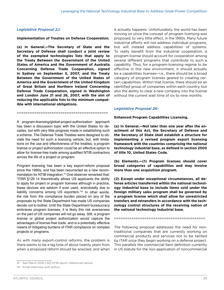#### *Legislative Proposal 2J:*

**Implementation of Treaties on Defense Cooperation.**

**(a) In General.—The Secretary of State and the Secretary of Defense shall conduct a joint review of the exempted technologies lists that apply to the Treaty Between the Government of the United States of America and the Government of Australia Concerning Defense Trade Cooperation, signed in Sydney on September 5, 2007, and the Treaty Between the Government of the United States of America and the Government of the United Kingdom of Great Britain and Northern Ireland Concerning Defense Trade Cooperation, signed in Washington and London June 21 and 26, 2007, with the aim of reducing the applicable lists to the minimum compatible with international obligations.**

A program-licensing/global-project-authorization approach has been a discussion topic with the United States for decades, but with very little progress made in establishing such a scheme. The Defense Trade Treaties were designed to obviate the need for such a licensing vehicle, but, with limitations on the use and effectiveness of the treaties, a program license or project authorization could be an effective option to allow for license-free trade among qualified NTIB contractors across the life of a project or program.

==========================================

Program licensing has been a key export-reform proposal since the 1990s, and has been resurrected as a new recommendation for NTIB integration.<sup>41</sup> One observer remarked that: "ITAR §126.14 theoretically allows US applicants the ability to apply for project or program licenses although in practice, these devices are seldom if ever used, anecdotally due to liability concerns among US exporters."42 In other words, the risk from the compliance burden placed on any of the proposals by the State Department has made US companies decide not to bother. Until the State Department bureaucracy embraces program licenses, it is likely this risk averseness on the part of US companies will not go away. Still, a program license or global project authorization would capture the advantages of license-free trade, and is a potentially effective means of mitigating burdens of ITAR compliance on complex projects or programs.

As with many export-control reforms, the problem is there seems to be a lag time of about twenty years from when a proposed reform should be enacted, and when

it actually happens. Unfortunately, the world has been moving on since the concept of program licensing was proposed, to very little effect, in the 1990s. Many future industrial efforts will not address individual programs, but will instead address capabilities of systems. To really benefit from the industrial cooperation, a program license should account for cooperation among several different programs that contribute to such a capability. Thus, for a program-licensing regime to be effective in this new environment, it should actually be a capabilities licenses—i.e., there should be a broad category of program licenses geared to creating certain capabilities. Within that license, there should be an identified group of companies within each country, but also the ability to clear a new company into the license without the current wait time of six to nine months.

#### *Legislative Proposal 2K:*

**Enhanced Program Capabilities Licensing.** 

**(a) In General.—Not later than one year after the enactment of this Act, the Secretary of Defense and the Secretary of State shall establish a structure for implementing a revised program export licensing framework with the countries comprising the national technology industrial base, as defined in section 2500 of title 10, United States Code.** 

**(b) Elements.—(1) Program licenses should cover broad categories of capabilities and may involve more than one acquisition program.** 

**(2) Except under exceptional circumstances, all defense articles transferred within the national technology industrial base to include items sold under the foreign military sales program shall be governed by a program license which shall allow for unrestricted transfers and retransfers in accordance with the technology control structures of the receiving nation of the national technology industrial base.**

==========================================

The following proposal addresses the need for nontraditional companies that are currently working on commercial products and services not to be tainted by ITAR once they begin working on a defense project. This parallels the commercial-item definition currently in US statute for the non-application of noncommercial

<sup>41</sup> See March 2018 CSIS NTIB report referenced above.

<sup>42</sup> Email interview with author.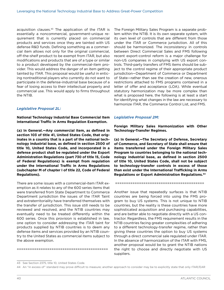acquisition clauses.43 The application of the ITAR is essentially a noncommercial, government-unique requirement that is currently placed on commercial products and services once they are tainted with US defense R&D funds. Defining something as a commercial item allows not only for the original commercial, off-the-shelf product to be exempt from ITAR, but also modifications and products that are of a type or similar to a product developed by the commercial-item provider. This would address the danger of an item getting tainted by ITAR. This proposal would be useful in enticing nontraditional players who currently do not want to participate in the defense-industrial base because of a fear of losing access to their intellectual property and commercial use. This would apply to firms throughout the NTIB.

#### *Legislative Proposal 2L:*

**National Technology Industrial Base Commercial Item International Traffic in Arms Regulation Exemption.** 

**(a) In General.—Any commercial item, as defined in section 103 of title 41, United States Code, that originates in a country that is a part of the national technology industrial base, as defined in section 2500 of title 10, United States Code, and incorporated in a defense product shall be regulated under the Export Administration Regulations (part 730 of title 15, Code of Federal Regulations) is exempt from regulation under the International Traffic in Arms Regulations (subchapter M of chapter I of title 22, Code of Federal Regulations).**

There are some issues with a commercial-item ITAR exemption as it relates to any of the 600 series items that were transferred from State Department to Commerce Department jurisdiction the issues of the ITAR Taint and extraterritoriality have transferred themselves with the transfer of jurisdiction. This issue still needs to be reviewed and resolved, and the NTIB countries may eventually need to be treated differently within the 600 series. Once this provision is established in law, one option to consider addressing the ITAR taint for products supplied by NTIB countries is to deem any defense items and services provided by an NTIB country to the United States as commercial items subject to the above exemption.

==========================================

The Foreign Military Sales Program is a separate problem within the NTIB. It is its own separate system, with its own level of controls that are different from those under the ITAR or Commerce jurisdiction. All of this should be harmonized. The inconsistency in controls between Direct Commercial Sales and FMS following recent export-control reform is a major challenge for non-US companies in complying with US export controls. Third-party transfers of FMS items should be subject to the control regime of their appropriate product jurisdiction—Department of Commerce or Department of State—rather than see the creation of new, onerous restrictions attached to FMS programs contained in a letter of offer and acceptance (LOA). While eventual statutory harmonization may be more complex than what is proposed here, the following is at least a start for identifying what changes in the law are necessary to harmonize ITAR, the Commerce Control List, and FMS.

#### *Legislative Proposal 2M:*

**Foreign Military Sales Harmonization with Other Technology-Transfer Regimes.**

**(a) In General.—The Secretary of Defense, Secretary of Commerce, and Secretary of State shall ensure that items transferred under the Foreign Military Sales Program to countries belonging to the national technology industrial base, as defined in section 2500 of title 10, United States Code, shall not be subject to technology-transfer controls in excess of those than exist under the International Trafficking in Arms Regulations or Export Administration Regulations.44**

=========================================

Another issue that repeatedly surfaces is that NTIB countries are being forced into using the FMS program to buy US systems. This is not unique to NTIB countries, but the reality is these countries have more sophisticated acquisition and purchasing capabilities, and are better able to negotiate directly with a US contractor. Regardless, the FMS requirement results in the NTIB countries facing greater complexities of adhering to a different technology-transfer regime, rather than giving these countries the option to buy US systems through a direct commercial sale regulated under ITAR. In the absence of harmonization of the ITAR with FMS, another proposal would be to grant the NTIB nations the right to choose and directly negotiate with US suppliers.

<sup>43</sup> See Section 2375, title 10, United States Code.

<sup>44</sup> An "in excess of" standard may prove difficult to measure; another approach to consider may be to explicitly state that only ITAR/EAR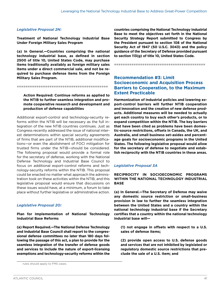#### <span id="page-44-0"></span>*Legislative Proposal 2N:*

**Treatment of National Technology Industrial Base Under Foreign Military Sales Program**

**(a) In General.—Countries comprising the national technology industrial base, as defined in section 2500 of title 10, United States Code, may purchase items traditionally availably as foreign military sales items under a direct commercial sale, and not be required to purchase defense items from the Foreign Military Sales Program.**

==========================================

#### **Action Required: Continue reforms as applied to the NTIB to further seamless integration and promote cooperative research and development and production of defense capabilities**

Additional export-control and technology-security reforms within the NTIB will be necessary as the full integration of the new NTIB countries continues. Just as Congress recently addressed the issue of national interest determinations within special security agreements of firms that are part of the NTIB, additional modifications—or even the abolishment of FOCI mitigation for trusted firms under the NTIB—should be considered. The following proposal would provide a formal role for the secretary of defense, working with the National Defense Technology and Industrial Base Council to focus on additional export-control reforms and technology-security reforms within the NTIB. This proposal could be enacted no matter what approach the administration took on these activities within the NTIB, and this legislative proposal would ensure that discussions on these issues would have, at a minimum, a forum to take place without further legislative or administrative action.

#### *Legislative Proposal 2O:*

**Plan for Implementation of National Technology Industrial Base Reforms**

**(a) Report Required.—The National Defense Technology and Industrial Base Council shall report to the congressional defense committees no later than 180 days following the passage of this act, a plan to provide for the seamless integration of the transfer of defense goods and services to include the nature of export-licensing exemptions and technology-security reforms within the** 

**countries comprising the National Technology Industrial Base to meet the objectives set forth in the National Security Strategy Report submitted to Congress by the President pursuant to section 108 of the National Security Act of 1947 (50 U.S.C. 3043) and the policy guidance of the Secretary of Defense provided pursuant to section 113(g) of title 10, United States Code.** 

==========================================

#### **Recommendation #3: Limit Socioeconomic and Acquisition Process Barriers to Cooperation, to the Maximum Extent Practicable**

**Harmonization of industrial policies and lowering export-control barriers will further NTIB cooperation and innovation and the creation of new defense products. Additional measures will be needed to actually get each country to buy each other's products, or to expand competition within the NTIB. The key barriers that have been cited as problems have been domestic-source restrictions, offsets in Canada, the UK, and Australia, and small business set-asides and percentage goals for socioeconomic programs in the United States. The following legislative proposal would allow for the secretary of defense to negotiate and establish reciprocity with the NTIB countries in these areas.**

#### *Legislative Proposal 3A*

**RECIPROCITY IN SOCIOECONOMIC PROGRAMS WITHIN THE NATIONAL TECHNOLOGY INDUSTRIAL BASE**

**(a) In General.—The Secretary of Defense may waive any domestic source restriction or small-business provision in law to further the seamless integration between the United States and a country within the national technology industrial base if the Secretary certifies that a country within the national technology industrial base will—**

**(1) not engage in offsets with respect to a U.S. sales of defense items;** 

**(2) provide open access to U.S. defense goods and services that are not inhibited by legislated or regulatory domestic source restrictions that preclude the sale of a U.S. item; and** 

rules should apply to FMS cases.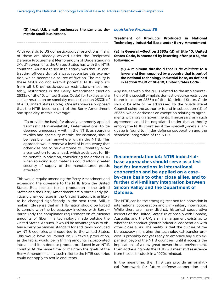<span id="page-45-0"></span>**(3) treat U.S. small businesses the same as domestic small businesses.**

#### ==========================================

With regards to US domestic-source restrictions, many of these are already waived under the Reciprocal Defence Procurement Memorandum of Understanding (MoU) agreements the United States has with the NTIB countries. An issue raised in this study was that US contracting officers do not always recognize this exemption, which becomes a source of friction. The reality is these MoUs do not exempt potential NTIB suppliers from all US domestic-source restrictions—most notably, restrictions in the Berry Amendment (section 2533a of title 10, United States Code) for textiles and a similar restriction on specialty metals (section 2533b of title 10, United States Code). One interviewee proposed that the NTIB become part of the Berry Amendment and specialty-metals coverage:

"To provide the basis for already commonly applied 'Domestic Non-Availability Determinations' to be deemed unnecessary within the NTIB, as sourcing textiles and speciality metals, for instance, should be feasible from anywhere within the NTIB. This approach would remove a level of bureaucracy that otherwise has to be overcome to ultimately allow a transaction to go ahead, which adds cost for little benefit. In addition, considering the entire NTIB when sourcing such materials could afford greater security of supply of the manufactured goods affected."

This would require amending the Berry Amendment and expanding the coverage to the NTIB from the United States. But, because textile production in the United States and the Berry Amendment are a particularly politically charged issue in the United States, it is unlikely to be changed significantly in the near term. Still, it makes little sense that an NTIB nation should be forced to comply with the bureaucracy involved with Berry particularly the compliance requirement on *de minimis* amounts of fiber in a technology made outside the United States. As such, it would be advantageous to obtain a Berry *de minimis* standard for end items produced by NTIB countries and exported to the United States. This would have no impact on US textile production, as the fabric would be in trifling amounts incorporated into an end-item defense product produced in an NTIB country. At the same time, to maintain the goals of the Berry Amendment, any such relief to the NTIB countries could not apply to textile end items.

#### *Legislative Proposal 3B*

**Treatment of Products Produced in National Technology Industrial Base under Berry Amendment**

**(a) In General.—Section 2533a (d) of title 10, United States Code, is amended by inserting after (d)(4), the following—**

**(5) A minimum threshold that is** *de miminus* **to a larger end item supplied by a country that is part of the national technology industrial base, as defined in section 2500 of title 10, United States Code.** 

Any issues within the NTIB related to the implementation of the specialty-metals domestic-source restriction found in section 2533b of title 10, United States Code should be able to be addressed by the Quadrilateral Council using the authority found in subsection (d) of 2533b, which addresses an exception relating to agreements with foreign governments. If necessary, any such agreement could be negotiated under that authority among the NTIB countries if the specialty-metals language is found to hinder defense cooperation and the seamless integration of the NTIB.

==========================================

**Recommendation #4: NTIB industrialbase approaches should serve as a test bed for innovations in international cooperation and be applied on a caseby-case basis to other close allies, and to further civil-military integration between Silicon Valley and the Department of Defense.** 

The NTIB can be the emerging test bed for innovation in international cooperation and civil-military integration. While there are many distinct, historical cooperative aspects of the United States' relationship with Canada, Australia, and the UK, a similar argument exists as to whether to conduct greater industrial cooperation with other close allies. The reality is that the culture of the bureaucracy managing the technological-transfer process is probably not yet ready to embrace any such expansion beyond the NTIB countries, until it accepts the implications of a new great-power threat environment. Even addressing only the NTIB will meet stiff resistance from those still stuck in a 1970s mindset.

In the meantime, the NTIB can provide an analytical framework for future defense-cooperation and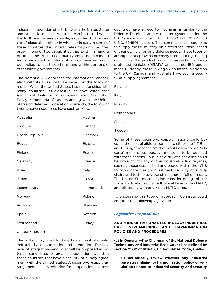industrial-integration efforts between the United States and other close allies. Measures can be tested within the NTIB and, where possible, expanded to the next tier of close allies, either in whole or in part. In some of these countries, the United States may only be interested in one or two capabilities that exist in a handful of firms. The trusted community could be expanded, and a best-practice criteria of control measures could be applied to just those firms, and within portions of other allied governments.

The potential US approach for international cooperation with its allies could be based on the following model. While the United States has relationships with many countries, its closest allies have established Reciprocal Defense Procurement and Acquisition Policy Memoranda of Understanding with the United States on defense cooperation. Currently, the following twenty-seven countries have such an MoU.

| Australia      | Austria            |
|----------------|--------------------|
| Belgium        | Canada             |
| Czech Republic | Denmark            |
| Egypt          | Estonia            |
| Finland        | France             |
| Germany        | Greece             |
| Israel         | Italy              |
| Japan          | Latvia             |
| Luxembourg     | <b>Netherlands</b> |
| Norway         | Poland             |
| Portugal       | Slovenia           |
| Spain          | Sweden             |
| Switzerland    | Turkey             |
|                |                    |

United Kingdom

This is the entry point to the establishment of greater industrial-base cooperation and integration. The next level of integration—and what will be proposed as potential candidates for greater cooperation—would be those countries that have a security-of-supply agreement with the United States. A security-of-supply arrangement is a key criterion for cooperation, as these

countries have agreed to mechanisms similar to the Defense Priorities and Allocation System under the US Defense Production Act of 1950 (P.L. 81-774, 50 U.S.C. §§4501 et seq.). This commits these countries to supply the US military, on a reciprocal basis, ahead of their own civilian and defense needs. These types of arrangements proved extremely useful during the Iraq conflict for the production of mine-resistant ambush protected vehicles (MRAPs) and counter-IED equipment. Currently, the following six countries in addition to the UK, Canada, and Australia have such a security-of-supply agreement.

Finland

Italy

Norway

**Netherlands** 

Spain

Sweden

Some of these security-of-supply nations could become the next eligible entrants into either the NTIB or an NTIB-light mechanism that would allow for an "a la carte" menu of cooperative measures to be pursued with these nations. Thus, a next tier of close allies could be brought into any of the industrial-policy regimes, such as those established and tested within the NTIB to coordinate foreign investment, security of supply chain, and technology transfer, either in full or in part. The United States could also consider doing this for some applications on a multilateral basis within NATO, and bilaterally with other non-NATO allies.

To encourage this type of approach, Congress could consider the following legislation.

#### *Legislative Proposal 4A:*

#### **ADOPTION OF NATIONAL TECHNOLOGY INDUSTRIAL BASE STREAMLINING AND HARMONIZATION POLICIES AND PROCEDURES**

**(a) In General.—The Chairman of the National Defense Technology and Industrial Base Council as defined by section 2502 of title 10, United States Code, shall—**

**(1) periodically review whether any industrial base streamlining or harmonization policy or regulation related to industrial security and security**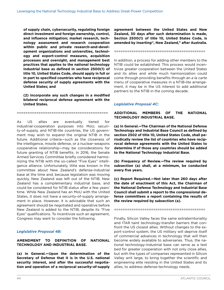**of supply chain, cybersecurity, regulating foreign direct investment and foreign ownership, control, and influence mitigation; market research, technology assessment and research cooperation within public and private research-and-development organizations and universities, technology and export-control measures, acquisition processes and oversight, and management best practices that applies to the national technology industrial base as defined in section 2500(1) of title 10, United States Code, should apply in full or in part to specified countries who have reciprocal defense security of supply agreements with the United States; and**

**(2) incorporate any such changes in a modified bilateral reciprocal defense agreement with the United States.** 

==========================================

As US allies are eventually tiered for industrial-cooperation purposes into MoU, security-of-supply, and NTIB-lite countries, the US government may wish to expand the original NTIB in the future. Additional criteria—such as the closeness of the intelligence, missile defense, or a nuclear-weapons cooperative relationship—may be considerations for future granting of NTIB benefits. In 2016, the Senate Armed Services Committee briefly considered harmonizing the NTIB with the so-called "Five Eyes" intelligence alliance. Unfortunately, little was known in the committee about New Zealand's defense-industrial base at the time and, because legislation was moving quickly, New Zealand was left out of the NTIB. New Zealand has a complementary industrial base, and could be considered for NTIB status after a few years' time. While New Zealand has an MoU with the United States, it does not have a security-of-supply arrangement in place. However, it is advisable that such an agreement should be negotiated and operative before New Zealand is added to the NTIB, despite its "Five Eyes" qualifications. To incentivize such an agreement, Congress may want to consider the following.

#### *Legislative Proposal 4B:*

#### **AMENDMENT TO DEFINITION OF NATIONAL TECHNOLOGY AND INDUSTRIAL BASE.**

**(a) In General.—Upon the determination of the Secretary of Defense that it is in the U.S. national security interest, and after the successful negotiation and operation of a reciprocal security-of-supply**  **agreement between the United States and New Zealand, 30 days after such determination is made, Section 2500(1) of title 10, United States Code, is amended by inserting'', New Zealand," after Australia.** 

==========================================

In addition, a process for adding other members to the NTIB could be established. This process would incentivize greater cooperation between the United States and its allies and while much harmonization could come through providing benefits through an *a la carte* menu of cooperative measures in a NTIB-lite arrangement, it may be in the US interest to add additional partners to the NTIB in the coming decade.

#### *Legislative Proposal 4C:*

**ADDITIONAL MEMBERS OF THE NATIONAL TECHNOLOGY INDUSTRIAL BASE.**

**(a) In General.—The Chairman of the National Defense Technology and Industrial Base Council as defined by section 2502 of title 10, United States Code, shall periodically review the list of countries who have reciprocal defense agreements with the United States to determine if of those any countries should be added to the National Technology Industrial Base.**

**(b) Frequency of Review.—The review required by subsection (a) shall, at a minimum, be conducted every five years.** 

**(c) Report Required.—Not later than 260 days after the date of enactment of this Act, the Chairman of the National Defense Technology and Industrial Base Council shall submit a report to the congressional defense committees a report containing the results of the review required by subsection (a).** 

==========================================

Finally, Silicon Valley faces the same extraterritoriality and ITAR taint technology-transfer barriers that confront the US closest allies. Without changes to the export-control system, the US military will deprive itself of commercial advances in technology that will then become widely available to adversaries. Thus, the national technology-industrial base can serve as a test bed for greater cooperation with not only close allies, but with the types of companies represented in Silicon Valley writ large, to bring together the scientific and engineering elite residing in the United States and its allies, to address defense-technology needs.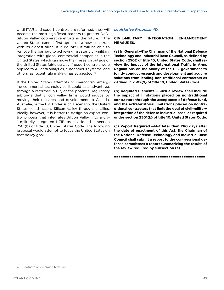Until ITAR and export controls are reformed, they will become the most significant barriers to greater DoD-Silicon Valley cooperative efforts in the future. If the United States cannot first agree on a new construct with its closest allies, it is doubtful it will be able to remove the barriers to achieving greater civil-military integration with global commercial companies in the United States, which can move their research outside of the United States fairly quickly if export controls were applied to AI, data analytics, autonomous systems, and others, as recent rule making has suggested.45

If the United States attempts to overcontrol emerging commercial technologies, it could take advantage, through a reformed NTIB, of the potential regulatory arbitrage that Silicon Valley firms would induce by moving their research and development to Canada, Australia, or the UK. Under such a scenario, the United States could access Silicon Valley through its allies. Ideally, however, it is better to design an export-control process that integrates Silicon Valley into a civil-militarily integrated NTIB, as envisioned in section 2501(b) of title 10, United States Code. The following proposal would attempt to focus the United States on that policy goal.

#### *Legislative Proposal 4D:*

#### **CIVIL-MILITARY INTEGRATION ENHANCEMENT MEASURES.**

**(a) In General.—The Chairman of the National Defense Technology and Industrial Base Council, as defined by section 2502 of title 10, United States Code, shall review the impact of the International Traffic in Arms Regulations on the ability of the U.S. government to jointly conduct research and development and acquire solutions from leading non-traditional contractors as defined in 2302(9) of title 10, United States Code.** 

**(b) Required Elements.—Such a review shall include the impact of limitations placed on nontraditional contractors through the acceptance of defense fund, and the extraterritorial limitations placed on nontraditional contractors that limit the goal of civil-military integration of the defense industrial base, as required under section 2501(b) of title 10, United States Code.**

**(c) Report Required.—Not later than 260 days after the date of enactment of this Act, the Chairman of the National Defense Technology and Industrial Base Council shall submit a report to the congressional defense committees a report summarizing the results of the review required by subsection (a).**

==========================================

<sup>45</sup> Footnote on emerging tech rule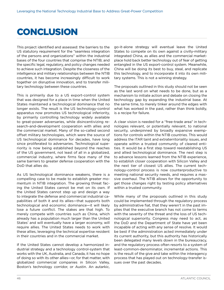### <span id="page-49-0"></span>**CONCLUSION**

This project identified and assessed: the barriers to the US statutory requirement for the "seamless integration of the persons and organizations" within the industrial bases of the four countries that comprise the NTIB; and the specific legal, regulatory, and policy changes needed to achieve such integration. Despite the closeness of the intelligence and military relationships between the NTIB countries, it has become increasingly difficult to work together on disruptive innovation, and to transfer military technology between these countries.

This is primarily due to a US export-control system that was designed for a place in time when the United States maintained a technological dominance that no longer exists. The result is the US technology-control apparatus now promotes US technological inferiority, by primarily controlling technology widely available to great-power adversaries, while disincentivizing research-and-development cooperation with allies and the commercial market. Many of the so-called second offset military technologies, which were the source of US technological dominance for decades, have long since proliferated to adversaries. Technological superiority is now being established beyond the reaches of the US government, not least of all in a globalized, commercial industry, where firms face many of the same barriers to greater defense cooperation with the DoD that allies do.

As US technological dominance weakens, there is a compelling case to be made to establish greater momentum in NTIB integration. The growing threat facing the United States cannot be met on its own. If the United States cannot step up and design a way to integrate the defense and commercial industrial capabilities of both it and its allies—that supports both technological and economic dominance—it will likely lose a future conflict. The stakes are that high. To merely compete with countries such as China, which already has a population much larger than the United States' and will eventually have a larger economy, will require allies. The United States needs to work with these allies, leveraging the technical expertise resident in their countries and in the commercial market.

If the United States cannot develop a harmonized industrial strategy and a technology control-system that works with the UK, Australia, and Canada, it has no hope of doing so with its other allies—or, for that matter, with globalized commercial companies in Silicon Valley, Boston's technology corridor, or Austin. An autarkic,

go-it-alone strategy will eventual leave the United States to compete on its own against a civilly-military integrated China, as allies and the commercial marketplace hold back better technology out of fear of getting entangled in the US export-control system. Meanwhile, China will be doing its best to buy, steal, and replicate this technology, and to incorporate it into its own military systems. This is not a winning strategy.

The proposals outlined in this study should not be seen as the last word on what needs to be done, but as a mechanism to initiate action and debate on closing the technology gap by expanding the industrial base. At the same time, to merely tinker around the edges with what has worked in the past, rather than think boldly, is a recipe for failure.

A clear vision is needed for a "free-trade area" in technologies relevant, or potentially relevant, to national security, underpinned by broadly expansive exemptions for controls within the NTIB countries. This would address the ITAR taint and extraterritoriality issues, and operate within a trusted community of cleared entities. It would be a first step toward reestablishing US and allied technological dominance. The next step is to advance lessons learned from the NTIB experience, to establish closer cooperation with Silicon Valley and the next tier of closest US allies. The current technology-control process is now counterproductive to meeting national security needs, and requires a massive overhaul. The NTIB allows for the opportunity to get those changes right by testing policy alternatives within a trusted community.

While many of the proposals outlined in this study could be implemented through the regulatory process by administrative fiat, that they weren't in the past implies that the executive branch has not come to terms with the severity of the threat and the loss of US technological superiority. Congress may need to act, as the DoD and the Department of State have yet been incapable of acting with any sense of resolve. It would be best if the administration acted immediately under its current authority, but this authority has historically been delegated many levels down in the bureaucracy, and the regulatory process often resorts to a system of least-common-denominator, incremental actions. This is the result of the give and take within the interagency process that has played out on technology-transfer issues over the past decades.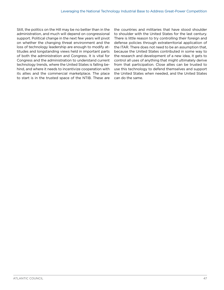Still, the politics on the Hill may be no better than in the administration, and much will depend on congressional support. Political change in the next few years will pivot on whether the changing threat environment and the loss of technology leadership are enough to modify attitudes and longstanding views held in important parts of both the administration and Congress. It is vital for Congress and the administration to understand current technology trends, where the United States is falling behind, and where it needs to incentivize cooperation with its allies and the commercial marketplace. The place to start is in the trusted space of the NTIB. These are

the countries and militaries that have stood shoulder to shoulder with the United States for the last century. There is little reason to try controlling their foreign and defense policies through extraterritorial application of the ITAR. There does not need to be an assumption that, because the United States contributed in some way to the research and development of a new idea, it gets to control all uses of anything that might ultimately derive from that participation. Close allies can be trusted to use this technology to defend themselves and support the United States when needed, and the United States can do the same.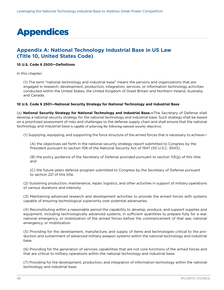## <span id="page-51-0"></span>Appendices

#### **Appendix A: National Technology Industrial Base in US Law (Title 10, United States Code)**

#### **10 U.S. Code § 2500—Definitions**

In this chapter:

(1) The term ["national technology and industrial base](https://www.law.cornell.edu/definitions/uscode.php?width=840&height=800&iframe=true&def_id=10-USC-1045516567-157943091&term_occur=1&term_src=title:10:subtitle:A:part:IV:chapter:148:subchapter:I:section:2500)" means the persons and organizations that are engaged in research, development, production, integration, services, or information technology activities conducted within the United States, the United Kingdom of Great Britain and Northern Ireland, Australia, and Canada.

#### **10 U.S. Code § 2501—National Security Strategy for National Technology and Industrial Base**

(a) **National Security Strategy for National Technology and Industrial Base.—**The Secretary of Defense shall develop a national security strategy for the [national technology and industrial base](https://www.law.cornell.edu/definitions/uscode.php?width=840&height=800&iframe=true&def_id=10-USC-1045516567-157943091&term_occur=5&term_src=title:10:subtitle:A:part:IV:chapter:148:subchapter:II:section:2501). Such strategy shall be based on a prioritized assessment of risks and challenges to the defense supply chain and shall ensure that the [national](https://www.law.cornell.edu/definitions/uscode.php?width=840&height=800&iframe=true&def_id=10-USC-1045516567-157943091&term_occur=6&term_src=title:10:subtitle:A:part:IV:chapter:148:subchapter:II:section:2501) [technology and industrial base](https://www.law.cornell.edu/definitions/uscode.php?width=840&height=800&iframe=true&def_id=10-USC-1045516567-157943091&term_occur=6&term_src=title:10:subtitle:A:part:IV:chapter:148:subchapter:II:section:2501) is capable of achieving the following national security objectives:

(1) Supplying, equipping, and supporting the force structure of the [armed forces](https://www.law.cornell.edu/definitions/uscode.php?width=840&height=800&iframe=true&def_id=10-USC-1618412883-428121670&term_occur=1702&term_src=title:10:subtitle:A:part:IV:chapter:148:subchapter:II:section:2501) that is necessary to achieve—

(A) the objectives set forth in the national security strategy report submitted to Congress by the President pursuant to section 108 of the National Security Act of 1947 [\(50 U.S.C. 3043\)](https://www.law.cornell.edu/uscode/text/50/3043);

(B) the policy guidance of the Secretary of Defense provided pursuant to section 113(g) of this title; and

(C) the future-years defense program submitted to Congress by the Secretary of Defense pursuant to [section 221 of this title.](https://www.law.cornell.edu/uscode/text/10/221)

(2) Sustaining production, maintenance, repair, logistics, and other activities in support of military operations of various durations and intensity.

(3) Maintaining advanced research and development activities to provide the [armed forces](https://www.law.cornell.edu/definitions/uscode.php?width=840&height=800&iframe=true&def_id=10-USC-1618412883-428121670&term_occur=1703&term_src=title:10:subtitle:A:part:IV:chapter:148:subchapter:II:section:2501) with systems capable of ensuring technological superiority over potential adversaries.

(4) Reconstituting within a reasonable period the capability to develop, produce, and support [supplies](https://www.law.cornell.edu/definitions/uscode.php?width=840&height=800&iframe=true&def_id=10-USC-1663305267-386869923&term_occur=122&term_src=title:10:subtitle:A:part:IV:chapter:148:subchapter:II:section:2501) and equipment, including technologically advanced systems, in sufficient quantities to prepare fully for a war, national emergency, or mobilization of the [armed forces](https://www.law.cornell.edu/definitions/uscode.php?width=840&height=800&iframe=true&def_id=10-USC-1618412883-428121670&term_occur=1704&term_src=title:10:subtitle:A:part:IV:chapter:148:subchapter:II:section:2501) before the commencement of that war, national emergency, or mobilization.

(5) Providing for the development, manufacture, and supply of items and technologies critical to the production and sustainment of advanced military weapon systems within the [national technology and industrial](https://www.law.cornell.edu/definitions/uscode.php?width=840&height=800&iframe=true&def_id=10-USC-1045516567-157943091&term_occur=7&term_src=title:10:subtitle:A:part:IV:chapter:148:subchapter:II:section:2501) [base](https://www.law.cornell.edu/definitions/uscode.php?width=840&height=800&iframe=true&def_id=10-USC-1045516567-157943091&term_occur=7&term_src=title:10:subtitle:A:part:IV:chapter:148:subchapter:II:section:2501).

(6) Providing for the generation of services capabilities that are not core functions of the [armed forces](https://www.law.cornell.edu/definitions/uscode.php?width=840&height=800&iframe=true&def_id=10-USC-1618412883-428121670&term_occur=1705&term_src=title:10:subtitle:A:part:IV:chapter:148:subchapter:II:section:2501) and that are critical to military operations within the [national technology and industrial base.](https://www.law.cornell.edu/definitions/uscode.php?width=840&height=800&iframe=true&def_id=10-USC-1045516567-157943091&term_occur=8&term_src=title:10:subtitle:A:part:IV:chapter:148:subchapter:II:section:2501)

(7) Providing for the development, production, and [integration](https://www.law.cornell.edu/definitions/uscode.php?width=840&height=800&iframe=true&def_id=10-USC-1156347348-601268578&term_occur=3&term_src=title:10:subtitle:A:part:IV:chapter:148:subchapter:II:section:2501) of information technology within the [national](https://www.law.cornell.edu/definitions/uscode.php?width=840&height=800&iframe=true&def_id=10-USC-1045516567-157943091&term_occur=9&term_src=title:10:subtitle:A:part:IV:chapter:148:subchapter:II:section:2501) [technology and industrial base.](https://www.law.cornell.edu/definitions/uscode.php?width=840&height=800&iframe=true&def_id=10-USC-1045516567-157943091&term_occur=9&term_src=title:10:subtitle:A:part:IV:chapter:148:subchapter:II:section:2501)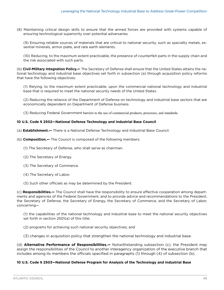(8) Maintaining critical design skills to ensure that the  [armed forces](https://www.law.cornell.edu/definitions/uscode.php?width=840&height=800&iframe=true&def_id=10-USC-1618412883-428121670&term_occur=1706&term_src=title:10:subtitle:A:part:IV:chapter:148:subchapter:II:section:2501) are provided with systems capable of ensuring technological superiority over potential adversaries.

(9) Ensuring reliable sources of materials that are critical to national security, such as specialty metals, essential minerals, armor plate, and rare earth elements.

(10) Reducing, to the maximum extent practicable, the presence of counterfeit parts in the supply chain and the risk associated with such parts.

(b) **Civil-Military Integration Policy.—** The Secretary of Defense shall ensure that the [United States](https://www.law.cornell.edu/definitions/uscode.php?width=840&height=800&iframe=true&def_id=10-USC-2032517217-428121673&term_occur=2204&term_src=title:10:subtitle:A:part:IV:chapter:148:subchapter:II:section:2501) attains the [na](https://www.law.cornell.edu/definitions/uscode.php?width=840&height=800&iframe=true&def_id=10-USC-1045516567-157943091&term_occur=10&term_src=title:10:subtitle:A:part:IV:chapter:148:subchapter:II:section:2501)[tional technology and industrial base](https://www.law.cornell.edu/definitions/uscode.php?width=840&height=800&iframe=true&def_id=10-USC-1045516567-157943091&term_occur=10&term_src=title:10:subtitle:A:part:IV:chapter:148:subchapter:II:section:2501) objectives set forth in subsection (a) through acquisition policy reforms that have the following objectives:

(1) Relying, to the maximum extent practicable, upon the commercial [national technology and industrial](https://www.law.cornell.edu/definitions/uscode.php?width=840&height=800&iframe=true&def_id=10-USC-1045516567-157943091&term_occur=11&term_src=title:10:subtitle:A:part:IV:chapter:148:subchapter:II:section:2501) [base](https://www.law.cornell.edu/definitions/uscode.php?width=840&height=800&iframe=true&def_id=10-USC-1045516567-157943091&term_occur=11&term_src=title:10:subtitle:A:part:IV:chapter:148:subchapter:II:section:2501) that is required to meet the national security needs of the United States.

(2) Reducing the reliance of the [Department](https://www.law.cornell.edu/definitions/uscode.php?width=840&height=800&iframe=true&def_id=10-USC-848184146-428121668&term_occur=4242&term_src=title:10:subtitle:A:part:IV:chapter:148:subchapter:II:section:2501) of Defense on [technology and industrial base sectors](https://www.law.cornell.edu/definitions/uscode.php?width=840&height=800&iframe=true&def_id=10-USC-1606337643-157943094&term_occur=2&term_src=title:10:subtitle:A:part:IV:chapter:148:subchapter:II:section:2501) that are economically dependent on Department of Defense business.

(3) Reducing [Federal Government](https://www.law.cornell.edu/definitions/uscode.php?width=840&height=800&iframe=true&def_id=10-USC-2032561260-548934770&term_occur=192&term_src=title:10:subtitle:A:part:IV:chapter:148:subchapter:II:section:2501) barriers to the use of commercial products, processes, and standards.

#### **10 U.S. Code § 2502—National Defense Technology and Industrial Base Council**

- (a) **Establishment.—** There is a National Defense Technology and Industrial Base Council.
- (b) **Composition.—** The Council is composed of the following members:
	- (1) The Secretary of Defense, who shall serve as chairman.
	- (2) The Secretary of Energy.
	- (3) The Secretary of Commerce.
	- (4) The Secretary of Labor.
	- (5) Such other officials as may be determined by the President.

(c) **Responsibilities.—** The Council shall have the responsibility to ensure effective cooperation among [depart](https://www.law.cornell.edu/definitions/uscode.php?width=840&height=800&iframe=true&def_id=10-USC-848184146-428121668&term_occur=4282&term_src=title:10:subtitle:A:part:IV:chapter:148:subchapter:II:section:2502)[ments](https://www.law.cornell.edu/definitions/uscode.php?width=840&height=800&iframe=true&def_id=10-USC-848184146-428121668&term_occur=4282&term_src=title:10:subtitle:A:part:IV:chapter:148:subchapter:II:section:2502) and agencies of the [Federal Government,](https://www.law.cornell.edu/definitions/uscode.php?width=840&height=800&iframe=true&def_id=10-USC-2032561260-548934770&term_occur=196&term_src=title:10:subtitle:A:part:IV:chapter:148:subchapter:II:section:2502) and to provide advice and recommendations to the President, the Secretary of Defense, the Secretary of Energy, the Secretary of Commerce, and the Secretary of Labor, concerning—

(1) the capabilities of the [national technology and industrial base](https://www.law.cornell.edu/definitions/uscode.php?width=840&height=800&iframe=true&def_id=10-USC-1045516567-157943091&term_occur=17&term_src=title:10:subtitle:A:part:IV:chapter:148:subchapter:II:section:2502) to meet the national security objectives set forth in section 2501(a) of this title;

- (2) programs for achieving such national security objectives; and
- (3) changes in acquisition policy that strengthen the [national technology and industrial base](https://www.law.cornell.edu/definitions/uscode.php?width=840&height=800&iframe=true&def_id=10-USC-1045516567-157943091&term_occur=18&term_src=title:10:subtitle:A:part:IV:chapter:148:subchapter:II:section:2502).

(d) **Alternative Performance of Responsibilities.—** Notwithstanding subsection (c), the President may assign the responsibilities of the Council to another interagency organization of the executive branch that includes among its members the officials specified in paragraphs (1) through (4) of subsection (b).

#### **10 U.S. Code § 2503—National Defense Program for Analysis of the Technology and Industrial Base**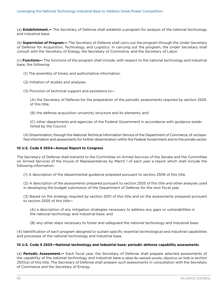(a) **Establishment.—** The Secretary of Defense shall establish a program for analysis of the [national technology](https://www.law.cornell.edu/definitions/uscode.php?width=840&height=800&iframe=true&def_id=10-USC-1045516567-157943091&term_occur=19&term_src=title:10:subtitle:A:part:IV:chapter:148:subchapter:II:section:2503) [and industrial base.](https://www.law.cornell.edu/definitions/uscode.php?width=840&height=800&iframe=true&def_id=10-USC-1045516567-157943091&term_occur=19&term_src=title:10:subtitle:A:part:IV:chapter:148:subchapter:II:section:2503)

(b) **Supervision of Program.—** The Secretary of Defense shall carry out the program through the Under Secretary of Defense for Acquisition, Technology, and Logistics. In carrying out the program, the Under Secretary shall consult with the Secretary of Energy, the Secretary of Commerce, and the Secretary of Labor.

(c) **Functions—** The functions of the program shall include, with respect to the [national technology and industrial](https://www.law.cornell.edu/definitions/uscode.php?width=840&height=800&iframe=true&def_id=10-USC-1045516567-157943091&term_occur=20&term_src=title:10:subtitle:A:part:IV:chapter:148:subchapter:II:section:2503) [base](https://www.law.cornell.edu/definitions/uscode.php?width=840&height=800&iframe=true&def_id=10-USC-1045516567-157943091&term_occur=20&term_src=title:10:subtitle:A:part:IV:chapter:148:subchapter:II:section:2503), the following:

(1) The assembly of timely and authoritative information.

- (2) Initiation of studies and analyses.
- (3) Provision of technical support and assistance to—

(A) the Secretary of Defense for the preparation of the periodic assessments required by [section 2505](https://www.law.cornell.edu/uscode/text/10/2505)  [of this title;](https://www.law.cornell.edu/uscode/text/10/2505)

(B) the [defense acquisition university](https://www.law.cornell.edu/definitions/uscode.php?width=840&height=800&iframe=true&def_id=10-USC-849541857-1611758786&term_occur=25&term_src=title:10:subtitle:A:part:IV:chapter:148:subchapter:II:section:2503) structure and its elements; and

(C) other [departments](https://www.law.cornell.edu/definitions/uscode.php?width=840&height=800&iframe=true&def_id=10-USC-848184146-428121668&term_occur=4283&term_src=title:10:subtitle:A:part:IV:chapter:148:subchapter:II:section:2503) and agencies of the [Federal Government](https://www.law.cornell.edu/definitions/uscode.php?width=840&height=800&iframe=true&def_id=10-USC-2032561260-548934770&term_occur=197&term_src=title:10:subtitle:A:part:IV:chapter:148:subchapter:II:section:2503) in accordance with guidance established by the Council.

(4) Dissemination, through the National Technical Information Service of the [Department](https://www.law.cornell.edu/definitions/uscode.php?width=840&height=800&iframe=true&def_id=10-USC-848184146-428121668&term_occur=4284&term_src=title:10:subtitle:A:part:IV:chapter:148:subchapter:II:section:2503) of Commerce, of unclassified information and assessments for further dissemination within the [Federal Government](https://www.law.cornell.edu/definitions/uscode.php?width=840&height=800&iframe=true&def_id=10-USC-2032561260-548934770&term_occur=198&term_src=title:10:subtitle:A:part:IV:chapter:148:subchapter:II:section:2503) and to the private sector.

#### **10 U.S. Code § 2504—Annual Report to Congress**

The Secretary of Defense shall transmit to the Committee on Armed Services of the Senate and the Committee on Armed Services of the House of Representatives by March 1 of each year a report which shall include the following information:

(1) A description of the departmental guidance prepared pursuant to [section 2506 of this title.](https://www.law.cornell.edu/uscode/text/10/2506)

(2) A description of the assessments prepared pursuant to [section 2505 of this title](https://www.law.cornell.edu/uscode/text/10/2505) and other analyses used in developing the budget submission of the Department of Defense for the next fiscal year.

(3) Based on the strategy required by [section 2501 of this title](https://www.law.cornell.edu/uscode/text/10/2501) and on the assessments prepared pursuant to [section 2505 of this title](https://www.law.cornell.edu/uscode/text/10/2505)—

(A) a description of any mitigation strategies necessary to address any gaps or vulnerabilities in the [national technology and industrial base](https://www.law.cornell.edu/definitions/uscode.php?width=840&height=800&iframe=true&def_id=10-USC-1045516567-157943091&term_occur=21&term_src=title:10:subtitle:A:part:IV:chapter:148:subchapter:II:section:2504); and

(B) any other steps necessary to foster and safeguard the [national technology and industrial base.](https://www.law.cornell.edu/definitions/uscode.php?width=840&height=800&iframe=true&def_id=10-USC-1045516567-157943091&term_occur=22&term_src=title:10:subtitle:A:part:IV:chapter:148:subchapter:II:section:2504)

(4) Identification of each program designed to sustain specific essential technological and industrial capabilities and processes of the [national technology and industrial base.](https://www.law.cornell.edu/definitions/uscode.php?width=840&height=800&iframe=true&def_id=10-USC-1045516567-157943091&term_occur=23&term_src=title:10:subtitle:A:part:IV:chapter:148:subchapter:II:section:2504)

#### **10 U.S. Code § 2505—National technology and industrial base: periodic defense capability assessments**

(a) **Periodic Assessment.—** Each fiscal year, the Secretary of Defense shall prepare selected assessments of the capability of the [national technology and industrial base](https://www.law.cornell.edu/definitions/uscode.php?width=840&height=800&iframe=true&def_id=10-USC-1045516567-157943091&term_occur=24&term_src=title:10:subtitle:A:part:IV:chapter:148:subchapter:II:section:2505) to attain the national security objectives set forth in section 2501(a) of this title. The Secretary of Defense shall prepare such assessments in consultation with the Secretary of Commerce and the Secretary of Energy.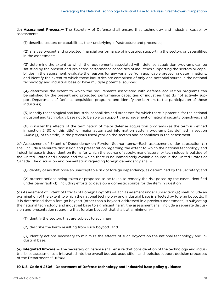(b) **Assessment Process.—** The Secretary of Defense shall ensure that technology and industrial capability assessments—

(1) describe sectors or capabilities, their underlying infrastructure and processes;

(2) analyze present and projected financial performance of industries supporting the sectors or capabilities in the assessment;

(3) determine the extent to which the requirements associated with defense acquisition programs can be satisfied by the present and projected performance capacities of industries supporting the sectors or capabilities in the assessment, evaluate the reasons for any variance from applicable preceding determinations, and identify the extent to which those industries are comprised of only one potential source in the [national](https://www.law.cornell.edu/definitions/uscode.php?width=840&height=800&iframe=true&def_id=10-USC-1045516567-157943091&term_occur=25&term_src=title:10:subtitle:A:part:IV:chapter:148:subchapter:II:section:2505) [technology and industrial base](https://www.law.cornell.edu/definitions/uscode.php?width=840&height=800&iframe=true&def_id=10-USC-1045516567-157943091&term_occur=25&term_src=title:10:subtitle:A:part:IV:chapter:148:subchapter:II:section:2505) or have multiple potential sources;

(4) determine the extent to which the requirements associated with defense acquisition programs can be satisfied by the present and projected performance capacities of industries that do not actively support [Department](https://www.law.cornell.edu/definitions/uscode.php?width=840&height=800&iframe=true&def_id=10-USC-848184146-428121668&term_occur=4289&term_src=title:10:subtitle:A:part:IV:chapter:148:subchapter:II:section:2505) of Defense acquisition programs and identify the barriers to the participation of those industries;

(5) identify technological and industrial capabilities and processes for which there is potential for the national industrial and technology base not to be able to support the achievement of national security objectives; and

(6) consider the effects of the termination of [major defense acquisition programs](https://www.law.cornell.edu/definitions/uscode.php?width=840&height=800&iframe=true&def_id=10-USC-141465302-1015895669&term_occur=185&term_src=title:10:subtitle:A:part:IV:chapter:148:subchapter:II:section:2505) (as the term is defined in  [section 2430 of this title\)](https://www.law.cornell.edu/uscode/text/10/2430) or major automated information system programs (as defined in section 2445a [\[1\]](https://www.law.cornell.edu/uscode/text/10/2505) of this title) in the previous fiscal year on the sectors and capabilities in the assessment.

(c) Assessment of Extent of Dependency on Foreign Source Items.—Each assessment under subsection (a) shall include a separate discussion and presentation regarding the extent to which the [national technology and](https://www.law.cornell.edu/definitions/uscode.php?width=840&height=800&iframe=true&def_id=10-USC-1045516567-157943091&term_occur=26&term_src=title:10:subtitle:A:part:IV:chapter:148:subchapter:II:section:2505)  [industrial base](https://www.law.cornell.edu/definitions/uscode.php?width=840&height=800&iframe=true&def_id=10-USC-1045516567-157943091&term_occur=26&term_src=title:10:subtitle:A:part:IV:chapter:148:subchapter:II:section:2505) is dependent on items for which the source of supply, manufacture, or technology is outside of the United States and Canada and for which there is no immediately available source in the United States or Canada. The discussion and presentation regarding foreign dependency shall—

(1) identify cases that pose an unacceptable risk of foreign dependency, as determined by the Secretary; and

(2) present actions being taken or proposed to be taken to [remedy](https://www.law.cornell.edu/definitions/uscode.php?width=840&height=800&iframe=true&def_id=10-USC-934620960-1057680538&term_occur=8&term_src=title:10:subtitle:A:part:IV:chapter:148:subchapter:II:section:2505) the risk posed by the cases identified under paragraph (1), including efforts to develop a domestic source for the item in question.

(d) Assessment of Extent of Effects of Foreign Boycotts.—Each assessment under subsection (a) shall include an examination of the extent to which the [national technology and industrial base](https://www.law.cornell.edu/definitions/uscode.php?width=840&height=800&iframe=true&def_id=10-USC-1045516567-157943091&term_occur=27&term_src=title:10:subtitle:A:part:IV:chapter:148:subchapter:II:section:2505) is affected by foreign boycotts. If it is determined that a foreign boycott (other than a boycott addressed in a previous assessment) is subjecting the [national technology and industrial base](https://www.law.cornell.edu/definitions/uscode.php?width=840&height=800&iframe=true&def_id=10-USC-1045516567-157943091&term_occur=28&term_src=title:10:subtitle:A:part:IV:chapter:148:subchapter:II:section:2505) to significant harm, the assessment shall include a separate discussion and presentation regarding that foreign boycott that shall, at a minimum—

(1) identify the sectors that are subject to such harm;

(2) describe the harm resulting from such boycott; and

(3) identify actions necessary to minimize the effects of such boycott on the [national technology and in](https://www.law.cornell.edu/definitions/uscode.php?width=840&height=800&iframe=true&def_id=10-USC-1045516567-157943091&term_occur=29&term_src=title:10:subtitle:A:part:IV:chapter:148:subchapter:II:section:2505)[dustrial base.](https://www.law.cornell.edu/definitions/uscode.php?width=840&height=800&iframe=true&def_id=10-USC-1045516567-157943091&term_occur=29&term_src=title:10:subtitle:A:part:IV:chapter:148:subchapter:II:section:2505)

(e) **Integrated Process.—** The Secretary of Defense shall ensure that consideration of the technology and industrial base assessments is integrated into the overall [budget](https://www.law.cornell.edu/definitions/uscode.php?width=840&height=800&iframe=true&def_id=10-USC-1378177211-1278576790&term_occur=358&term_src=title:10:subtitle:A:part:IV:chapter:148:subchapter:II:section:2505), acquisition, and logistics support decision processes of the [Department](https://www.law.cornell.edu/definitions/uscode.php?width=840&height=800&iframe=true&def_id=10-USC-848184146-428121668&term_occur=4290&term_src=title:10:subtitle:A:part:IV:chapter:148:subchapter:II:section:2505) of Defense.

#### **10 U.S. Code § 2506—Department of Defense technology and industrial base policy guidance**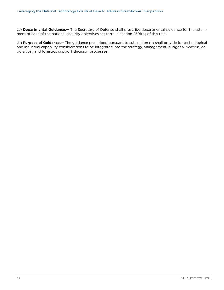(a) **Departmental Guidance.—** The Secretary of Defense shall prescribe departmental guidance for the attainment of each of the national security objectives set forth in section 2501(a) of this title.

(b) **Purpose of Guidance.—** The guidance prescribed pursuant to subsection (a) shall provide for technological and industrial capability considerations to be integrated into the strategy, management, [budget](https://www.law.cornell.edu/definitions/uscode.php?width=840&height=800&iframe=true&def_id=10-USC-1378177211-1278576790&term_occur=359&term_src=title:10:subtitle:A:part:IV:chapter:148:subchapter:II:section:2506) allocation, acquisition, and logistics support decision processes.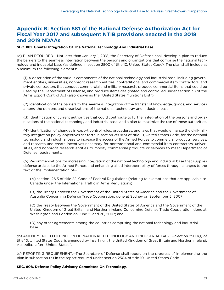#### **Appendix B: Section 881 of the National Defense Authorization Act for Fiscal Year 2017 and subsequent NTIB provisions enacted in the 2018 and 2019 NDAAs**

#### **SEC. 881. Greater Integration Of The National Technology And Industrial Base.**

(a) PLAN REQUIRED.—Not later than January 1, 2018, the Secretary of Defense shall develop a plan to reduce the barriers to the seamless integration between the persons and organizations that comprise the national technology and industrial base (as defined in section 2500 of title 10, United States Code). The plan shall include at a minimum the following elements:

(1) A description of the various components of the national technology and industrial base, including government entities, universities, nonprofit research entities, nontraditional and commercial item contractors, and private contractors that conduct commercial and military research, produce commercial items that could be used by the Department of Defense, and produce items designated and controlled under section 38 of the Arms Export Control Act (also known as the ''United States Munitions List'').

(2) Identification of the barriers to the seamless integration of the transfer of knowledge, goods, and services among the persons and organizations of the national technology and industrial base.

(3) Identification of current authorities that could contribute to further integration of the persons and organizations of the national technology and industrial base, and a plan to maximize the use of those authorities.

(4) Identification of changes in export control rules, procedures, and laws that would enhance the civil-military integration policy objectives set forth in section 2501(b) of title 10, United States Code, for the national technology and industrial base to increase the access of the Armed Forces to commercial products, services, and research and create incentives necessary for nontraditional and commercial item contractors, universities, and nonprofit research entities to modify commercial products or services to meet Department of Defense requirements.

(5) Recommendations for increasing integration of the national technology and industrial base that supplies defense articles to the Armed Forces and enhancing allied interoperability of forces through changes to the text or the implementation of—

(A) section 126.5 of title 22, Code of Federal Regulations (relating to exemptions that are applicable to Canada under the International Traffic in Arms Regulations);

(B) the Treaty Between the Government of the United States of America and the Government of Australia Concerning Defense Trade Cooperation, done at Sydney on September 5, 2007;

(C) the Treaty Between the Government of the United States of America and the Government of the United Kingdom of Great Britain and Northern Ireland Concerning Defense Trade Cooperation, done at Washington and London on June 21 and 26, 2007; and

(D) any other agreements among the countries comprising the national technology and industrial base.

(b) AMENDMENT TO DEFINITION OF NATIONAL TECHNOLOGY AND INDUSTRIAL BASE.—Section 2500(1) of title 10, United States Code, is amended by inserting '', the United Kingdom of Great Britain and Northern Ireland, Australia,'' after ''United States''.

(c) REPORTING REQUIREMENT.—The Secretary of Defense shall report on the progress of implementing the plan in subsection (a) in the report required under section 2504 of title 10, United States Code.

#### **SEC. 808. Defense Policy Advisory Committee On Technology.**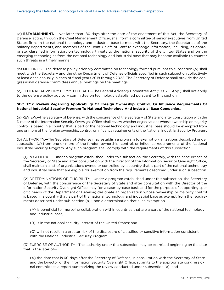(a) **ESTABLISHMENT.—** Not later than 180 days after the date of the enactment of this Act, the Secretary of Defense, acting through the Chief Management Officer, shall form a committee of senior executives from United States firms in the national technology and industrial base to meet with the Secretary, the Secretaries of the military departments, and members of the Joint Chiefs of Staff to exchange information, including, as appropriate, classified information, on technology threats to the national security of the United States and on the emerging technologies from the national technology and industrial base that may become available to counter such threats in a timely manner.

(b) MEETINGS.—The defense policy advisory committee on technology formed pursuant to subsection (a) shall meet with the Secretary and the other Department of Defense officials specified in such subsection collectively at least once annually in each of fiscal years 2018 through 2022. The Secretary of Defense shall provide the congressional defense committees annual briefings on the meetings.

(c) FEDERAL ADVISORY COMMITTEE ACT.—The Federal Advisory Committee Act (5 U.S.C. App.) shall not apply to the defense policy advisory committee on technology established pursuant to this section.

#### **SEC. 1712. Review Regarding Applicability Of Foreign Ownership, Control, Or Influence Requirements Of National Industrial Security Program To National Technology And Industrial Base Companies.**

(a) REVIEW.—The Secretary of Defense, with the concurrence of the Secretary of State and after consultation with the Director of the Information Security Oversight Office, shall review whether organizations whose ownership or majority control is based in a country that is part of the national technology and industrial base should be exempted from one or more of the foreign ownership, control, or influence requirements of the National Industrial Security Program.

(b) AUTHORITY.—The Secretary of Defense may establish a program to exempt organizations described under subsection (a) from one or more of the foreign ownership, control, or influence requirements of the National Industrial Security Program. Any such program shall comply with the requirements of this subsection.

(1) IN GENERAL.—Under a program established under this subsection, the Secretary, with the concurrence of the Secretary of State and after consultation with the Director of the Information Security Oversight Office, shall maintain a list of organizations owned or controlled by a country that is part of the national technology and industrial base that are eligible for exemption from the requirements described under such subsection.

(2) DETERMINATIONS OF ELIGIBILITY.—Under a program established under this subsection, the Secretary of Defense, with the concurrence of the Secretary of State and after consultation with the Director of the Information Security Oversight Office, may (on a case-by-case basis and for the purpose of supporting specific needs of the Department of Defense) designate an organization whose ownership or majority control is based in a country that is part of the national technology and industrial base as exempt from the requirements described under sub-section (a) upon a determination that such exemption—

(A) is beneficial to improving collaboration within countries that are a part of the national technology and industrial base;

(B) is in the national security interest of the United States; and

(C) will not result in a greater risk of the disclosure of classified or sensitive information consistent with the National Industrial Security Program.

(3) EXERCISE OF AUTHORITY.—The authority under this subsection may be exercised beginning on the date that is the later of—

(A) the date that is 60 days after the Secretary of Defense, in consultation with the Secretary of State and the Director of the Information Security Oversight Office, submits to the appropriate congressional committees a report summarizing the review conducted under subsection (a); and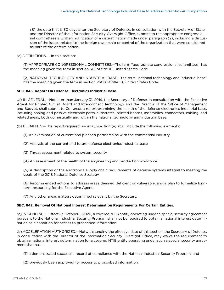(B) the date that is 30 days after the Secretary of Defense, in consultation with the Secretary of State and the Director of the Information Security Oversight Office, submits to the appropriate congressional committees a written notification of a determination made under paragraph (2), including a discussion of the issues related to the foreign ownership or control of the organization that were considered as part of the determination.

(c) DEFINITIONS.— In this section:

(1) APPROPRIATE CONGRESSIONAL COMMITTEES.—The term ''appropriate congressional committees'' has the meaning given the term in section 301 of title 10, United States Code.

(2) NATIONAL TECHNOLOGY AND INDUSTRIAL BASE.—the term ''national technology and industrial base'' has the meaning given the term in section 2500 of title 10, United States Code.

#### **SEC. 845. Report On Defense Electronics Industrial Base.**

(a) IN GENERAL.—Not later than January 31, 2019, the Secretary of Defense, in consultation with the Executive Agent for Printed Circuit Board and Interconnect Technology and the Director of the Office of Management and Budget, shall submit to Congress a report examining the health of the defense electronics industrial base, including analog and passive electronic parts, substrates, printed boards, assemblies, connectors, cabling, and related areas, both domestically and within the national technology and industrial base.

(b) ELEMENTS.—The report required under subsection (a) shall include the following elements:

(1) An examination of current and planned partnerships with the commercial industry.

(2) Analysis of the current and future defense electronics industrial base.

- (3) Threat assessment related to system security.
- (4) An assessment of the health of the engineering and production workforce.

(5) A description of the electronics supply chain requirements of defense systems integral to meeting the goals of the 2018 National Defense Strategy.

(6) Recommended actions to address areas deemed deficient or vulnerable, and a plan to formalize longterm resourcing for the Executive Agent.

(7) Any other areas matters determined relevant by the Secretary.

#### **SEC. 842. Removal Of National Interest Determination Requirements For Certain Entities.**

(a) IN GENERAL.—Effective October 1, 2020, a covered NTIB entity operating under a special security agreement pursuant to the National Industrial Security Program shall not be required to obtain a national interest determination as a condition for access to proscribed information.

(b) ACCELERATION AUTHORIZED.—Notwithstanding the effective date of this section, the Secretary of Defense, in consultation with the Director of the Information Security Oversight Office, may waive the requirement to obtain a national interest determination for a covered NTIB entity operating under such a special security agreement that has—

(1) a demonstrated successful record of compliance with the National Industrial Security Program; and

(2) previously been approved for access to proscribed information.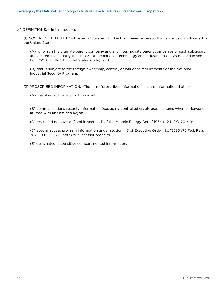(c) DEFINITIONS.— In this section:

(1) COVERED NTIB ENTITY.—The term ''covered NTIB entity'' means a person that is a subsidiary located in the United States—

(A) for which the ultimate parent company and any intermediate parent companies of such subsidiary are located in a country that is part of the national technology and industrial base (as defined in section 2500 of title 10, United States Code); and

(B) that is subject to the foreign ownership, control, or influence requirements of the National Industrial Security Program.

(2) PROSCRIBED INFORMATION.—The term ''proscribed information'' means information that is—

(A) classified at the level of top secret;

(B) communications security information (excluding controlled cryptographic items when un-keyed or utilized with unclassified keys);

(C) restricted data (as defined in section 11 of the Atomic Energy Act of 1954 (42 U.S.C. 2014));

(D) special access program information under section 4.3 of Executive Order No. 13526 (75 Fed. Reg. 707; 50 U.S.C. 3161 note) or successor order; or

(E) designated as sensitive compartmented information.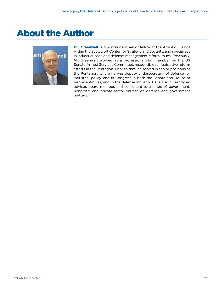### <span id="page-60-0"></span>About the Author



**Bill Greenwalt** is a nonresident senior fellow at the Atlantic Council within the Scowcroft Center for Strategy and Security, and specializes in industrial-base and defense-management reform issues. Previously, Mr. Greenwalt worked as a professional staff member on the US Senate Armed Services Committee, responsible for legislative reform efforts in the Pentagon. Prior to that, he served in senior positions at the Pentagon, where he was deputy undersecretary of defense for industrial policy, and in Congress in both the Senate and House of Representatives, and in the defense industry. He is also currently an advisor, board member, and consultant to a range of government, nonprofit, and private-sector entities on defense and government matters.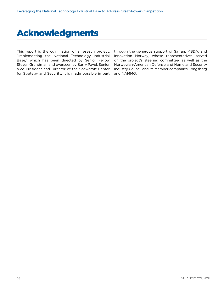### <span id="page-61-0"></span>Acknowledgments

This report is the culmination of a reseach project, "Implementing the National Technology Industrial Base," which has been directed by Senior Fellow Steven Grundman and overseen by Barry Pavel, Senior Vice President and Director of the Scowcroft Center for Strategy and Security. It is made possible in part through the generous support of Safran, MBDA, and Innovation Norway, whose representatives served on the project's steering committee, as well as the Norwegian-American Defense and Homeland Security Industry Council and its member companies Kongsberg and NAMMO.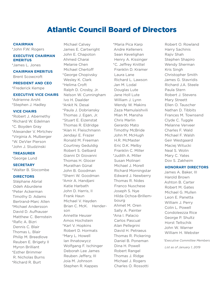### Atlantic Council Board of Directors

#### **CHAIRMAN**

\*John F.W. Rogers

#### **EXECUTIVE CHAIRMAN EMERITUS**

- \*James L. Jones
- **CHAIRMAN EMERITUS** Brent Scowcroft

#### **PRESIDENT AND CEO**

\*Frederick Kempe

#### **EXECUTIVE VICE CHAIRS**

\*Adrienne Arsht \*Stephen J. Hadley

#### **VICE CHAIRS**

\*Robert J. Abernethy \*Richard W. Edelman \*C. Boyden Gray \*Alexander V. Mirtchev \*Virginia A. Mulberger \*W. DeVier Pierson \*John J. Studzinski

#### **TREASURER**

\*George Lund

#### **SECRETARY**

\*Walter B. Slocombe

#### **DIRECTORS**

Stéphane Abrial Odeh Aburdene \*Peter Ackerman Timothy D. Adams Bertrand-Marc Allen \*Michael Andersson David D. Aufhauser Matthew C. Bernstein \*Rafic A. Bizri Dennis C. Blair Thomas L. Blair Philip M. Breedlove Reuben E. Brigety II Myron Brilliant \*Esther Brimmer R. Nicholas Burns \*Richard R. Burt

Michael Calvey James E. Cartwright John E. Chapoton Ahmed Charai Melanie Chen Michael Chertoff \*George Chopivsky Wesley K. Clark \*Helima Croft Ralph D. Crosby, Jr. Nelson W. Cunningham Ivo H. Daalder \*Ankit N. Desai \*Paula J. Dobriansky Thomas J. Egan, Jr. \*Stuart E. Eizenstat Thomas R. Eldridge \*Alan H. Fleischmann Jendayi E. Frazer Ronald M. Freeman Courtney Geduldig Robert S. Gelbard Gianni Di Giovanni Thomas H. Glocer Murathan Günal John B. Goodman \*Sherri W. Goodman \*Amir A. Handjani Katie Harbath John D. Harris, II Frank Haun Michael V. Hayden Brian C. McK. Henderson Annette Heuser Amos Hochstein \*Karl V. Hopkins Robert D. Hormats \*Mary L. Howell Ian Ihnatowycz Wolfgang F. Ischinger Deborah Lee James Reuben Jeffery, III Joia M. Johnson Stephen R. Kappes

\*Maria Pica Karp Andre Kelleners Sean Kevelighan Henry A. Kissinger \*C. Jeffrey Knittel Franklin D. Kramer Laura Lane Richard L. Lawson Jan M. Lodal Douglas Lute Jane Holl Lute William J. Lynn Wendy W. Makins Zaza Mamulaishvili Mian M. Mansha Chris Marlin Gerardo Mato Timothy McBride John M. McHugh H.R. McMaster Eric D.K. Melby Franklin C. Miller \*Judith A. Miller Susan Molinari Michael J. Morell Richard Morningstar Edward J. Newberry Thomas R. Nides Franco Nuschese Joseph S. Nye Hilda Ochoa-Brillembourg Ahmet M. Oren Sally A. Painter \*Ana I. Palacio Carlos Pascual Alan Pellegrini David H. Petraeus Thomas R. Pickering Daniel B. Poneman Dina H. Powell Robert Rangel Thomas J. Ridge Michael J. Rogers Charles O. Rossotti

Robert O. Rowland Harry Sachinis Rajiv Shah Stephen Shapiro Wendy Sherman Kris Singh Christopher Smith James G. Stavridis Richard J.A. Steele Paula Stern Robert J. Stevens Mary Streett Ellen O. Tauscher Nathan D. Tibbits Frances M. Townsend Clyde C. Tuggle Melanne Verveer Charles F. Wald Michael F. Walsh Geir Westgaard Maciej Witucki Neal S. Wolin Mary C. Yates Dov S. Zakheim

#### **HONORARY DIRECTORS**

James A. Baker, III Harold Brown Ashton B. Carter Robert M. Gates Michael G. Mullen Leon E. Panetta William J. Perry Colin L. Powell Condoleezza Rice George P. Shultz Horst Teltschik John W. Warner William H. Webster

*\*Executive Committee Members*

*List as of January 1, 2019*